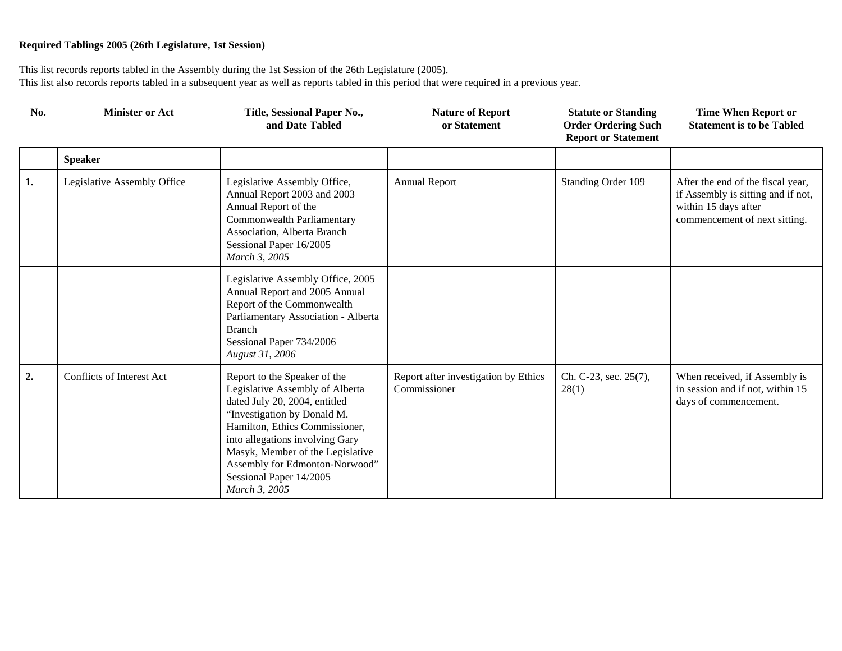| No. | <b>Minister or Act</b>      | Title, Sessional Paper No.,<br>and Date Tabled                                                                                                                                                                                                                                                                         | <b>Nature of Report</b><br>or Statement              | <b>Statute or Standing</b><br><b>Order Ordering Such</b><br><b>Report or Statement</b> | <b>Time When Report or</b><br><b>Statement is to be Tabled</b>                                                                   |
|-----|-----------------------------|------------------------------------------------------------------------------------------------------------------------------------------------------------------------------------------------------------------------------------------------------------------------------------------------------------------------|------------------------------------------------------|----------------------------------------------------------------------------------------|----------------------------------------------------------------------------------------------------------------------------------|
|     | <b>Speaker</b>              |                                                                                                                                                                                                                                                                                                                        |                                                      |                                                                                        |                                                                                                                                  |
| 1.  | Legislative Assembly Office | Legislative Assembly Office,<br>Annual Report 2003 and 2003<br>Annual Report of the<br>Commonwealth Parliamentary<br>Association, Alberta Branch<br>Sessional Paper 16/2005<br>March 3, 2005                                                                                                                           | <b>Annual Report</b>                                 | Standing Order 109                                                                     | After the end of the fiscal year,<br>if Assembly is sitting and if not,<br>within 15 days after<br>commencement of next sitting. |
|     |                             | Legislative Assembly Office, 2005<br>Annual Report and 2005 Annual<br>Report of the Commonwealth<br>Parliamentary Association - Alberta<br><b>Branch</b><br>Sessional Paper 734/2006<br>August 31, 2006                                                                                                                |                                                      |                                                                                        |                                                                                                                                  |
| 2.  | Conflicts of Interest Act   | Report to the Speaker of the<br>Legislative Assembly of Alberta<br>dated July 20, 2004, entitled<br>"Investigation by Donald M.<br>Hamilton, Ethics Commissioner,<br>into allegations involving Gary<br>Masyk, Member of the Legislative<br>Assembly for Edmonton-Norwood"<br>Sessional Paper 14/2005<br>March 3, 2005 | Report after investigation by Ethics<br>Commissioner | Ch. C-23, sec. 25(7),<br>28(1)                                                         | When received, if Assembly is<br>in session and if not, within 15<br>days of commencement.                                       |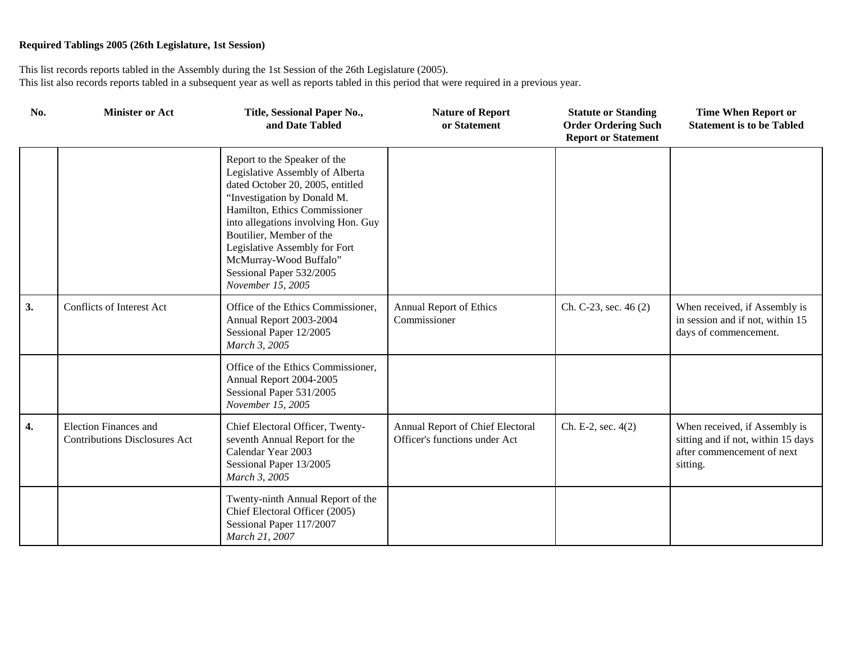| No. | <b>Minister or Act</b>                                               | Title, Sessional Paper No.,<br>and Date Tabled                                                                                                                                                                                                                                                                                                     | <b>Nature of Report</b><br>or Statement                           | <b>Statute or Standing</b><br><b>Order Ordering Such</b><br><b>Report or Statement</b> | <b>Time When Report or</b><br><b>Statement is to be Tabled</b>                                                |
|-----|----------------------------------------------------------------------|----------------------------------------------------------------------------------------------------------------------------------------------------------------------------------------------------------------------------------------------------------------------------------------------------------------------------------------------------|-------------------------------------------------------------------|----------------------------------------------------------------------------------------|---------------------------------------------------------------------------------------------------------------|
|     |                                                                      | Report to the Speaker of the<br>Legislative Assembly of Alberta<br>dated October 20, 2005, entitled<br>"Investigation by Donald M.<br>Hamilton, Ethics Commissioner<br>into allegations involving Hon. Guy<br>Boutilier, Member of the<br>Legislative Assembly for Fort<br>McMurray-Wood Buffalo"<br>Sessional Paper 532/2005<br>November 15, 2005 |                                                                   |                                                                                        |                                                                                                               |
| 3.  | Conflicts of Interest Act                                            | Office of the Ethics Commissioner,<br>Annual Report 2003-2004<br>Sessional Paper 12/2005<br>March 3, 2005                                                                                                                                                                                                                                          | <b>Annual Report of Ethics</b><br>Commissioner                    | Ch. C-23, sec. 46 (2)                                                                  | When received, if Assembly is<br>in session and if not, within 15<br>days of commencement.                    |
|     |                                                                      | Office of the Ethics Commissioner,<br>Annual Report 2004-2005<br>Sessional Paper 531/2005<br>November 15, 2005                                                                                                                                                                                                                                     |                                                                   |                                                                                        |                                                                                                               |
| 4.  | <b>Election Finances and</b><br><b>Contributions Disclosures Act</b> | Chief Electoral Officer, Twenty-<br>seventh Annual Report for the<br>Calendar Year 2003<br>Sessional Paper 13/2005<br>March 3, 2005                                                                                                                                                                                                                | Annual Report of Chief Electoral<br>Officer's functions under Act | Ch. E-2, sec. $4(2)$                                                                   | When received, if Assembly is<br>sitting and if not, within 15 days<br>after commencement of next<br>sitting. |
|     |                                                                      | Twenty-ninth Annual Report of the<br>Chief Electoral Officer (2005)<br>Sessional Paper 117/2007<br>March 21, 2007                                                                                                                                                                                                                                  |                                                                   |                                                                                        |                                                                                                               |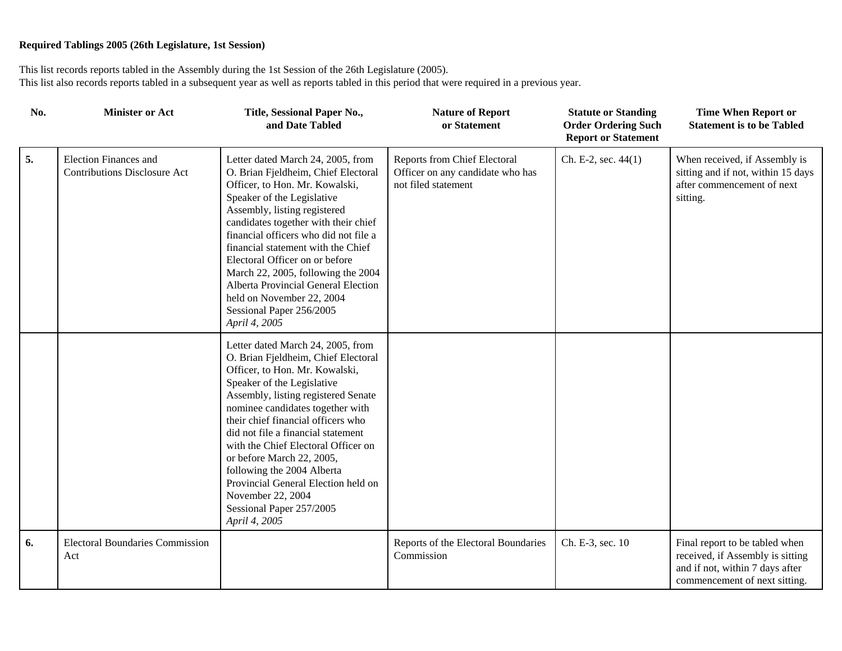| No. | <b>Minister or Act</b>                                              | Title, Sessional Paper No.,<br>and Date Tabled                                                                                                                                                                                                                                                                                                                                                                                                                                                             | <b>Nature of Report</b><br>or Statement                                                 | <b>Statute or Standing</b><br><b>Order Ordering Such</b><br><b>Report or Statement</b> | <b>Time When Report or</b><br><b>Statement is to be Tabled</b>                                                                         |
|-----|---------------------------------------------------------------------|------------------------------------------------------------------------------------------------------------------------------------------------------------------------------------------------------------------------------------------------------------------------------------------------------------------------------------------------------------------------------------------------------------------------------------------------------------------------------------------------------------|-----------------------------------------------------------------------------------------|----------------------------------------------------------------------------------------|----------------------------------------------------------------------------------------------------------------------------------------|
| 5.  | <b>Election Finances and</b><br><b>Contributions Disclosure Act</b> | Letter dated March 24, 2005, from<br>O. Brian Fjeldheim, Chief Electoral<br>Officer, to Hon. Mr. Kowalski,<br>Speaker of the Legislative<br>Assembly, listing registered<br>candidates together with their chief<br>financial officers who did not file a<br>financial statement with the Chief<br>Electoral Officer on or before<br>March 22, 2005, following the 2004<br>Alberta Provincial General Election<br>held on November 22, 2004<br>Sessional Paper 256/2005<br>April 4, 2005                   | Reports from Chief Electoral<br>Officer on any candidate who has<br>not filed statement | Ch. E-2, sec. 44(1)                                                                    | When received, if Assembly is<br>sitting and if not, within 15 days<br>after commencement of next<br>sitting.                          |
|     |                                                                     | Letter dated March 24, 2005, from<br>O. Brian Fjeldheim, Chief Electoral<br>Officer, to Hon. Mr. Kowalski,<br>Speaker of the Legislative<br>Assembly, listing registered Senate<br>nominee candidates together with<br>their chief financial officers who<br>did not file a financial statement<br>with the Chief Electoral Officer on<br>or before March 22, 2005,<br>following the 2004 Alberta<br>Provincial General Election held on<br>November 22, 2004<br>Sessional Paper 257/2005<br>April 4, 2005 |                                                                                         |                                                                                        |                                                                                                                                        |
| 6.  | <b>Electoral Boundaries Commission</b><br>Act                       |                                                                                                                                                                                                                                                                                                                                                                                                                                                                                                            | Reports of the Electoral Boundaries<br>Commission                                       | Ch. E-3, sec. 10                                                                       | Final report to be tabled when<br>received, if Assembly is sitting<br>and if not, within 7 days after<br>commencement of next sitting. |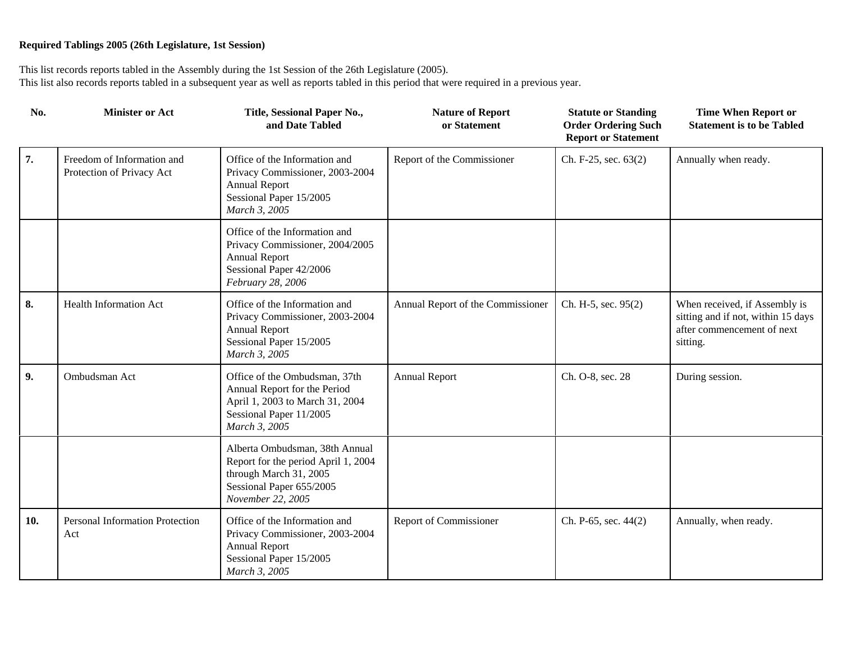| No. | <b>Minister or Act</b>                                  | Title, Sessional Paper No.,<br>and Date Tabled                                                                                                   | <b>Nature of Report</b><br>or Statement | <b>Statute or Standing</b><br><b>Order Ordering Such</b><br><b>Report or Statement</b> | <b>Time When Report or</b><br><b>Statement is to be Tabled</b>                                                |
|-----|---------------------------------------------------------|--------------------------------------------------------------------------------------------------------------------------------------------------|-----------------------------------------|----------------------------------------------------------------------------------------|---------------------------------------------------------------------------------------------------------------|
| 7.  | Freedom of Information and<br>Protection of Privacy Act | Office of the Information and<br>Privacy Commissioner, 2003-2004<br><b>Annual Report</b><br>Sessional Paper 15/2005<br>March 3, 2005             | Report of the Commissioner              | Ch. F-25, sec. 63(2)                                                                   | Annually when ready.                                                                                          |
|     |                                                         | Office of the Information and<br>Privacy Commissioner, 2004/2005<br><b>Annual Report</b><br>Sessional Paper 42/2006<br>February 28, 2006         |                                         |                                                                                        |                                                                                                               |
| 8.  | <b>Health Information Act</b>                           | Office of the Information and<br>Privacy Commissioner, 2003-2004<br><b>Annual Report</b><br>Sessional Paper 15/2005<br>March 3, 2005             | Annual Report of the Commissioner       | Ch. H-5, sec. 95(2)                                                                    | When received, if Assembly is<br>sitting and if not, within 15 days<br>after commencement of next<br>sitting. |
| 9.  | Ombudsman Act                                           | Office of the Ombudsman, 37th<br>Annual Report for the Period<br>April 1, 2003 to March 31, 2004<br>Sessional Paper 11/2005<br>March 3, 2005     | <b>Annual Report</b>                    | Ch. O-8, sec. 28                                                                       | During session.                                                                                               |
|     |                                                         | Alberta Ombudsman, 38th Annual<br>Report for the period April 1, 2004<br>through March 31, 2005<br>Sessional Paper 655/2005<br>November 22, 2005 |                                         |                                                                                        |                                                                                                               |
| 10. | Personal Information Protection<br>Act                  | Office of the Information and<br>Privacy Commissioner, 2003-2004<br><b>Annual Report</b><br>Sessional Paper 15/2005<br>March 3, 2005             | Report of Commissioner                  | Ch. P-65, sec. 44(2)                                                                   | Annually, when ready.                                                                                         |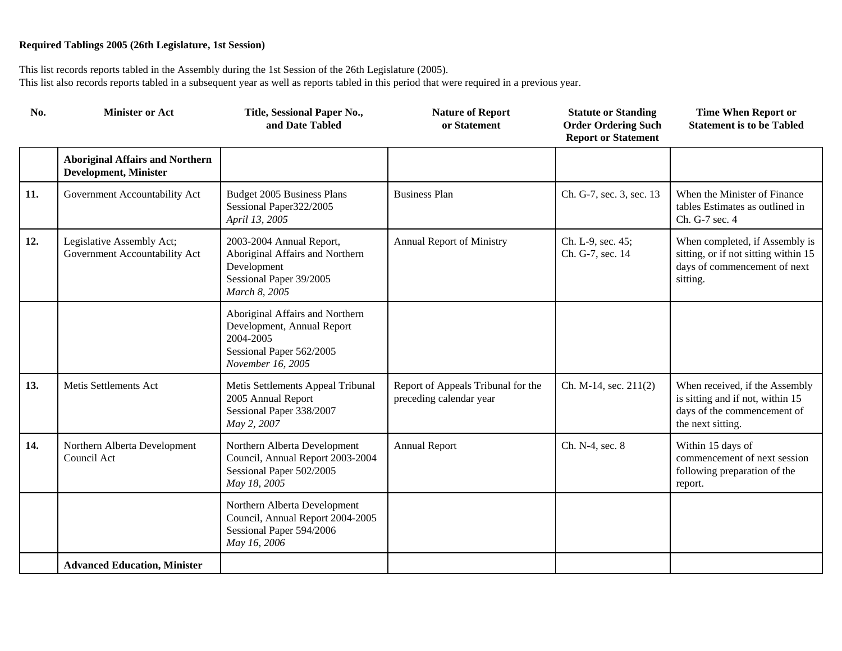| No. | <b>Minister or Act</b>                                                 | Title, Sessional Paper No.,<br>and Date Tabled                                                                              | <b>Nature of Report</b><br>or Statement                       | <b>Statute or Standing</b><br><b>Order Ordering Such</b><br><b>Report or Statement</b> | <b>Time When Report or</b><br><b>Statement is to be Tabled</b>                                                         |
|-----|------------------------------------------------------------------------|-----------------------------------------------------------------------------------------------------------------------------|---------------------------------------------------------------|----------------------------------------------------------------------------------------|------------------------------------------------------------------------------------------------------------------------|
|     | <b>Aboriginal Affairs and Northern</b><br><b>Development, Minister</b> |                                                                                                                             |                                                               |                                                                                        |                                                                                                                        |
| 11. | Government Accountability Act                                          | Budget 2005 Business Plans<br>Sessional Paper322/2005<br>April 13, 2005                                                     | <b>Business Plan</b>                                          | Ch. G-7, sec. 3, sec. 13                                                               | When the Minister of Finance<br>tables Estimates as outlined in<br>Ch. G-7 sec. 4                                      |
| 12. | Legislative Assembly Act;<br>Government Accountability Act             | 2003-2004 Annual Report,<br>Aboriginal Affairs and Northern<br>Development<br>Sessional Paper 39/2005<br>March 8, 2005      | <b>Annual Report of Ministry</b>                              | Ch. L-9, sec. 45;<br>Ch. G-7, sec. 14                                                  | When completed, if Assembly is<br>sitting, or if not sitting within 15<br>days of commencement of next<br>sitting.     |
|     |                                                                        | Aboriginal Affairs and Northern<br>Development, Annual Report<br>2004-2005<br>Sessional Paper 562/2005<br>November 16, 2005 |                                                               |                                                                                        |                                                                                                                        |
| 13. | Metis Settlements Act                                                  | Metis Settlements Appeal Tribunal<br>2005 Annual Report<br>Sessional Paper 338/2007<br>May 2, 2007                          | Report of Appeals Tribunal for the<br>preceding calendar year | Ch. M-14, sec. 211(2)                                                                  | When received, if the Assembly<br>is sitting and if not, within 15<br>days of the commencement of<br>the next sitting. |
| 14. | Northern Alberta Development<br>Council Act                            | Northern Alberta Development<br>Council, Annual Report 2003-2004<br>Sessional Paper 502/2005<br>May 18, 2005                | <b>Annual Report</b>                                          | Ch. N-4, sec. 8                                                                        | Within 15 days of<br>commencement of next session<br>following preparation of the<br>report.                           |
|     |                                                                        | Northern Alberta Development<br>Council, Annual Report 2004-2005<br>Sessional Paper 594/2006<br>May 16, 2006                |                                                               |                                                                                        |                                                                                                                        |
|     | <b>Advanced Education, Minister</b>                                    |                                                                                                                             |                                                               |                                                                                        |                                                                                                                        |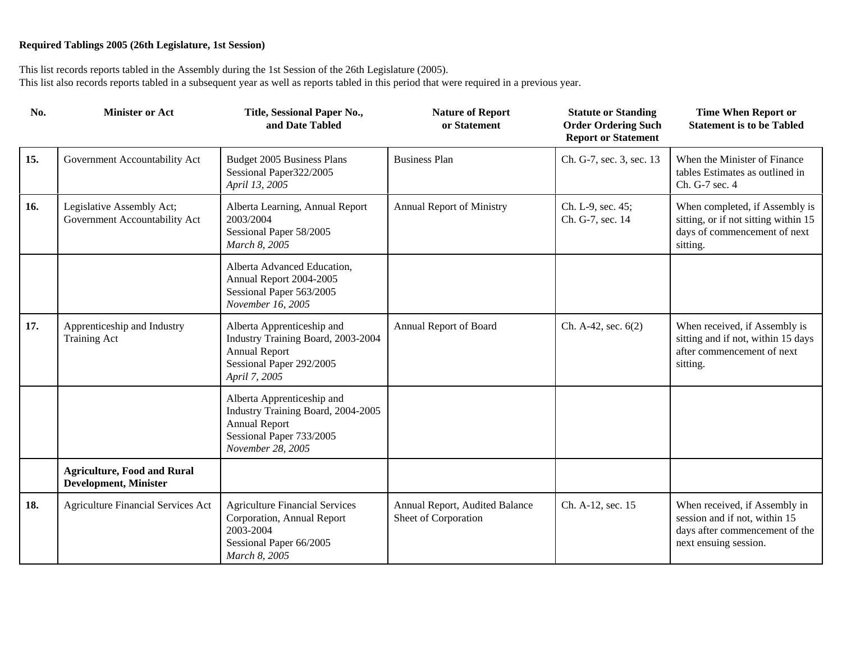| No. | <b>Minister or Act</b>                                             | Title, Sessional Paper No.,<br>and Date Tabled                                                                                            | <b>Nature of Report</b><br>or Statement                | <b>Statute or Standing</b><br><b>Order Ordering Such</b><br><b>Report or Statement</b> | <b>Time When Report or</b><br><b>Statement is to be Tabled</b>                                                            |
|-----|--------------------------------------------------------------------|-------------------------------------------------------------------------------------------------------------------------------------------|--------------------------------------------------------|----------------------------------------------------------------------------------------|---------------------------------------------------------------------------------------------------------------------------|
| 15. | Government Accountability Act                                      | Budget 2005 Business Plans<br>Sessional Paper322/2005<br>April 13, 2005                                                                   | <b>Business Plan</b>                                   | Ch. G-7, sec. 3, sec. 13                                                               | When the Minister of Finance<br>tables Estimates as outlined in<br>Ch. G-7 sec. 4                                         |
| 16. | Legislative Assembly Act;<br>Government Accountability Act         | Alberta Learning, Annual Report<br>2003/2004<br>Sessional Paper 58/2005<br>March 8, 2005                                                  | <b>Annual Report of Ministry</b>                       | Ch. L-9, sec. 45;<br>Ch. G-7, sec. 14                                                  | When completed, if Assembly is<br>sitting, or if not sitting within 15<br>days of commencement of next<br>sitting.        |
|     |                                                                    | Alberta Advanced Education,<br>Annual Report 2004-2005<br>Sessional Paper 563/2005<br>November 16, 2005                                   |                                                        |                                                                                        |                                                                                                                           |
| 17. | Apprenticeship and Industry<br>Training Act                        | Alberta Apprenticeship and<br>Industry Training Board, 2003-2004<br><b>Annual Report</b><br>Sessional Paper 292/2005<br>April 7, 2005     | Annual Report of Board                                 | Ch. A-42, sec. 6(2)                                                                    | When received, if Assembly is<br>sitting and if not, within 15 days<br>after commencement of next<br>sitting.             |
|     |                                                                    | Alberta Apprenticeship and<br>Industry Training Board, 2004-2005<br><b>Annual Report</b><br>Sessional Paper 733/2005<br>November 28, 2005 |                                                        |                                                                                        |                                                                                                                           |
|     | <b>Agriculture, Food and Rural</b><br><b>Development, Minister</b> |                                                                                                                                           |                                                        |                                                                                        |                                                                                                                           |
| 18. | <b>Agriculture Financial Services Act</b>                          | <b>Agriculture Financial Services</b><br>Corporation, Annual Report<br>2003-2004<br>Sessional Paper 66/2005<br>March 8, 2005              | Annual Report, Audited Balance<br>Sheet of Corporation | Ch. A-12, sec. 15                                                                      | When received, if Assembly in<br>session and if not, within 15<br>days after commencement of the<br>next ensuing session. |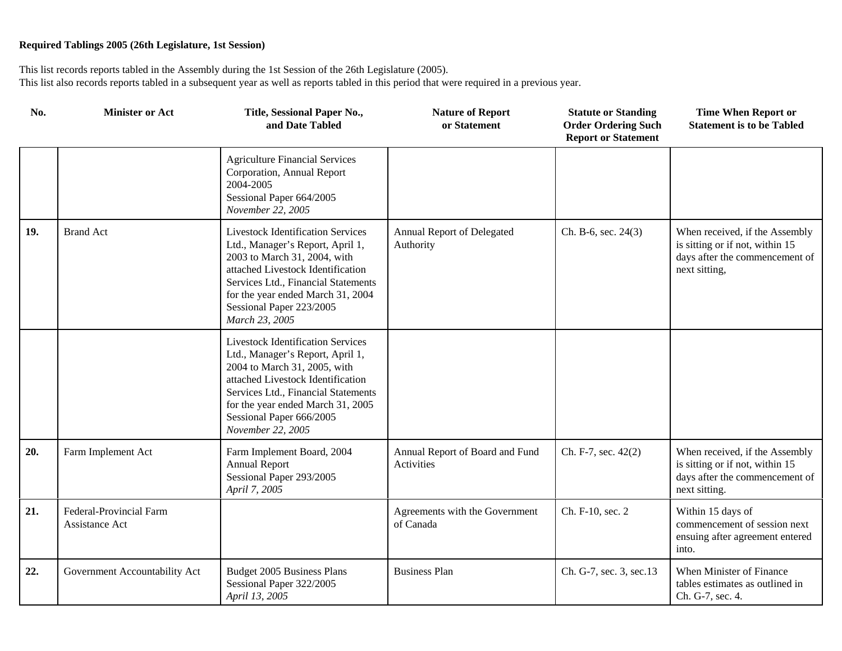| No. | <b>Minister or Act</b>                    | Title, Sessional Paper No.,<br>and Date Tabled                                                                                                                                                                                                                                 | <b>Nature of Report</b><br>or Statement       | <b>Statute or Standing</b><br><b>Order Ordering Such</b><br><b>Report or Statement</b> | <b>Time When Report or</b><br><b>Statement is to be Tabled</b>                                                       |
|-----|-------------------------------------------|--------------------------------------------------------------------------------------------------------------------------------------------------------------------------------------------------------------------------------------------------------------------------------|-----------------------------------------------|----------------------------------------------------------------------------------------|----------------------------------------------------------------------------------------------------------------------|
|     |                                           | <b>Agriculture Financial Services</b><br>Corporation, Annual Report<br>2004-2005<br>Sessional Paper 664/2005<br>November 22, 2005                                                                                                                                              |                                               |                                                                                        |                                                                                                                      |
| 19. | <b>Brand Act</b>                          | <b>Livestock Identification Services</b><br>Ltd., Manager's Report, April 1,<br>2003 to March 31, 2004, with<br>attached Livestock Identification<br>Services Ltd., Financial Statements<br>for the year ended March 31, 2004<br>Sessional Paper 223/2005<br>March 23, 2005    | Annual Report of Delegated<br>Authority       | Ch. B-6, sec. 24(3)                                                                    | When received, if the Assembly<br>is sitting or if not, within 15<br>days after the commencement of<br>next sitting, |
|     |                                           | <b>Livestock Identification Services</b><br>Ltd., Manager's Report, April 1,<br>2004 to March 31, 2005, with<br>attached Livestock Identification<br>Services Ltd., Financial Statements<br>for the year ended March 31, 2005<br>Sessional Paper 666/2005<br>November 22, 2005 |                                               |                                                                                        |                                                                                                                      |
| 20. | Farm Implement Act                        | Farm Implement Board, 2004<br><b>Annual Report</b><br>Sessional Paper 293/2005<br>April 7, 2005                                                                                                                                                                                | Annual Report of Board and Fund<br>Activities | Ch. F-7, sec. 42(2)                                                                    | When received, if the Assembly<br>is sitting or if not, within 15<br>days after the commencement of<br>next sitting. |
| 21. | Federal-Provincial Farm<br>Assistance Act |                                                                                                                                                                                                                                                                                | Agreements with the Government<br>of Canada   | Ch. F-10, sec. 2                                                                       | Within 15 days of<br>commencement of session next<br>ensuing after agreement entered<br>into.                        |
| 22. | Government Accountability Act             | Budget 2005 Business Plans<br>Sessional Paper 322/2005<br>April 13, 2005                                                                                                                                                                                                       | <b>Business Plan</b>                          | Ch. G-7, sec. 3, sec. 13                                                               | When Minister of Finance<br>tables estimates as outlined in<br>Ch. G-7, sec. 4.                                      |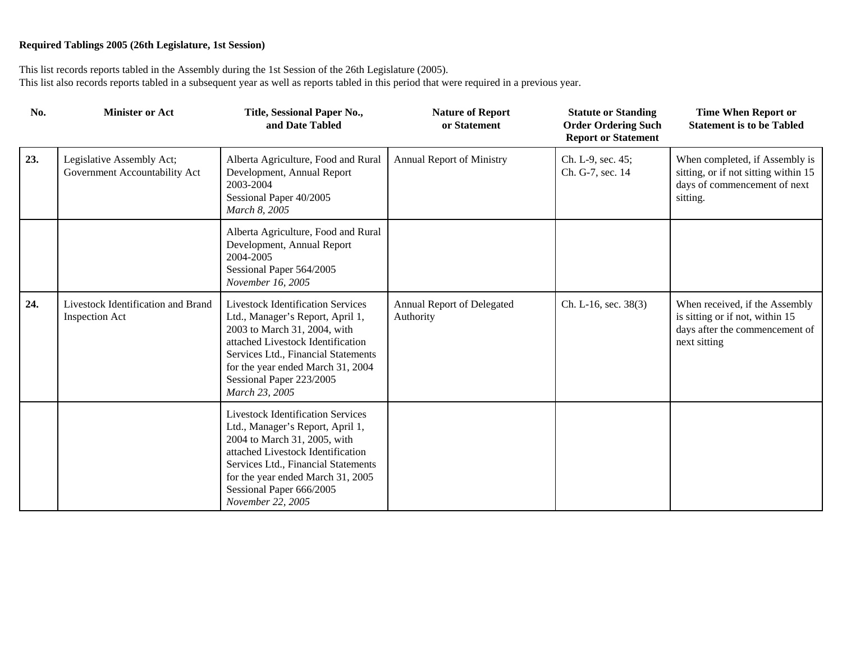| No. | <b>Minister or Act</b>                                      | Title, Sessional Paper No.,<br>and Date Tabled                                                                                                                                                                                                                                 | <b>Nature of Report</b><br>or Statement | <b>Statute or Standing</b><br><b>Order Ordering Such</b><br><b>Report or Statement</b> | <b>Time When Report or</b><br><b>Statement is to be Tabled</b>                                                      |
|-----|-------------------------------------------------------------|--------------------------------------------------------------------------------------------------------------------------------------------------------------------------------------------------------------------------------------------------------------------------------|-----------------------------------------|----------------------------------------------------------------------------------------|---------------------------------------------------------------------------------------------------------------------|
| 23. | Legislative Assembly Act;<br>Government Accountability Act  | Alberta Agriculture, Food and Rural<br>Development, Annual Report<br>2003-2004<br>Sessional Paper 40/2005<br>March 8, 2005                                                                                                                                                     | Annual Report of Ministry               | Ch. L-9, sec. 45;<br>Ch. G-7, sec. 14                                                  | When completed, if Assembly is<br>sitting, or if not sitting within 15<br>days of commencement of next<br>sitting.  |
|     |                                                             | Alberta Agriculture, Food and Rural<br>Development, Annual Report<br>2004-2005<br>Sessional Paper 564/2005<br>November 16, 2005                                                                                                                                                |                                         |                                                                                        |                                                                                                                     |
| 24. | Livestock Identification and Brand<br><b>Inspection Act</b> | <b>Livestock Identification Services</b><br>Ltd., Manager's Report, April 1,<br>2003 to March 31, 2004, with<br>attached Livestock Identification<br>Services Ltd., Financial Statements<br>for the year ended March 31, 2004<br>Sessional Paper 223/2005<br>March 23, 2005    | Annual Report of Delegated<br>Authority | Ch. L-16, sec. 38(3)                                                                   | When received, if the Assembly<br>is sitting or if not, within 15<br>days after the commencement of<br>next sitting |
|     |                                                             | <b>Livestock Identification Services</b><br>Ltd., Manager's Report, April 1,<br>2004 to March 31, 2005, with<br>attached Livestock Identification<br>Services Ltd., Financial Statements<br>for the year ended March 31, 2005<br>Sessional Paper 666/2005<br>November 22, 2005 |                                         |                                                                                        |                                                                                                                     |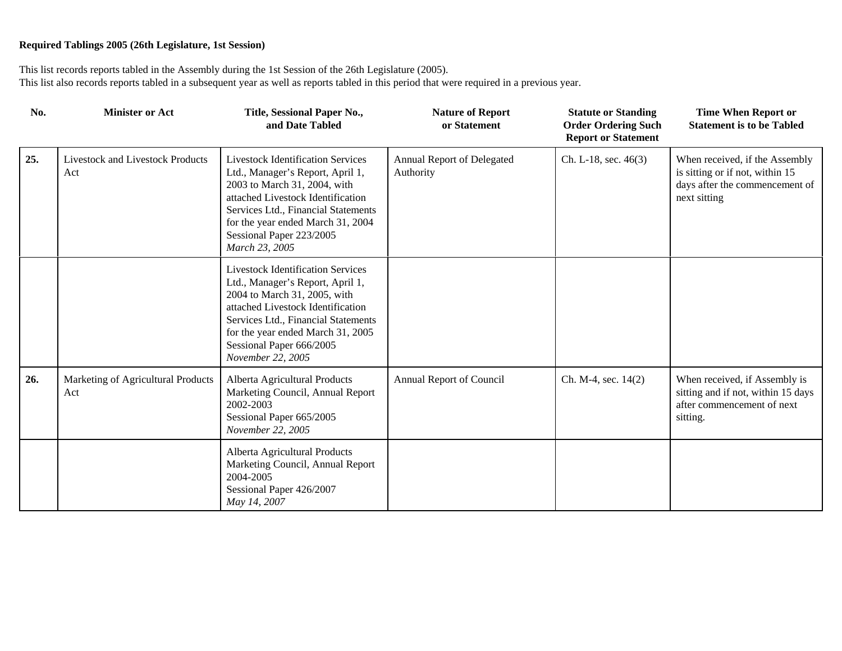| No. | <b>Minister or Act</b>                         | Title, Sessional Paper No.,<br>and Date Tabled                                                                                                                                                                                                                                 | <b>Nature of Report</b><br>or Statement | <b>Statute or Standing</b><br><b>Order Ordering Such</b><br><b>Report or Statement</b> | <b>Time When Report or</b><br><b>Statement is to be Tabled</b>                                                      |
|-----|------------------------------------------------|--------------------------------------------------------------------------------------------------------------------------------------------------------------------------------------------------------------------------------------------------------------------------------|-----------------------------------------|----------------------------------------------------------------------------------------|---------------------------------------------------------------------------------------------------------------------|
| 25. | <b>Livestock and Livestock Products</b><br>Act | <b>Livestock Identification Services</b><br>Ltd., Manager's Report, April 1,<br>2003 to March 31, 2004, with<br>attached Livestock Identification<br>Services Ltd., Financial Statements<br>for the year ended March 31, 2004<br>Sessional Paper 223/2005<br>March 23, 2005    | Annual Report of Delegated<br>Authority | Ch. L-18, sec. 46(3)                                                                   | When received, if the Assembly<br>is sitting or if not, within 15<br>days after the commencement of<br>next sitting |
|     |                                                | <b>Livestock Identification Services</b><br>Ltd., Manager's Report, April 1,<br>2004 to March 31, 2005, with<br>attached Livestock Identification<br>Services Ltd., Financial Statements<br>for the year ended March 31, 2005<br>Sessional Paper 666/2005<br>November 22, 2005 |                                         |                                                                                        |                                                                                                                     |
| 26. | Marketing of Agricultural Products<br>Act      | Alberta Agricultural Products<br>Marketing Council, Annual Report<br>2002-2003<br>Sessional Paper 665/2005<br>November 22, 2005                                                                                                                                                | Annual Report of Council                | Ch. M-4, sec. 14(2)                                                                    | When received, if Assembly is<br>sitting and if not, within 15 days<br>after commencement of next<br>sitting.       |
|     |                                                | Alberta Agricultural Products<br>Marketing Council, Annual Report<br>2004-2005<br>Sessional Paper 426/2007<br>May 14, 2007                                                                                                                                                     |                                         |                                                                                        |                                                                                                                     |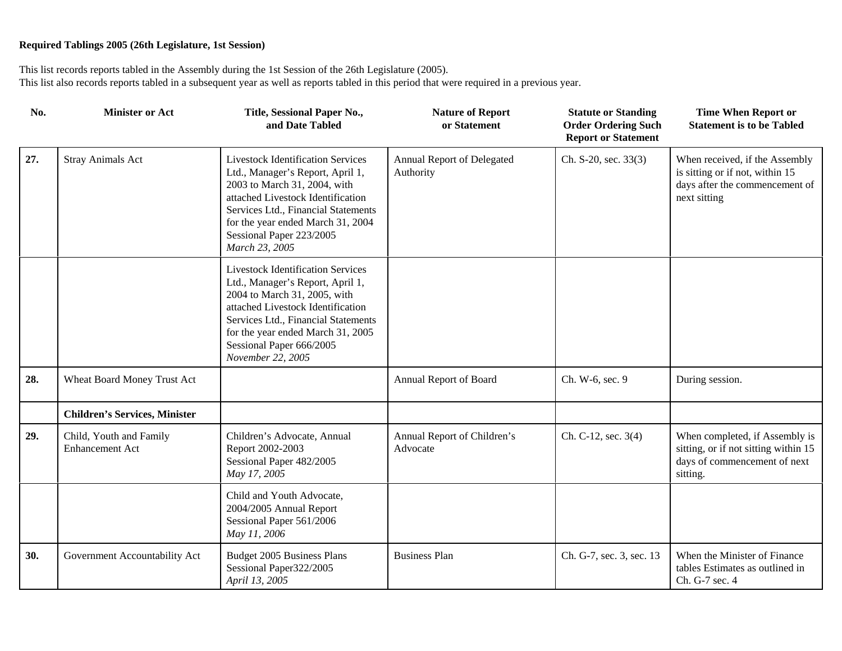| No. | <b>Minister or Act</b>                            | Title, Sessional Paper No.,<br>and Date Tabled                                                                                                                                                                                                                                 | <b>Nature of Report</b><br>or Statement | <b>Statute or Standing</b><br><b>Order Ordering Such</b><br><b>Report or Statement</b> | <b>Time When Report or</b><br><b>Statement is to be Tabled</b>                                                      |
|-----|---------------------------------------------------|--------------------------------------------------------------------------------------------------------------------------------------------------------------------------------------------------------------------------------------------------------------------------------|-----------------------------------------|----------------------------------------------------------------------------------------|---------------------------------------------------------------------------------------------------------------------|
| 27. | <b>Stray Animals Act</b>                          | <b>Livestock Identification Services</b><br>Ltd., Manager's Report, April 1,<br>2003 to March 31, 2004, with<br>attached Livestock Identification<br>Services Ltd., Financial Statements<br>for the year ended March 31, 2004<br>Sessional Paper 223/2005<br>March 23, 2005    | Annual Report of Delegated<br>Authority | Ch. S-20, sec. 33(3)                                                                   | When received, if the Assembly<br>is sitting or if not, within 15<br>days after the commencement of<br>next sitting |
|     |                                                   | <b>Livestock Identification Services</b><br>Ltd., Manager's Report, April 1,<br>2004 to March 31, 2005, with<br>attached Livestock Identification<br>Services Ltd., Financial Statements<br>for the year ended March 31, 2005<br>Sessional Paper 666/2005<br>November 22, 2005 |                                         |                                                                                        |                                                                                                                     |
| 28. | Wheat Board Money Trust Act                       |                                                                                                                                                                                                                                                                                | Annual Report of Board                  | Ch. W-6, sec. 9                                                                        | During session.                                                                                                     |
|     | <b>Children's Services, Minister</b>              |                                                                                                                                                                                                                                                                                |                                         |                                                                                        |                                                                                                                     |
| 29. | Child, Youth and Family<br><b>Enhancement Act</b> | Children's Advocate, Annual<br>Report 2002-2003<br>Sessional Paper 482/2005<br>May 17, 2005                                                                                                                                                                                    | Annual Report of Children's<br>Advocate | Ch. C-12, sec. 3(4)                                                                    | When completed, if Assembly is<br>sitting, or if not sitting within 15<br>days of commencement of next<br>sitting.  |
|     |                                                   | Child and Youth Advocate,<br>2004/2005 Annual Report<br>Sessional Paper 561/2006<br>May 11, 2006                                                                                                                                                                               |                                         |                                                                                        |                                                                                                                     |
| 30. | Government Accountability Act                     | Budget 2005 Business Plans<br>Sessional Paper322/2005<br>April 13, 2005                                                                                                                                                                                                        | <b>Business Plan</b>                    | Ch. G-7, sec. 3, sec. 13                                                               | When the Minister of Finance<br>tables Estimates as outlined in<br>Ch. G-7 sec. 4                                   |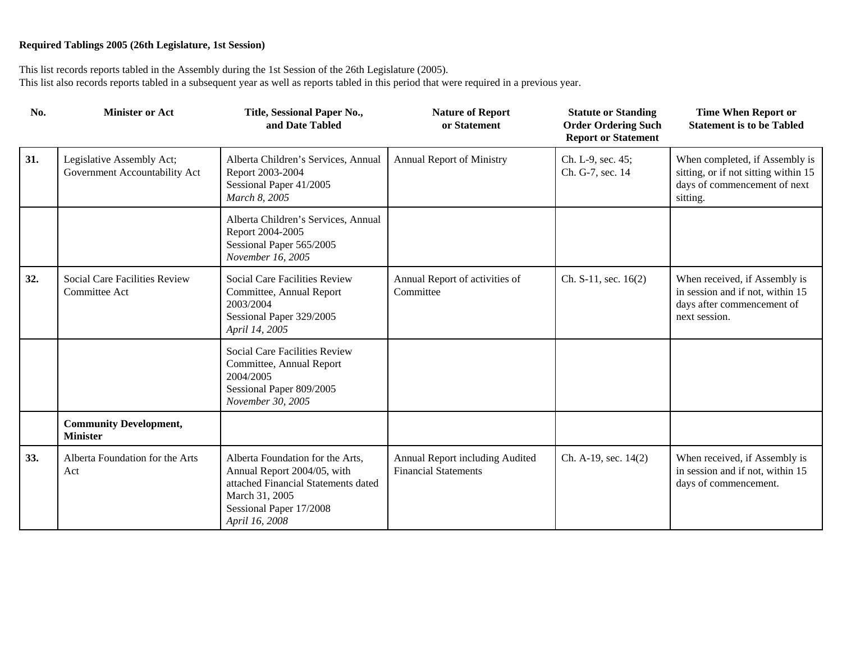| No. | <b>Minister or Act</b>                                     | Title, Sessional Paper No.,<br>and Date Tabled                                                                                                                        | <b>Nature of Report</b><br>or Statement                        | <b>Statute or Standing</b><br><b>Order Ordering Such</b><br><b>Report or Statement</b> | <b>Time When Report or</b><br><b>Statement is to be Tabled</b>                                                     |
|-----|------------------------------------------------------------|-----------------------------------------------------------------------------------------------------------------------------------------------------------------------|----------------------------------------------------------------|----------------------------------------------------------------------------------------|--------------------------------------------------------------------------------------------------------------------|
| 31. | Legislative Assembly Act;<br>Government Accountability Act | Alberta Children's Services, Annual<br>Report 2003-2004<br>Sessional Paper 41/2005<br>March 8, 2005                                                                   | <b>Annual Report of Ministry</b>                               | Ch. L-9, sec. 45;<br>Ch. G-7, sec. 14                                                  | When completed, if Assembly is<br>sitting, or if not sitting within 15<br>days of commencement of next<br>sitting. |
|     |                                                            | Alberta Children's Services, Annual<br>Report 2004-2005<br>Sessional Paper 565/2005<br>November 16, 2005                                                              |                                                                |                                                                                        |                                                                                                                    |
| 32. | Social Care Facilities Review<br>Committee Act             | Social Care Facilities Review<br>Committee, Annual Report<br>2003/2004<br>Sessional Paper 329/2005<br>April 14, 2005                                                  | Annual Report of activities of<br>Committee                    | Ch. $S-11$ , sec. $16(2)$                                                              | When received, if Assembly is<br>in session and if not, within 15<br>days after commencement of<br>next session.   |
|     |                                                            | Social Care Facilities Review<br>Committee, Annual Report<br>2004/2005<br>Sessional Paper 809/2005<br>November 30, 2005                                               |                                                                |                                                                                        |                                                                                                                    |
|     | <b>Community Development,</b><br><b>Minister</b>           |                                                                                                                                                                       |                                                                |                                                                                        |                                                                                                                    |
| 33. | Alberta Foundation for the Arts<br>Act                     | Alberta Foundation for the Arts,<br>Annual Report 2004/05, with<br>attached Financial Statements dated<br>March 31, 2005<br>Sessional Paper 17/2008<br>April 16, 2008 | Annual Report including Audited<br><b>Financial Statements</b> | Ch. A-19, sec. 14(2)                                                                   | When received, if Assembly is<br>in session and if not, within 15<br>days of commencement.                         |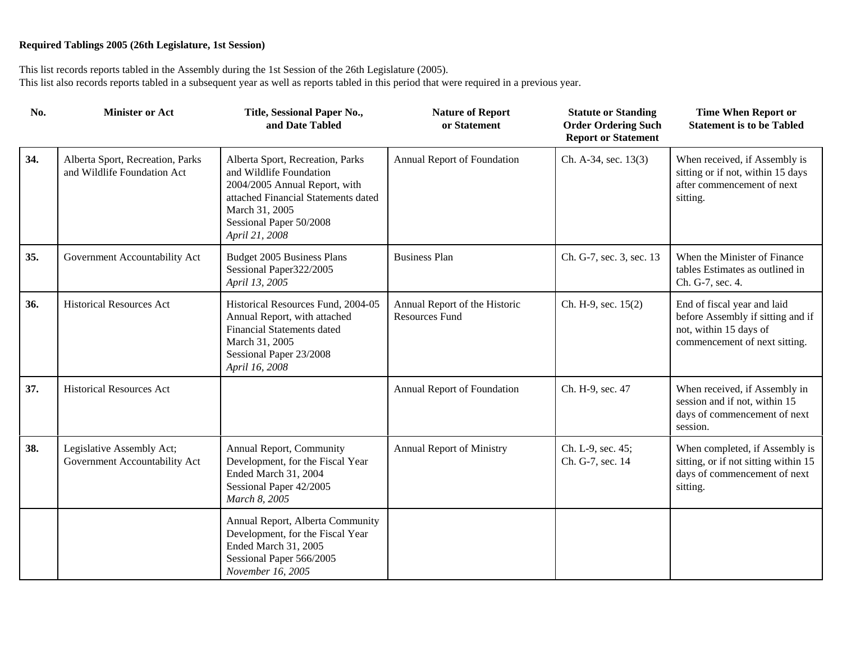| No. | <b>Minister or Act</b>                                          | Title, Sessional Paper No.,<br>and Date Tabled                                                                                                                                                     | <b>Nature of Report</b><br>or Statement                | <b>Statute or Standing</b><br><b>Order Ordering Such</b><br><b>Report or Statement</b> | <b>Time When Report or</b><br><b>Statement is to be Tabled</b>                                                              |
|-----|-----------------------------------------------------------------|----------------------------------------------------------------------------------------------------------------------------------------------------------------------------------------------------|--------------------------------------------------------|----------------------------------------------------------------------------------------|-----------------------------------------------------------------------------------------------------------------------------|
| 34. | Alberta Sport, Recreation, Parks<br>and Wildlife Foundation Act | Alberta Sport, Recreation, Parks<br>and Wildlife Foundation<br>2004/2005 Annual Report, with<br>attached Financial Statements dated<br>March 31, 2005<br>Sessional Paper 50/2008<br>April 21, 2008 | Annual Report of Foundation                            | Ch. A-34, sec. 13(3)                                                                   | When received, if Assembly is<br>sitting or if not, within 15 days<br>after commencement of next<br>sitting.                |
| 35. | Government Accountability Act                                   | Budget 2005 Business Plans<br>Sessional Paper322/2005<br>April 13, 2005                                                                                                                            | <b>Business Plan</b>                                   | Ch. G-7, sec. 3, sec. 13                                                               | When the Minister of Finance<br>tables Estimates as outlined in<br>Ch. G-7, sec. 4.                                         |
| 36. | <b>Historical Resources Act</b>                                 | Historical Resources Fund, 2004-05<br>Annual Report, with attached<br><b>Financial Statements dated</b><br>March 31, 2005<br>Sessional Paper 23/2008<br>April 16, 2008                             | Annual Report of the Historic<br><b>Resources Fund</b> | Ch. H-9, sec. 15(2)                                                                    | End of fiscal year and laid<br>before Assembly if sitting and if<br>not, within 15 days of<br>commencement of next sitting. |
| 37. | <b>Historical Resources Act</b>                                 |                                                                                                                                                                                                    | Annual Report of Foundation                            | Ch. H-9, sec. 47                                                                       | When received, if Assembly in<br>session and if not, within 15<br>days of commencement of next<br>session.                  |
| 38. | Legislative Assembly Act;<br>Government Accountability Act      | Annual Report, Community<br>Development, for the Fiscal Year<br>Ended March 31, 2004<br>Sessional Paper 42/2005<br>March 8, 2005                                                                   | Annual Report of Ministry                              | Ch. L-9, sec. 45;<br>Ch. G-7, sec. 14                                                  | When completed, if Assembly is<br>sitting, or if not sitting within 15<br>days of commencement of next<br>sitting.          |
|     |                                                                 | Annual Report, Alberta Community<br>Development, for the Fiscal Year<br>Ended March 31, 2005<br>Sessional Paper 566/2005<br>November 16, 2005                                                      |                                                        |                                                                                        |                                                                                                                             |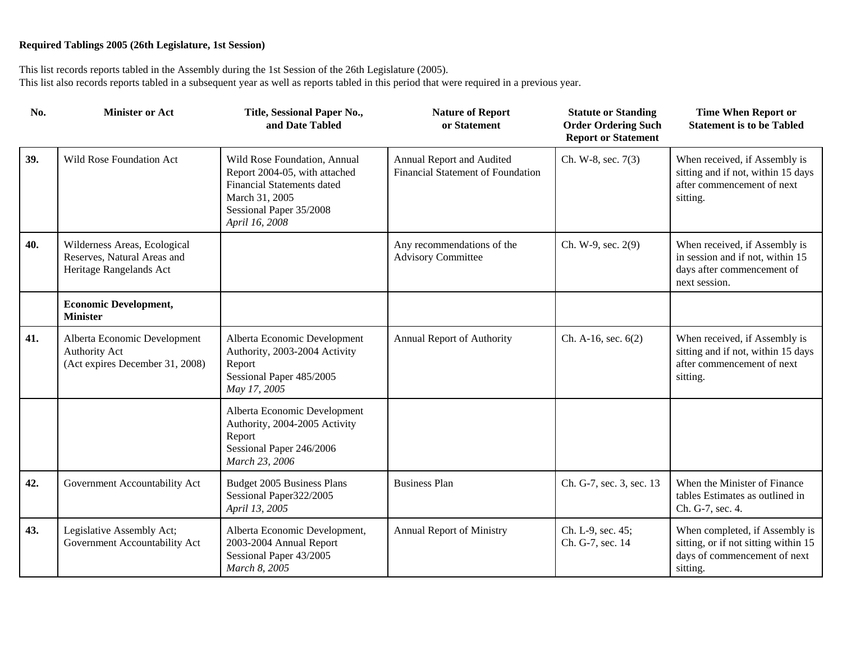| No. | <b>Minister or Act</b>                                                                 | Title, Sessional Paper No.,<br>and Date Tabled                                                                                                                    | <b>Nature of Report</b><br>or Statement                               | <b>Statute or Standing</b><br><b>Order Ordering Such</b><br><b>Report or Statement</b> | <b>Time When Report or</b><br><b>Statement is to be Tabled</b>                                                     |
|-----|----------------------------------------------------------------------------------------|-------------------------------------------------------------------------------------------------------------------------------------------------------------------|-----------------------------------------------------------------------|----------------------------------------------------------------------------------------|--------------------------------------------------------------------------------------------------------------------|
| 39. | Wild Rose Foundation Act                                                               | Wild Rose Foundation, Annual<br>Report 2004-05, with attached<br><b>Financial Statements dated</b><br>March 31, 2005<br>Sessional Paper 35/2008<br>April 16, 2008 | Annual Report and Audited<br><b>Financial Statement of Foundation</b> | Ch. W-8, sec. 7(3)                                                                     | When received, if Assembly is<br>sitting and if not, within 15 days<br>after commencement of next<br>sitting.      |
| 40. | Wilderness Areas, Ecological<br>Reserves, Natural Areas and<br>Heritage Rangelands Act |                                                                                                                                                                   | Any recommendations of the<br><b>Advisory Committee</b>               | Ch. W-9, sec. 2(9)                                                                     | When received, if Assembly is<br>in session and if not, within 15<br>days after commencement of<br>next session.   |
|     | <b>Economic Development,</b><br><b>Minister</b>                                        |                                                                                                                                                                   |                                                                       |                                                                                        |                                                                                                                    |
| 41. | Alberta Economic Development<br>Authority Act<br>(Act expires December 31, 2008)       | Alberta Economic Development<br>Authority, 2003-2004 Activity<br>Report<br>Sessional Paper 485/2005<br>May 17, 2005                                               | Annual Report of Authority                                            | Ch. A-16, sec. $6(2)$                                                                  | When received, if Assembly is<br>sitting and if not, within 15 days<br>after commencement of next<br>sitting.      |
|     |                                                                                        | Alberta Economic Development<br>Authority, 2004-2005 Activity<br>Report<br>Sessional Paper 246/2006<br>March 23, 2006                                             |                                                                       |                                                                                        |                                                                                                                    |
| 42. | Government Accountability Act                                                          | Budget 2005 Business Plans<br>Sessional Paper322/2005<br>April 13, 2005                                                                                           | <b>Business Plan</b>                                                  | Ch. G-7, sec. 3, sec. 13                                                               | When the Minister of Finance<br>tables Estimates as outlined in<br>Ch. G-7, sec. 4.                                |
| 43. | Legislative Assembly Act;<br>Government Accountability Act                             | Alberta Economic Development,<br>2003-2004 Annual Report<br>Sessional Paper 43/2005<br>March 8, 2005                                                              | <b>Annual Report of Ministry</b>                                      | Ch. L-9, sec. 45;<br>Ch. G-7, sec. 14                                                  | When completed, if Assembly is<br>sitting, or if not sitting within 15<br>days of commencement of next<br>sitting. |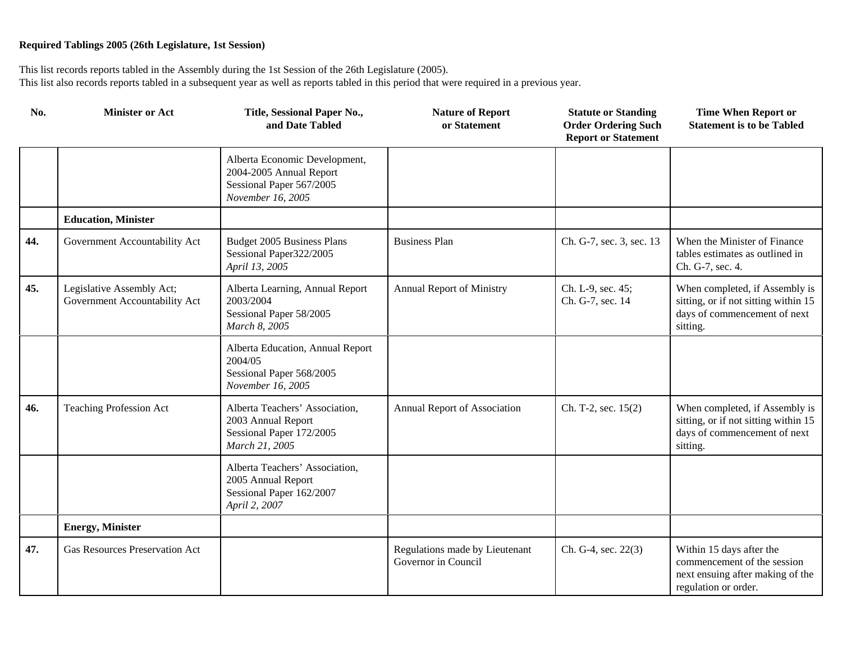| No. | <b>Minister or Act</b>                                     | Title, Sessional Paper No.,<br>and Date Tabled                                                            | <b>Nature of Report</b><br>or Statement               | <b>Statute or Standing</b><br><b>Order Ordering Such</b><br><b>Report or Statement</b> | <b>Time When Report or</b><br><b>Statement is to be Tabled</b>                                                      |
|-----|------------------------------------------------------------|-----------------------------------------------------------------------------------------------------------|-------------------------------------------------------|----------------------------------------------------------------------------------------|---------------------------------------------------------------------------------------------------------------------|
|     |                                                            | Alberta Economic Development,<br>2004-2005 Annual Report<br>Sessional Paper 567/2005<br>November 16, 2005 |                                                       |                                                                                        |                                                                                                                     |
|     | <b>Education, Minister</b>                                 |                                                                                                           |                                                       |                                                                                        |                                                                                                                     |
| 44. | Government Accountability Act                              | <b>Budget 2005 Business Plans</b><br>Sessional Paper322/2005<br>April 13, 2005                            | <b>Business Plan</b>                                  | Ch. G-7, sec. 3, sec. 13                                                               | When the Minister of Finance<br>tables estimates as outlined in<br>Ch. G-7, sec. 4.                                 |
| 45. | Legislative Assembly Act;<br>Government Accountability Act | Alberta Learning, Annual Report<br>2003/2004<br>Sessional Paper 58/2005<br>March 8, 2005                  | Annual Report of Ministry                             | Ch. L-9, sec. 45;<br>Ch. G-7, sec. 14                                                  | When completed, if Assembly is<br>sitting, or if not sitting within 15<br>days of commencement of next<br>sitting.  |
|     |                                                            | Alberta Education, Annual Report<br>2004/05<br>Sessional Paper 568/2005<br>November 16, 2005              |                                                       |                                                                                        |                                                                                                                     |
| 46. | <b>Teaching Profession Act</b>                             | Alberta Teachers' Association,<br>2003 Annual Report<br>Sessional Paper 172/2005<br>March 21, 2005        | Annual Report of Association                          | Ch. T-2, sec. 15(2)                                                                    | When completed, if Assembly is<br>sitting, or if not sitting within 15<br>days of commencement of next<br>sitting.  |
|     |                                                            | Alberta Teachers' Association,<br>2005 Annual Report<br>Sessional Paper 162/2007<br>April 2, 2007         |                                                       |                                                                                        |                                                                                                                     |
|     | <b>Energy, Minister</b>                                    |                                                                                                           |                                                       |                                                                                        |                                                                                                                     |
| 47. | <b>Gas Resources Preservation Act</b>                      |                                                                                                           | Regulations made by Lieutenant<br>Governor in Council | Ch. G-4, sec. 22(3)                                                                    | Within 15 days after the<br>commencement of the session<br>next ensuing after making of the<br>regulation or order. |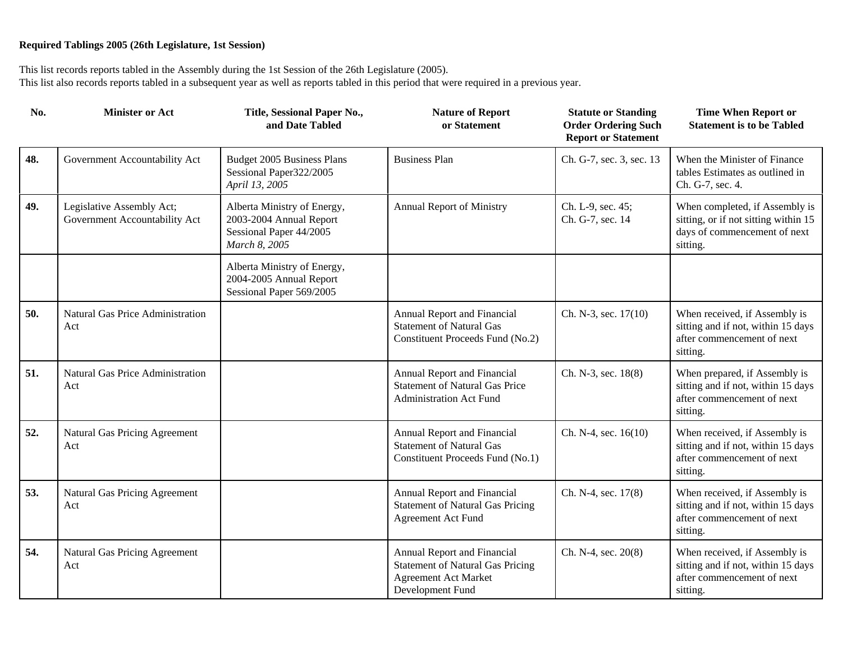| No. | <b>Minister or Act</b>                                     | Title, Sessional Paper No.,<br>and Date Tabled                                                     | <b>Nature of Report</b><br>or Statement                                                                                   | <b>Statute or Standing</b><br><b>Order Ordering Such</b><br><b>Report or Statement</b> | <b>Time When Report or</b><br><b>Statement is to be Tabled</b>                                                     |
|-----|------------------------------------------------------------|----------------------------------------------------------------------------------------------------|---------------------------------------------------------------------------------------------------------------------------|----------------------------------------------------------------------------------------|--------------------------------------------------------------------------------------------------------------------|
| 48. | Government Accountability Act                              | Budget 2005 Business Plans<br>Sessional Paper322/2005<br>April 13, 2005                            | <b>Business Plan</b>                                                                                                      | Ch. G-7, sec. 3, sec. 13                                                               | When the Minister of Finance<br>tables Estimates as outlined in<br>Ch. G-7, sec. 4.                                |
| 49. | Legislative Assembly Act;<br>Government Accountability Act | Alberta Ministry of Energy,<br>2003-2004 Annual Report<br>Sessional Paper 44/2005<br>March 8, 2005 | <b>Annual Report of Ministry</b>                                                                                          | Ch. L-9, sec. 45;<br>Ch. G-7, sec. 14                                                  | When completed, if Assembly is<br>sitting, or if not sitting within 15<br>days of commencement of next<br>sitting. |
|     |                                                            | Alberta Ministry of Energy,<br>2004-2005 Annual Report<br>Sessional Paper 569/2005                 |                                                                                                                           |                                                                                        |                                                                                                                    |
| 50. | Natural Gas Price Administration<br>Act                    |                                                                                                    | Annual Report and Financial<br><b>Statement of Natural Gas</b><br>Constituent Proceeds Fund (No.2)                        | Ch. N-3, sec. 17(10)                                                                   | When received, if Assembly is<br>sitting and if not, within 15 days<br>after commencement of next<br>sitting.      |
| 51. | Natural Gas Price Administration<br>Act                    |                                                                                                    | Annual Report and Financial<br><b>Statement of Natural Gas Price</b><br><b>Administration Act Fund</b>                    | Ch. N-3, sec. 18(8)                                                                    | When prepared, if Assembly is<br>sitting and if not, within 15 days<br>after commencement of next<br>sitting.      |
| 52. | Natural Gas Pricing Agreement<br>Act                       |                                                                                                    | Annual Report and Financial<br><b>Statement of Natural Gas</b><br>Constituent Proceeds Fund (No.1)                        | Ch. N-4, sec. 16(10)                                                                   | When received, if Assembly is<br>sitting and if not, within 15 days<br>after commencement of next<br>sitting.      |
| 53. | Natural Gas Pricing Agreement<br>Act                       |                                                                                                    | Annual Report and Financial<br><b>Statement of Natural Gas Pricing</b><br><b>Agreement Act Fund</b>                       | Ch. N-4, sec. 17(8)                                                                    | When received, if Assembly is<br>sitting and if not, within 15 days<br>after commencement of next<br>sitting.      |
| 54. | Natural Gas Pricing Agreement<br>Act                       |                                                                                                    | Annual Report and Financial<br><b>Statement of Natural Gas Pricing</b><br><b>Agreement Act Market</b><br>Development Fund | Ch. N-4, sec. 20(8)                                                                    | When received, if Assembly is<br>sitting and if not, within 15 days<br>after commencement of next<br>sitting.      |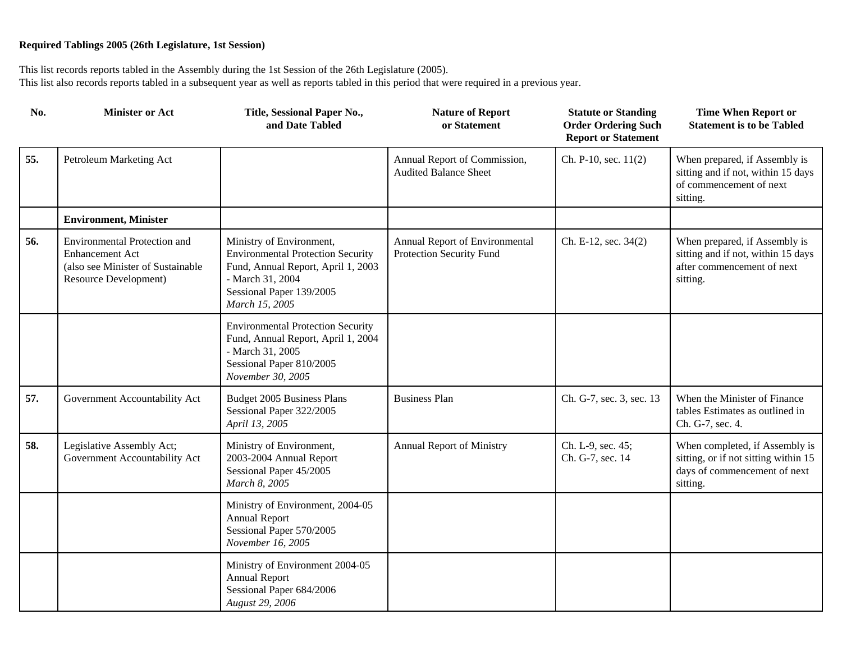| No. | <b>Minister or Act</b>                                                                                                      | Title, Sessional Paper No.,<br>and Date Tabled                                                                                                                               | <b>Nature of Report</b><br>or Statement                      | <b>Statute or Standing</b><br><b>Order Ordering Such</b><br><b>Report or Statement</b> | <b>Time When Report or</b><br><b>Statement is to be Tabled</b>                                                     |
|-----|-----------------------------------------------------------------------------------------------------------------------------|------------------------------------------------------------------------------------------------------------------------------------------------------------------------------|--------------------------------------------------------------|----------------------------------------------------------------------------------------|--------------------------------------------------------------------------------------------------------------------|
| 55. | Petroleum Marketing Act                                                                                                     |                                                                                                                                                                              | Annual Report of Commission,<br><b>Audited Balance Sheet</b> | Ch. P-10, sec. 11(2)                                                                   | When prepared, if Assembly is<br>sitting and if not, within 15 days<br>of commencement of next<br>sitting.         |
|     | <b>Environment, Minister</b>                                                                                                |                                                                                                                                                                              |                                                              |                                                                                        |                                                                                                                    |
| 56. | <b>Environmental Protection and</b><br><b>Enhancement Act</b><br>(also see Minister of Sustainable<br>Resource Development) | Ministry of Environment,<br><b>Environmental Protection Security</b><br>Fund, Annual Report, April 1, 2003<br>- March 31, 2004<br>Sessional Paper 139/2005<br>March 15, 2005 | Annual Report of Environmental<br>Protection Security Fund   | Ch. E-12, sec. 34(2)                                                                   | When prepared, if Assembly is<br>sitting and if not, within 15 days<br>after commencement of next<br>sitting.      |
|     |                                                                                                                             | <b>Environmental Protection Security</b><br>Fund, Annual Report, April 1, 2004<br>- March 31, 2005<br>Sessional Paper 810/2005<br>November 30, 2005                          |                                                              |                                                                                        |                                                                                                                    |
| 57. | Government Accountability Act                                                                                               | Budget 2005 Business Plans<br>Sessional Paper 322/2005<br>April 13, 2005                                                                                                     | <b>Business Plan</b>                                         | Ch. G-7, sec. 3, sec. 13                                                               | When the Minister of Finance<br>tables Estimates as outlined in<br>Ch. G-7, sec. 4.                                |
| 58. | Legislative Assembly Act;<br>Government Accountability Act                                                                  | Ministry of Environment,<br>2003-2004 Annual Report<br>Sessional Paper 45/2005<br>March 8, 2005                                                                              | Annual Report of Ministry                                    | Ch. L-9, sec. 45;<br>Ch. G-7, sec. 14                                                  | When completed, if Assembly is<br>sitting, or if not sitting within 15<br>days of commencement of next<br>sitting. |
|     |                                                                                                                             | Ministry of Environment, 2004-05<br><b>Annual Report</b><br>Sessional Paper 570/2005<br>November 16, 2005                                                                    |                                                              |                                                                                        |                                                                                                                    |
|     |                                                                                                                             | Ministry of Environment 2004-05<br><b>Annual Report</b><br>Sessional Paper 684/2006<br>August 29, 2006                                                                       |                                                              |                                                                                        |                                                                                                                    |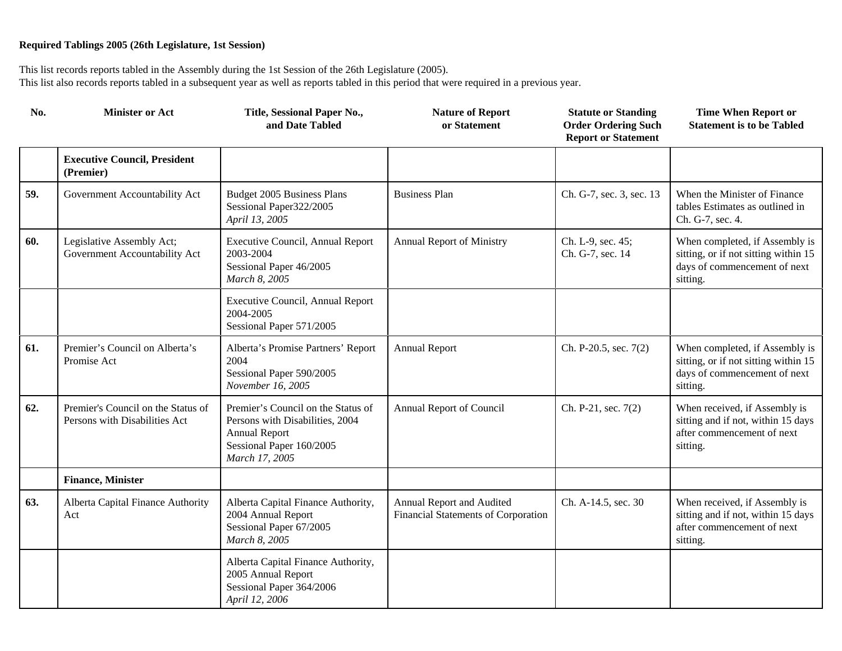| No. | <b>Minister or Act</b>                                              | Title, Sessional Paper No.,<br>and Date Tabled                                                                                              | <b>Nature of Report</b><br>or Statement                          | <b>Statute or Standing</b><br><b>Order Ordering Such</b><br><b>Report or Statement</b> | <b>Time When Report or</b><br><b>Statement is to be Tabled</b>                                                     |
|-----|---------------------------------------------------------------------|---------------------------------------------------------------------------------------------------------------------------------------------|------------------------------------------------------------------|----------------------------------------------------------------------------------------|--------------------------------------------------------------------------------------------------------------------|
|     | <b>Executive Council, President</b><br>(Premier)                    |                                                                                                                                             |                                                                  |                                                                                        |                                                                                                                    |
| 59. | Government Accountability Act                                       | Budget 2005 Business Plans<br>Sessional Paper322/2005<br>April 13, 2005                                                                     | <b>Business Plan</b>                                             | Ch. G-7, sec. 3, sec. 13                                                               | When the Minister of Finance<br>tables Estimates as outlined in<br>Ch. G-7, sec. 4.                                |
| 60. | Legislative Assembly Act;<br>Government Accountability Act          | Executive Council, Annual Report<br>2003-2004<br>Sessional Paper 46/2005<br>March 8, 2005                                                   | <b>Annual Report of Ministry</b>                                 | Ch. L-9, sec. 45;<br>Ch. G-7, sec. 14                                                  | When completed, if Assembly is<br>sitting, or if not sitting within 15<br>days of commencement of next<br>sitting. |
|     |                                                                     | Executive Council, Annual Report<br>2004-2005<br>Sessional Paper 571/2005                                                                   |                                                                  |                                                                                        |                                                                                                                    |
| 61. | Premier's Council on Alberta's<br>Promise Act                       | Alberta's Promise Partners' Report<br>2004<br>Sessional Paper 590/2005<br>November 16, 2005                                                 | <b>Annual Report</b>                                             | Ch. P-20.5, sec. 7(2)                                                                  | When completed, if Assembly is<br>sitting, or if not sitting within 15<br>days of commencement of next<br>sitting. |
| 62. | Premier's Council on the Status of<br>Persons with Disabilities Act | Premier's Council on the Status of<br>Persons with Disabilities, 2004<br><b>Annual Report</b><br>Sessional Paper 160/2005<br>March 17, 2005 | Annual Report of Council                                         | Ch. P-21, sec. 7(2)                                                                    | When received, if Assembly is<br>sitting and if not, within 15 days<br>after commencement of next<br>sitting.      |
|     | <b>Finance, Minister</b>                                            |                                                                                                                                             |                                                                  |                                                                                        |                                                                                                                    |
| 63. | Alberta Capital Finance Authority<br>Act                            | Alberta Capital Finance Authority,<br>2004 Annual Report<br>Sessional Paper 67/2005<br>March 8, 2005                                        | Annual Report and Audited<br>Financial Statements of Corporation | Ch. A-14.5, sec. 30                                                                    | When received, if Assembly is<br>sitting and if not, within 15 days<br>after commencement of next<br>sitting.      |
|     |                                                                     | Alberta Capital Finance Authority,<br>2005 Annual Report<br>Sessional Paper 364/2006<br>April 12, 2006                                      |                                                                  |                                                                                        |                                                                                                                    |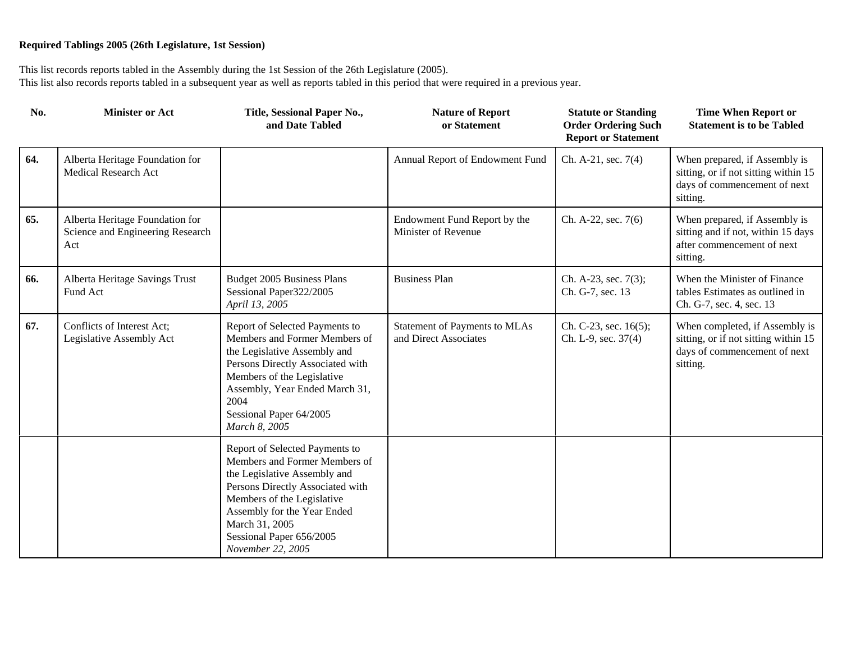| No. | <b>Minister or Act</b>                                                     | Title, Sessional Paper No.,<br>and Date Tabled                                                                                                                                                                                                                      | <b>Nature of Report</b><br>or Statement                | <b>Statute or Standing</b><br><b>Order Ordering Such</b><br><b>Report or Statement</b> | <b>Time When Report or</b><br><b>Statement is to be Tabled</b>                                                     |
|-----|----------------------------------------------------------------------------|---------------------------------------------------------------------------------------------------------------------------------------------------------------------------------------------------------------------------------------------------------------------|--------------------------------------------------------|----------------------------------------------------------------------------------------|--------------------------------------------------------------------------------------------------------------------|
| 64. | Alberta Heritage Foundation for<br><b>Medical Research Act</b>             |                                                                                                                                                                                                                                                                     | Annual Report of Endowment Fund                        | Ch. A-21, sec. 7(4)                                                                    | When prepared, if Assembly is<br>sitting, or if not sitting within 15<br>days of commencement of next<br>sitting.  |
| 65. | Alberta Heritage Foundation for<br>Science and Engineering Research<br>Act |                                                                                                                                                                                                                                                                     | Endowment Fund Report by the<br>Minister of Revenue    | Ch. A-22, sec. 7(6)                                                                    | When prepared, if Assembly is<br>sitting and if not, within 15 days<br>after commencement of next<br>sitting.      |
| 66. | Alberta Heritage Savings Trust<br>Fund Act                                 | Budget 2005 Business Plans<br>Sessional Paper322/2005<br>April 13, 2005                                                                                                                                                                                             | <b>Business Plan</b>                                   | Ch. A-23, sec. 7(3);<br>Ch. G-7, sec. 13                                               | When the Minister of Finance<br>tables Estimates as outlined in<br>Ch. G-7, sec. 4, sec. 13                        |
| 67. | Conflicts of Interest Act;<br>Legislative Assembly Act                     | Report of Selected Payments to<br>Members and Former Members of<br>the Legislative Assembly and<br>Persons Directly Associated with<br>Members of the Legislative<br>Assembly, Year Ended March 31,<br>2004<br>Sessional Paper 64/2005<br>March 8, 2005             | Statement of Payments to MLAs<br>and Direct Associates | Ch. C-23, sec. 16(5);<br>Ch. L-9, sec. 37(4)                                           | When completed, if Assembly is<br>sitting, or if not sitting within 15<br>days of commencement of next<br>sitting. |
|     |                                                                            | Report of Selected Payments to<br>Members and Former Members of<br>the Legislative Assembly and<br>Persons Directly Associated with<br>Members of the Legislative<br>Assembly for the Year Ended<br>March 31, 2005<br>Sessional Paper 656/2005<br>November 22, 2005 |                                                        |                                                                                        |                                                                                                                    |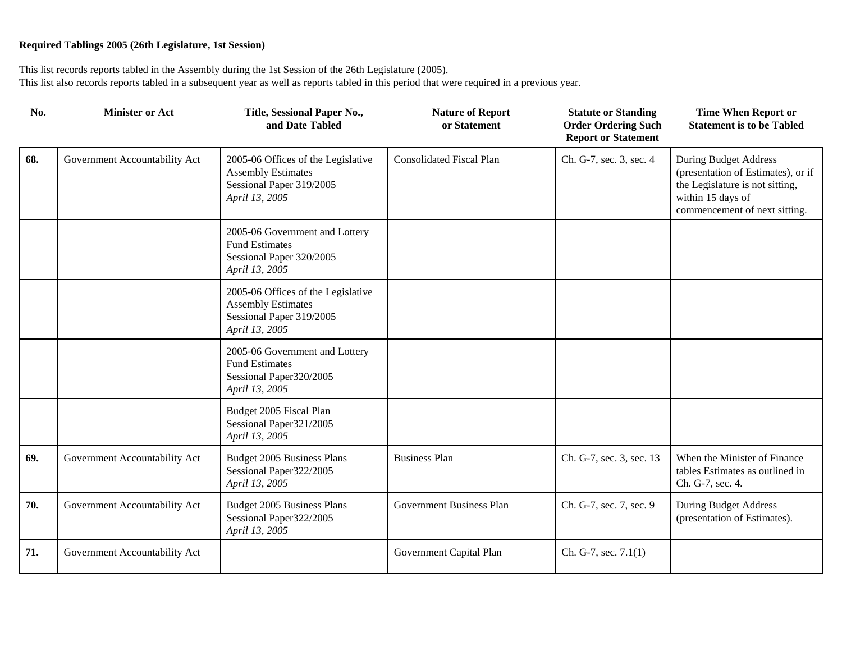| No. | <b>Minister or Act</b>        | Title, Sessional Paper No.,<br>and Date Tabled                                                                | <b>Nature of Report</b><br>or Statement | <b>Statute or Standing</b><br><b>Order Ordering Such</b><br><b>Report or Statement</b> | <b>Time When Report or</b><br><b>Statement is to be Tabled</b>                                                                                       |
|-----|-------------------------------|---------------------------------------------------------------------------------------------------------------|-----------------------------------------|----------------------------------------------------------------------------------------|------------------------------------------------------------------------------------------------------------------------------------------------------|
| 68. | Government Accountability Act | 2005-06 Offices of the Legislative<br><b>Assembly Estimates</b><br>Sessional Paper 319/2005<br>April 13, 2005 | <b>Consolidated Fiscal Plan</b>         | Ch. G-7, sec. 3, sec. 4                                                                | During Budget Address<br>(presentation of Estimates), or if<br>the Legislature is not sitting,<br>within 15 days of<br>commencement of next sitting. |
|     |                               | 2005-06 Government and Lottery<br><b>Fund Estimates</b><br>Sessional Paper 320/2005<br>April 13, 2005         |                                         |                                                                                        |                                                                                                                                                      |
|     |                               | 2005-06 Offices of the Legislative<br><b>Assembly Estimates</b><br>Sessional Paper 319/2005<br>April 13, 2005 |                                         |                                                                                        |                                                                                                                                                      |
|     |                               | 2005-06 Government and Lottery<br><b>Fund Estimates</b><br>Sessional Paper320/2005<br>April 13, 2005          |                                         |                                                                                        |                                                                                                                                                      |
|     |                               | Budget 2005 Fiscal Plan<br>Sessional Paper321/2005<br>April 13, 2005                                          |                                         |                                                                                        |                                                                                                                                                      |
| 69. | Government Accountability Act | Budget 2005 Business Plans<br>Sessional Paper322/2005<br>April 13, 2005                                       | <b>Business Plan</b>                    | Ch. G-7, sec. 3, sec. 13                                                               | When the Minister of Finance<br>tables Estimates as outlined in<br>Ch. G-7, sec. 4.                                                                  |
| 70. | Government Accountability Act | Budget 2005 Business Plans<br>Sessional Paper322/2005<br>April 13, 2005                                       | <b>Government Business Plan</b>         | Ch. G-7, sec. 7, sec. 9                                                                | <b>During Budget Address</b><br>(presentation of Estimates).                                                                                         |
| 71. | Government Accountability Act |                                                                                                               | Government Capital Plan                 | Ch. G-7, sec. 7.1(1)                                                                   |                                                                                                                                                      |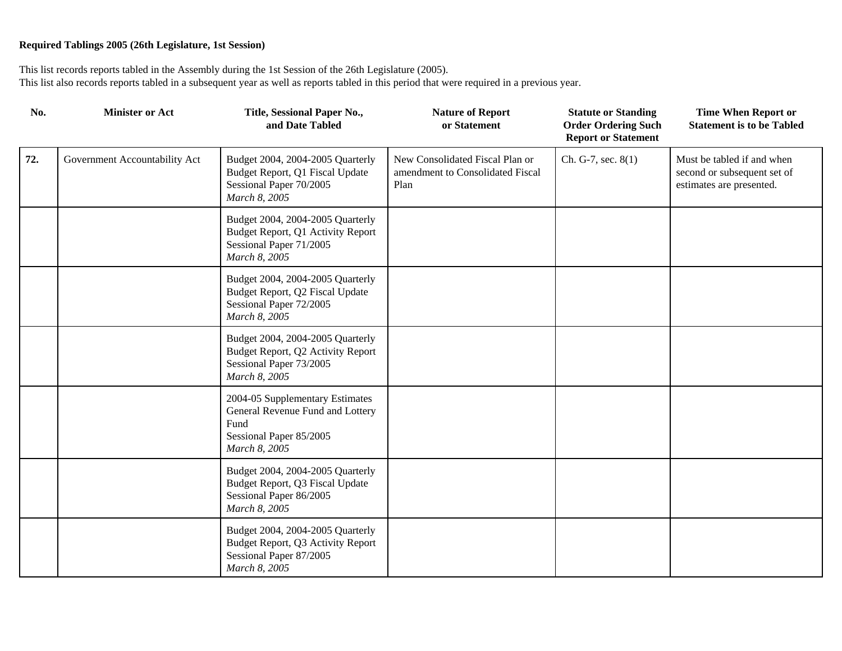| No. | <b>Minister or Act</b>        | Title, Sessional Paper No.,<br>and Date Tabled                                                                          | <b>Nature of Report</b><br>or Statement                                     | <b>Statute or Standing</b><br><b>Order Ordering Such</b><br><b>Report or Statement</b> | <b>Time When Report or</b><br><b>Statement is to be Tabled</b>                        |
|-----|-------------------------------|-------------------------------------------------------------------------------------------------------------------------|-----------------------------------------------------------------------------|----------------------------------------------------------------------------------------|---------------------------------------------------------------------------------------|
| 72. | Government Accountability Act | Budget 2004, 2004-2005 Quarterly<br>Budget Report, Q1 Fiscal Update<br>Sessional Paper 70/2005<br>March 8, 2005         | New Consolidated Fiscal Plan or<br>amendment to Consolidated Fiscal<br>Plan | Ch. G-7, sec. $8(1)$                                                                   | Must be tabled if and when<br>second or subsequent set of<br>estimates are presented. |
|     |                               | Budget 2004, 2004-2005 Quarterly<br>Budget Report, Q1 Activity Report<br>Sessional Paper 71/2005<br>March 8, 2005       |                                                                             |                                                                                        |                                                                                       |
|     |                               | Budget 2004, 2004-2005 Quarterly<br>Budget Report, Q2 Fiscal Update<br>Sessional Paper 72/2005<br>March 8, 2005         |                                                                             |                                                                                        |                                                                                       |
|     |                               | Budget 2004, 2004-2005 Quarterly<br>Budget Report, Q2 Activity Report<br>Sessional Paper 73/2005<br>March 8, 2005       |                                                                             |                                                                                        |                                                                                       |
|     |                               | 2004-05 Supplementary Estimates<br>General Revenue Fund and Lottery<br>Fund<br>Sessional Paper 85/2005<br>March 8, 2005 |                                                                             |                                                                                        |                                                                                       |
|     |                               | Budget 2004, 2004-2005 Quarterly<br>Budget Report, Q3 Fiscal Update<br>Sessional Paper 86/2005<br>March 8, 2005         |                                                                             |                                                                                        |                                                                                       |
|     |                               | Budget 2004, 2004-2005 Quarterly<br>Budget Report, Q3 Activity Report<br>Sessional Paper 87/2005<br>March 8, 2005       |                                                                             |                                                                                        |                                                                                       |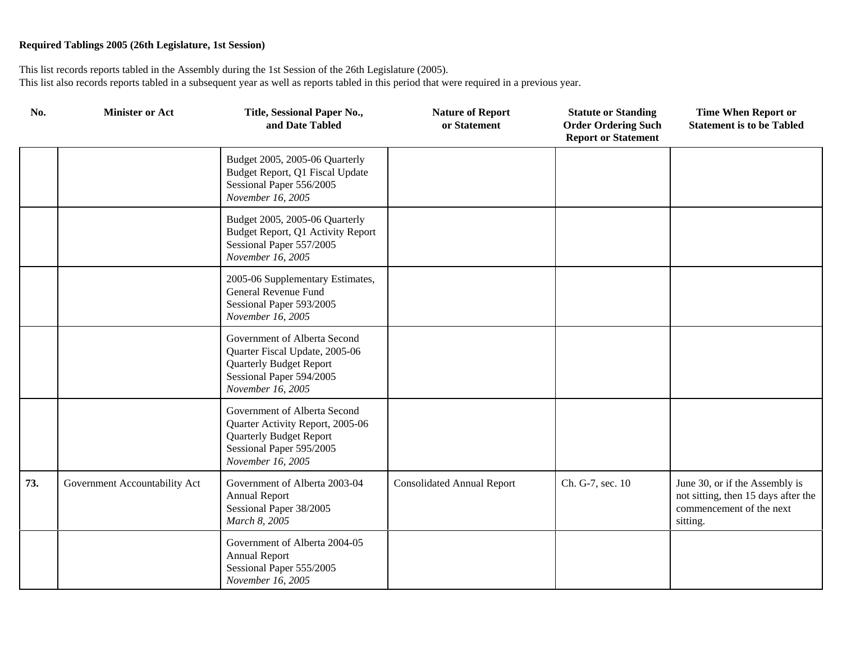| No. | <b>Minister or Act</b>        | Title, Sessional Paper No.,<br>and Date Tabled                                                                                                      | <b>Nature of Report</b><br>or Statement | <b>Statute or Standing</b><br><b>Order Ordering Such</b><br><b>Report or Statement</b> | <b>Time When Report or</b><br><b>Statement is to be Tabled</b>                                                |
|-----|-------------------------------|-----------------------------------------------------------------------------------------------------------------------------------------------------|-----------------------------------------|----------------------------------------------------------------------------------------|---------------------------------------------------------------------------------------------------------------|
|     |                               | Budget 2005, 2005-06 Quarterly<br>Budget Report, Q1 Fiscal Update<br>Sessional Paper 556/2005<br>November 16, 2005                                  |                                         |                                                                                        |                                                                                                               |
|     |                               | Budget 2005, 2005-06 Quarterly<br>Budget Report, Q1 Activity Report<br>Sessional Paper 557/2005<br>November 16, 2005                                |                                         |                                                                                        |                                                                                                               |
|     |                               | 2005-06 Supplementary Estimates,<br>General Revenue Fund<br>Sessional Paper 593/2005<br>November 16, 2005                                           |                                         |                                                                                        |                                                                                                               |
|     |                               | Government of Alberta Second<br>Quarter Fiscal Update, 2005-06<br><b>Quarterly Budget Report</b><br>Sessional Paper 594/2005<br>November 16, 2005   |                                         |                                                                                        |                                                                                                               |
|     |                               | Government of Alberta Second<br>Quarter Activity Report, 2005-06<br><b>Quarterly Budget Report</b><br>Sessional Paper 595/2005<br>November 16, 2005 |                                         |                                                                                        |                                                                                                               |
| 73. | Government Accountability Act | Government of Alberta 2003-04<br><b>Annual Report</b><br>Sessional Paper 38/2005<br>March 8, 2005                                                   | <b>Consolidated Annual Report</b>       | Ch. G-7, sec. 10                                                                       | June 30, or if the Assembly is<br>not sitting, then 15 days after the<br>commencement of the next<br>sitting. |
|     |                               | Government of Alberta 2004-05<br><b>Annual Report</b><br>Sessional Paper 555/2005<br>November 16, 2005                                              |                                         |                                                                                        |                                                                                                               |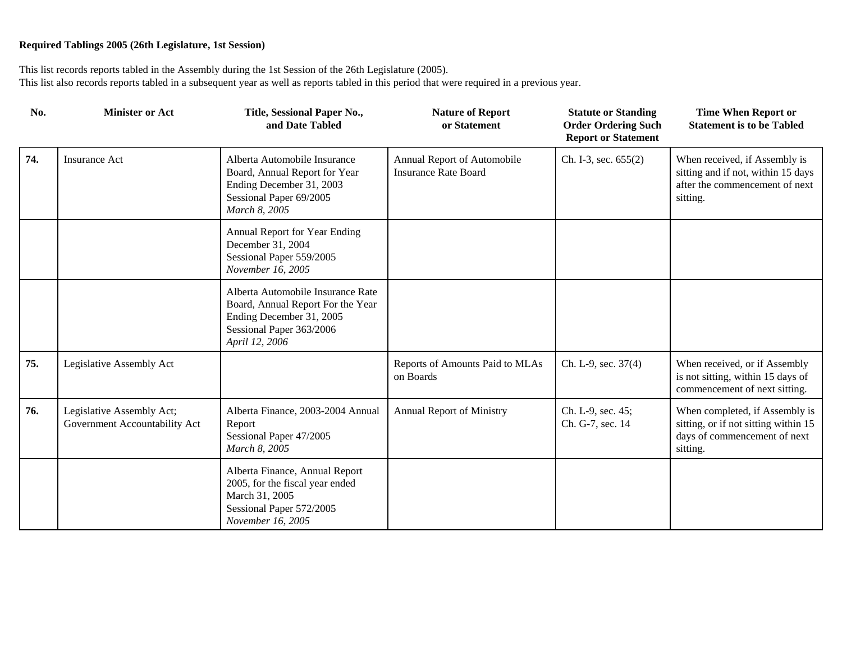| No. | <b>Minister or Act</b>                                     | Title, Sessional Paper No.,<br>and Date Tabled                                                                                                   | <b>Nature of Report</b><br>or Statement                    | <b>Statute or Standing</b><br><b>Order Ordering Such</b><br><b>Report or Statement</b> | <b>Time When Report or</b><br><b>Statement is to be Tabled</b>                                                     |
|-----|------------------------------------------------------------|--------------------------------------------------------------------------------------------------------------------------------------------------|------------------------------------------------------------|----------------------------------------------------------------------------------------|--------------------------------------------------------------------------------------------------------------------|
| 74. | <b>Insurance Act</b>                                       | Alberta Automobile Insurance<br>Board, Annual Report for Year<br>Ending December 31, 2003<br>Sessional Paper 69/2005<br>March 8, 2005            | Annual Report of Automobile<br><b>Insurance Rate Board</b> | Ch. I-3, sec. 655(2)                                                                   | When received, if Assembly is<br>sitting and if not, within 15 days<br>after the commencement of next<br>sitting.  |
|     |                                                            | Annual Report for Year Ending<br>December 31, 2004<br>Sessional Paper 559/2005<br>November 16, 2005                                              |                                                            |                                                                                        |                                                                                                                    |
|     |                                                            | Alberta Automobile Insurance Rate<br>Board, Annual Report For the Year<br>Ending December 31, 2005<br>Sessional Paper 363/2006<br>April 12, 2006 |                                                            |                                                                                        |                                                                                                                    |
| 75. | Legislative Assembly Act                                   |                                                                                                                                                  | Reports of Amounts Paid to MLAs<br>on Boards               | Ch. L-9, sec. 37(4)                                                                    | When received, or if Assembly<br>is not sitting, within 15 days of<br>commencement of next sitting.                |
| 76. | Legislative Assembly Act;<br>Government Accountability Act | Alberta Finance, 2003-2004 Annual<br>Report<br>Sessional Paper 47/2005<br>March 8, 2005                                                          | <b>Annual Report of Ministry</b>                           | Ch. L-9, sec. 45;<br>Ch. G-7, sec. 14                                                  | When completed, if Assembly is<br>sitting, or if not sitting within 15<br>days of commencement of next<br>sitting. |
|     |                                                            | Alberta Finance, Annual Report<br>2005, for the fiscal year ended<br>March 31, 2005<br>Sessional Paper 572/2005<br>November 16, 2005             |                                                            |                                                                                        |                                                                                                                    |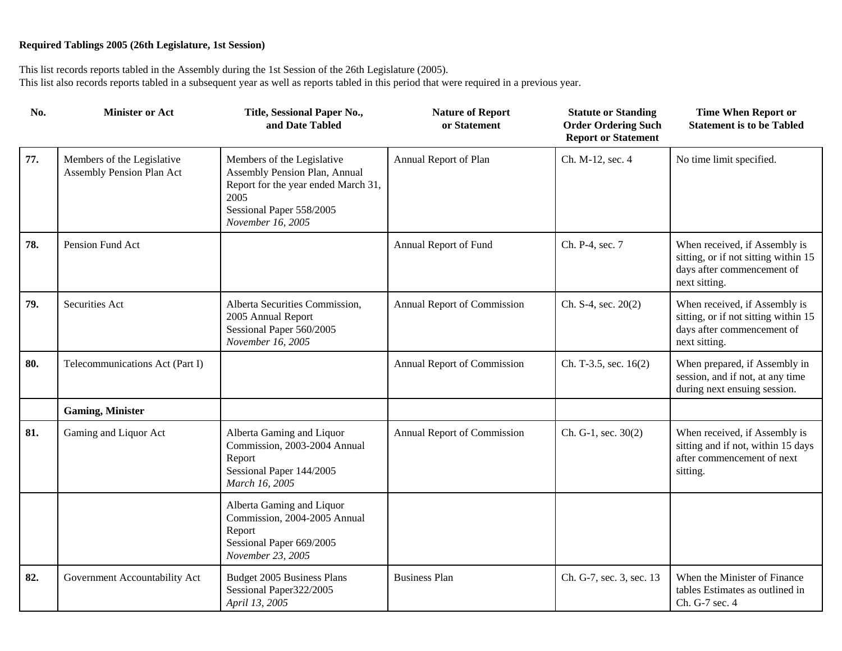| No. | <b>Minister or Act</b>                                  | Title, Sessional Paper No.,<br>and Date Tabled                                                                                                              | <b>Nature of Report</b><br>or Statement | <b>Statute or Standing</b><br><b>Order Ordering Such</b><br><b>Report or Statement</b> | <b>Time When Report or</b><br><b>Statement is to be Tabled</b>                                                       |
|-----|---------------------------------------------------------|-------------------------------------------------------------------------------------------------------------------------------------------------------------|-----------------------------------------|----------------------------------------------------------------------------------------|----------------------------------------------------------------------------------------------------------------------|
| 77. | Members of the Legislative<br>Assembly Pension Plan Act | Members of the Legislative<br>Assembly Pension Plan, Annual<br>Report for the year ended March 31,<br>2005<br>Sessional Paper 558/2005<br>November 16, 2005 | Annual Report of Plan                   | Ch. M-12, sec. 4                                                                       | No time limit specified.                                                                                             |
| 78. | Pension Fund Act                                        |                                                                                                                                                             | Annual Report of Fund                   | Ch. P-4, sec. 7                                                                        | When received, if Assembly is<br>sitting, or if not sitting within 15<br>days after commencement of<br>next sitting. |
| 79. | Securities Act                                          | Alberta Securities Commission,<br>2005 Annual Report<br>Sessional Paper 560/2005<br>November 16, 2005                                                       | Annual Report of Commission             | Ch. $S-4$ , sec. $20(2)$                                                               | When received, if Assembly is<br>sitting, or if not sitting within 15<br>days after commencement of<br>next sitting. |
| 80. | Telecommunications Act (Part I)                         |                                                                                                                                                             | Annual Report of Commission             | Ch. T-3.5, sec. 16(2)                                                                  | When prepared, if Assembly in<br>session, and if not, at any time<br>during next ensuing session.                    |
|     | <b>Gaming, Minister</b>                                 |                                                                                                                                                             |                                         |                                                                                        |                                                                                                                      |
| 81. | Gaming and Liquor Act                                   | Alberta Gaming and Liquor<br>Commission, 2003-2004 Annual<br>Report<br>Sessional Paper 144/2005<br>March 16, 2005                                           | Annual Report of Commission             | Ch. G-1, sec. $30(2)$                                                                  | When received, if Assembly is<br>sitting and if not, within 15 days<br>after commencement of next<br>sitting.        |
|     |                                                         | Alberta Gaming and Liquor<br>Commission, 2004-2005 Annual<br>Report<br>Sessional Paper 669/2005<br>November 23, 2005                                        |                                         |                                                                                        |                                                                                                                      |
| 82. | Government Accountability Act                           | Budget 2005 Business Plans<br>Sessional Paper322/2005<br>April 13, 2005                                                                                     | <b>Business Plan</b>                    | Ch. G-7, sec. 3, sec. 13                                                               | When the Minister of Finance<br>tables Estimates as outlined in<br>Ch. G-7 sec. 4                                    |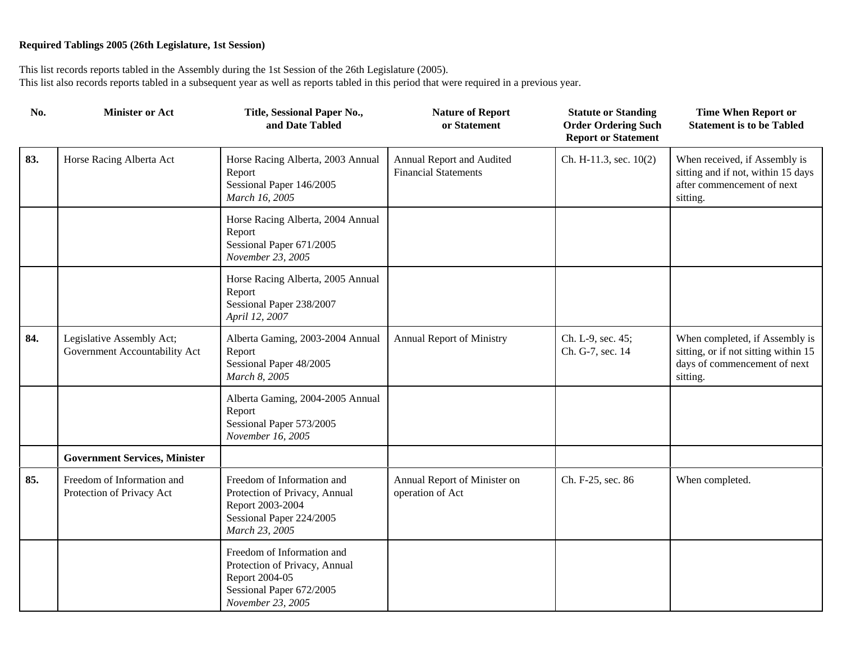| No. | <b>Minister or Act</b>                                     | Title, Sessional Paper No.,<br>and Date Tabled                                                                                 | <b>Nature of Report</b><br>or Statement                  | <b>Statute or Standing</b><br><b>Order Ordering Such</b><br><b>Report or Statement</b> | <b>Time When Report or</b><br><b>Statement is to be Tabled</b>                                                     |
|-----|------------------------------------------------------------|--------------------------------------------------------------------------------------------------------------------------------|----------------------------------------------------------|----------------------------------------------------------------------------------------|--------------------------------------------------------------------------------------------------------------------|
| 83. | Horse Racing Alberta Act                                   | Horse Racing Alberta, 2003 Annual<br>Report<br>Sessional Paper 146/2005<br>March 16, 2005                                      | Annual Report and Audited<br><b>Financial Statements</b> | Ch. H-11.3, sec. 10(2)                                                                 | When received, if Assembly is<br>sitting and if not, within 15 days<br>after commencement of next<br>sitting.      |
|     |                                                            | Horse Racing Alberta, 2004 Annual<br>Report<br>Sessional Paper 671/2005<br>November 23, 2005                                   |                                                          |                                                                                        |                                                                                                                    |
|     |                                                            | Horse Racing Alberta, 2005 Annual<br>Report<br>Sessional Paper 238/2007<br>April 12, 2007                                      |                                                          |                                                                                        |                                                                                                                    |
| 84. | Legislative Assembly Act;<br>Government Accountability Act | Alberta Gaming, 2003-2004 Annual<br>Report<br>Sessional Paper 48/2005<br>March 8, 2005                                         | Annual Report of Ministry                                | Ch. L-9, sec. 45;<br>Ch. G-7, sec. 14                                                  | When completed, if Assembly is<br>sitting, or if not sitting within 15<br>days of commencement of next<br>sitting. |
|     |                                                            | Alberta Gaming, 2004-2005 Annual<br>Report<br>Sessional Paper 573/2005<br>November 16, 2005                                    |                                                          |                                                                                        |                                                                                                                    |
|     | <b>Government Services, Minister</b>                       |                                                                                                                                |                                                          |                                                                                        |                                                                                                                    |
| 85. | Freedom of Information and<br>Protection of Privacy Act    | Freedom of Information and<br>Protection of Privacy, Annual<br>Report 2003-2004<br>Sessional Paper 224/2005<br>March 23, 2005  | Annual Report of Minister on<br>operation of Act         | Ch. F-25, sec. 86                                                                      | When completed.                                                                                                    |
|     |                                                            | Freedom of Information and<br>Protection of Privacy, Annual<br>Report 2004-05<br>Sessional Paper 672/2005<br>November 23, 2005 |                                                          |                                                                                        |                                                                                                                    |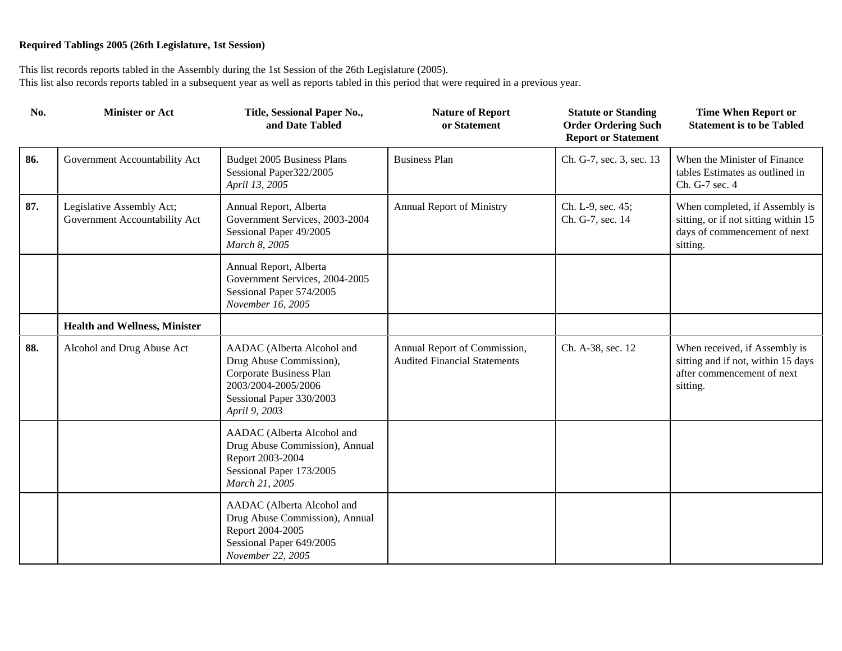| No. | <b>Minister or Act</b>                                     | Title, Sessional Paper No.,<br>and Date Tabled                                                                                                       | <b>Nature of Report</b><br>or Statement                             | <b>Statute or Standing</b><br><b>Order Ordering Such</b><br><b>Report or Statement</b> | <b>Time When Report or</b><br><b>Statement is to be Tabled</b>                                                     |
|-----|------------------------------------------------------------|------------------------------------------------------------------------------------------------------------------------------------------------------|---------------------------------------------------------------------|----------------------------------------------------------------------------------------|--------------------------------------------------------------------------------------------------------------------|
| 86. | Government Accountability Act                              | Budget 2005 Business Plans<br>Sessional Paper322/2005<br>April 13, 2005                                                                              | <b>Business Plan</b>                                                | Ch. G-7, sec. 3, sec. 13                                                               | When the Minister of Finance<br>tables Estimates as outlined in<br>Ch. G-7 sec. 4                                  |
| 87. | Legislative Assembly Act;<br>Government Accountability Act | Annual Report, Alberta<br>Government Services, 2003-2004<br>Sessional Paper 49/2005<br>March 8, 2005                                                 | <b>Annual Report of Ministry</b>                                    | Ch. L-9, sec. 45;<br>Ch. G-7, sec. 14                                                  | When completed, if Assembly is<br>sitting, or if not sitting within 15<br>days of commencement of next<br>sitting. |
|     |                                                            | Annual Report, Alberta<br>Government Services, 2004-2005<br>Sessional Paper 574/2005<br>November 16, 2005                                            |                                                                     |                                                                                        |                                                                                                                    |
|     | <b>Health and Wellness, Minister</b>                       |                                                                                                                                                      |                                                                     |                                                                                        |                                                                                                                    |
| 88. | Alcohol and Drug Abuse Act                                 | AADAC (Alberta Alcohol and<br>Drug Abuse Commission),<br>Corporate Business Plan<br>2003/2004-2005/2006<br>Sessional Paper 330/2003<br>April 9, 2003 | Annual Report of Commission,<br><b>Audited Financial Statements</b> | Ch. A-38, sec. 12                                                                      | When received, if Assembly is<br>sitting and if not, within 15 days<br>after commencement of next<br>sitting.      |
|     |                                                            | AADAC (Alberta Alcohol and<br>Drug Abuse Commission), Annual<br>Report 2003-2004<br>Sessional Paper 173/2005<br>March 21, 2005                       |                                                                     |                                                                                        |                                                                                                                    |
|     |                                                            | AADAC (Alberta Alcohol and<br>Drug Abuse Commission), Annual<br>Report 2004-2005<br>Sessional Paper 649/2005<br>November 22, 2005                    |                                                                     |                                                                                        |                                                                                                                    |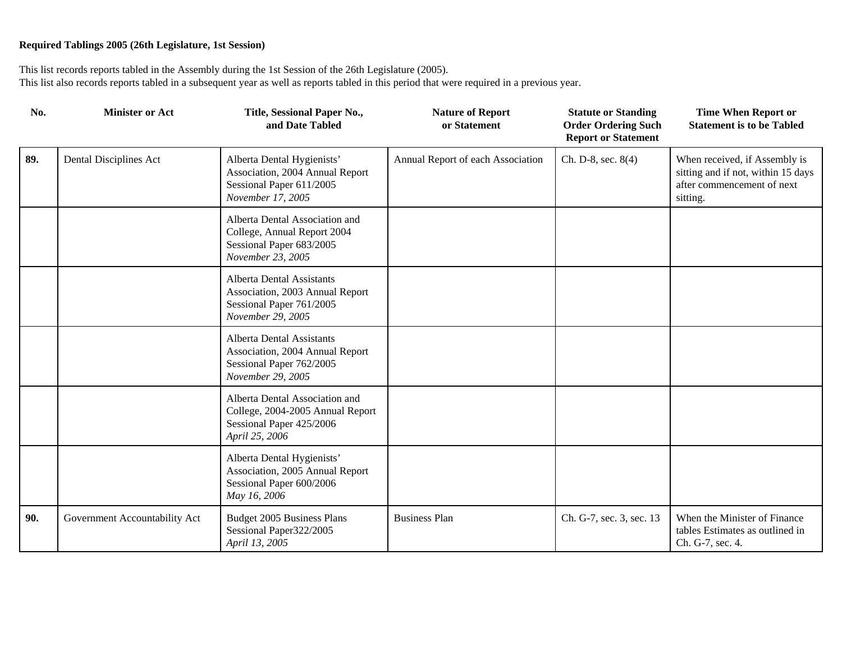| No. | <b>Minister or Act</b>        | Title, Sessional Paper No.,<br>and Date Tabled                                                                       | <b>Nature of Report</b><br>or Statement | <b>Statute or Standing</b><br><b>Order Ordering Such</b><br><b>Report or Statement</b> | <b>Time When Report or</b><br><b>Statement is to be Tabled</b>                                                |
|-----|-------------------------------|----------------------------------------------------------------------------------------------------------------------|-----------------------------------------|----------------------------------------------------------------------------------------|---------------------------------------------------------------------------------------------------------------|
| 89. | Dental Disciplines Act        | Alberta Dental Hygienists'<br>Association, 2004 Annual Report<br>Sessional Paper 611/2005<br>November 17, 2005       | Annual Report of each Association       | Ch. D-8, sec. 8(4)                                                                     | When received, if Assembly is<br>sitting and if not, within 15 days<br>after commencement of next<br>sitting. |
|     |                               | Alberta Dental Association and<br>College, Annual Report 2004<br>Sessional Paper 683/2005<br>November 23, 2005       |                                         |                                                                                        |                                                                                                               |
|     |                               | <b>Alberta Dental Assistants</b><br>Association, 2003 Annual Report<br>Sessional Paper 761/2005<br>November 29, 2005 |                                         |                                                                                        |                                                                                                               |
|     |                               | <b>Alberta Dental Assistants</b><br>Association, 2004 Annual Report<br>Sessional Paper 762/2005<br>November 29, 2005 |                                         |                                                                                        |                                                                                                               |
|     |                               | Alberta Dental Association and<br>College, 2004-2005 Annual Report<br>Sessional Paper 425/2006<br>April 25, 2006     |                                         |                                                                                        |                                                                                                               |
|     |                               | Alberta Dental Hygienists'<br>Association, 2005 Annual Report<br>Sessional Paper 600/2006<br>May 16, 2006            |                                         |                                                                                        |                                                                                                               |
| 90. | Government Accountability Act | Budget 2005 Business Plans<br>Sessional Paper322/2005<br>April 13, 2005                                              | <b>Business Plan</b>                    | Ch. G-7, sec. 3, sec. 13                                                               | When the Minister of Finance<br>tables Estimates as outlined in<br>Ch. G-7, sec. 4.                           |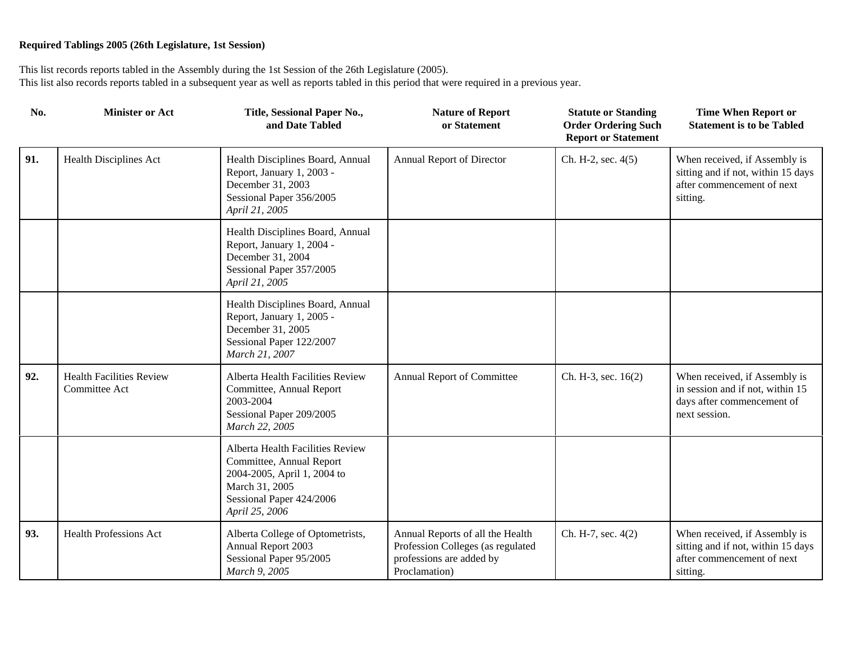| No. | <b>Minister or Act</b>                           | Title, Sessional Paper No.,<br>and Date Tabled                                                                                                              | <b>Nature of Report</b><br>or Statement                                                                            | <b>Statute or Standing</b><br><b>Order Ordering Such</b><br><b>Report or Statement</b> | <b>Time When Report or</b><br><b>Statement is to be Tabled</b>                                                   |
|-----|--------------------------------------------------|-------------------------------------------------------------------------------------------------------------------------------------------------------------|--------------------------------------------------------------------------------------------------------------------|----------------------------------------------------------------------------------------|------------------------------------------------------------------------------------------------------------------|
| 91. | Health Disciplines Act                           | Health Disciplines Board, Annual<br>Report, January 1, 2003 -<br>December 31, 2003<br>Sessional Paper 356/2005<br>April 21, 2005                            | Annual Report of Director                                                                                          | Ch. H-2, sec. 4(5)                                                                     | When received, if Assembly is<br>sitting and if not, within 15 days<br>after commencement of next<br>sitting.    |
|     |                                                  | Health Disciplines Board, Annual<br>Report, January 1, 2004 -<br>December 31, 2004<br>Sessional Paper 357/2005<br>April 21, 2005                            |                                                                                                                    |                                                                                        |                                                                                                                  |
|     |                                                  | Health Disciplines Board, Annual<br>Report, January 1, 2005 -<br>December 31, 2005<br>Sessional Paper 122/2007<br>March 21, 2007                            |                                                                                                                    |                                                                                        |                                                                                                                  |
| 92. | <b>Health Facilities Review</b><br>Committee Act | Alberta Health Facilities Review<br>Committee, Annual Report<br>2003-2004<br>Sessional Paper 209/2005<br>March 22, 2005                                     | Annual Report of Committee                                                                                         | Ch. H-3, sec. 16(2)                                                                    | When received, if Assembly is<br>in session and if not, within 15<br>days after commencement of<br>next session. |
|     |                                                  | Alberta Health Facilities Review<br>Committee, Annual Report<br>2004-2005, April 1, 2004 to<br>March 31, 2005<br>Sessional Paper 424/2006<br>April 25, 2006 |                                                                                                                    |                                                                                        |                                                                                                                  |
| 93. | <b>Health Professions Act</b>                    | Alberta College of Optometrists,<br>Annual Report 2003<br>Sessional Paper 95/2005<br>March 9, 2005                                                          | Annual Reports of all the Health<br>Profession Colleges (as regulated<br>professions are added by<br>Proclamation) | Ch. H-7, sec. 4(2)                                                                     | When received, if Assembly is<br>sitting and if not, within 15 days<br>after commencement of next<br>sitting.    |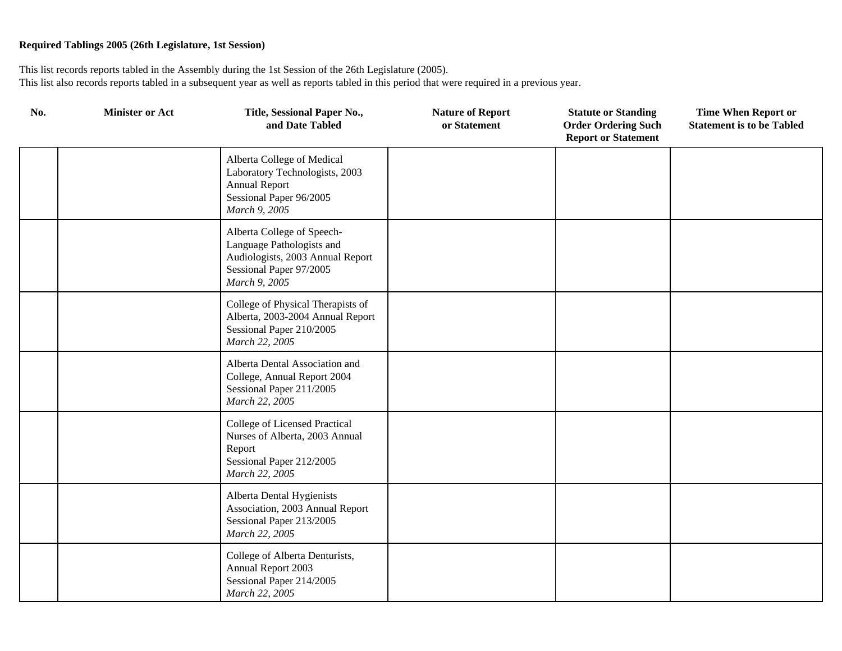| No. | <b>Minister or Act</b> | Title, Sessional Paper No.,<br>and Date Tabled                                                                                          | <b>Nature of Report</b><br>or Statement | <b>Statute or Standing</b><br><b>Order Ordering Such</b><br><b>Report or Statement</b> | <b>Time When Report or</b><br><b>Statement is to be Tabled</b> |
|-----|------------------------|-----------------------------------------------------------------------------------------------------------------------------------------|-----------------------------------------|----------------------------------------------------------------------------------------|----------------------------------------------------------------|
|     |                        | Alberta College of Medical<br>Laboratory Technologists, 2003<br><b>Annual Report</b><br>Sessional Paper 96/2005<br>March 9, 2005        |                                         |                                                                                        |                                                                |
|     |                        | Alberta College of Speech-<br>Language Pathologists and<br>Audiologists, 2003 Annual Report<br>Sessional Paper 97/2005<br>March 9, 2005 |                                         |                                                                                        |                                                                |
|     |                        | College of Physical Therapists of<br>Alberta, 2003-2004 Annual Report<br>Sessional Paper 210/2005<br>March 22, 2005                     |                                         |                                                                                        |                                                                |
|     |                        | Alberta Dental Association and<br>College, Annual Report 2004<br>Sessional Paper 211/2005<br>March 22, 2005                             |                                         |                                                                                        |                                                                |
|     |                        | College of Licensed Practical<br>Nurses of Alberta, 2003 Annual<br>Report<br>Sessional Paper 212/2005<br>March 22, 2005                 |                                         |                                                                                        |                                                                |
|     |                        | Alberta Dental Hygienists<br>Association, 2003 Annual Report<br>Sessional Paper 213/2005<br>March 22, 2005                              |                                         |                                                                                        |                                                                |
|     |                        | College of Alberta Denturists,<br>Annual Report 2003<br>Sessional Paper 214/2005<br>March 22, 2005                                      |                                         |                                                                                        |                                                                |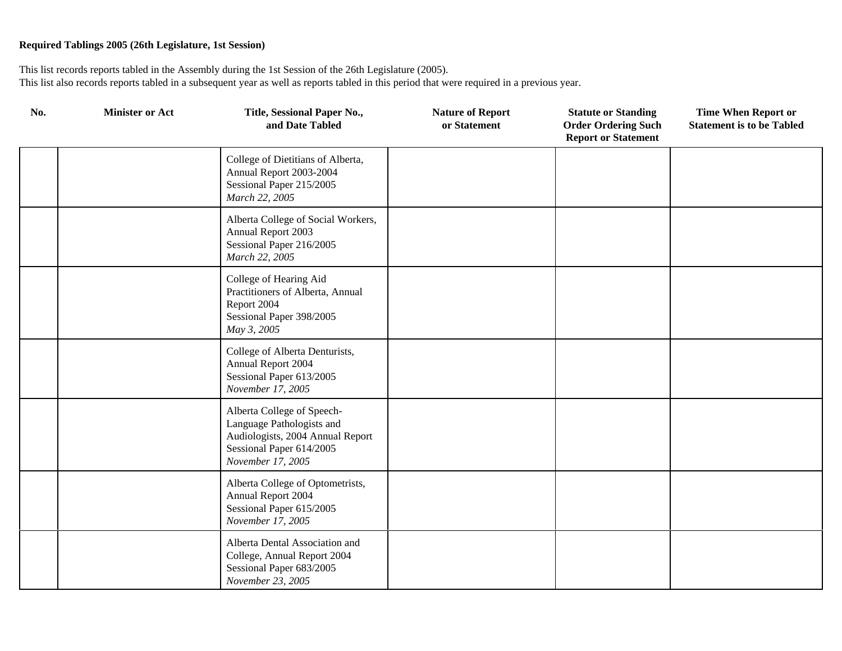| No. | <b>Minister or Act</b> | Title, Sessional Paper No.,<br>and Date Tabled                                                                                               | <b>Nature of Report</b><br>or Statement | <b>Statute or Standing</b><br><b>Order Ordering Such</b><br><b>Report or Statement</b> | <b>Time When Report or</b><br><b>Statement is to be Tabled</b> |
|-----|------------------------|----------------------------------------------------------------------------------------------------------------------------------------------|-----------------------------------------|----------------------------------------------------------------------------------------|----------------------------------------------------------------|
|     |                        | College of Dietitians of Alberta,<br>Annual Report 2003-2004<br>Sessional Paper 215/2005<br>March 22, 2005                                   |                                         |                                                                                        |                                                                |
|     |                        | Alberta College of Social Workers,<br>Annual Report 2003<br>Sessional Paper 216/2005<br>March 22, 2005                                       |                                         |                                                                                        |                                                                |
|     |                        | College of Hearing Aid<br>Practitioners of Alberta, Annual<br>Report 2004<br>Sessional Paper 398/2005<br>May 3, 2005                         |                                         |                                                                                        |                                                                |
|     |                        | College of Alberta Denturists,<br>Annual Report 2004<br>Sessional Paper 613/2005<br>November 17, 2005                                        |                                         |                                                                                        |                                                                |
|     |                        | Alberta College of Speech-<br>Language Pathologists and<br>Audiologists, 2004 Annual Report<br>Sessional Paper 614/2005<br>November 17, 2005 |                                         |                                                                                        |                                                                |
|     |                        | Alberta College of Optometrists,<br>Annual Report 2004<br>Sessional Paper 615/2005<br>November 17, 2005                                      |                                         |                                                                                        |                                                                |
|     |                        | Alberta Dental Association and<br>College, Annual Report 2004<br>Sessional Paper 683/2005<br>November 23, 2005                               |                                         |                                                                                        |                                                                |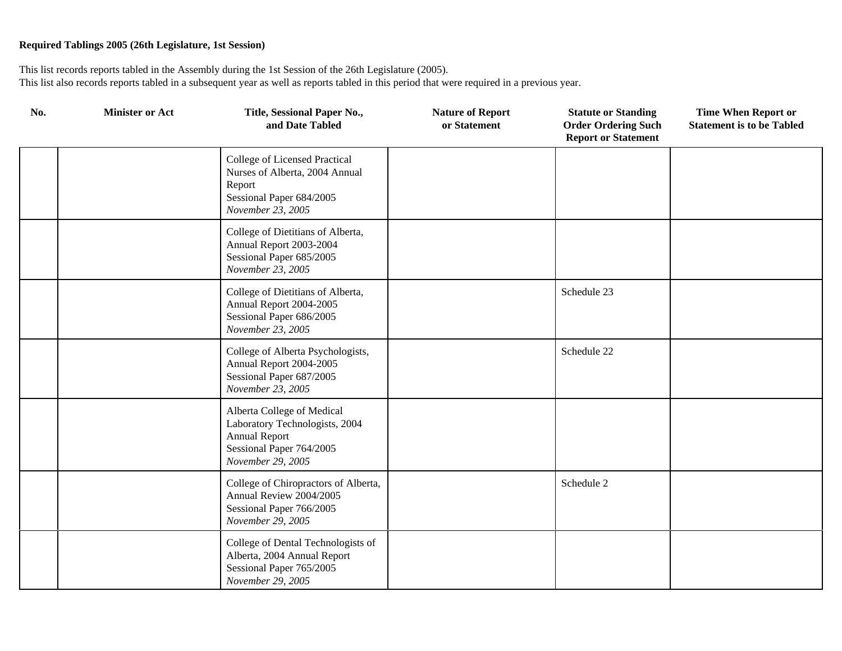| No. | <b>Minister or Act</b> | Title, Sessional Paper No.,<br>and Date Tabled                                                                                        | <b>Nature of Report</b><br>or Statement | <b>Statute or Standing</b><br><b>Order Ordering Such</b><br><b>Report or Statement</b> | <b>Time When Report or</b><br><b>Statement is to be Tabled</b> |
|-----|------------------------|---------------------------------------------------------------------------------------------------------------------------------------|-----------------------------------------|----------------------------------------------------------------------------------------|----------------------------------------------------------------|
|     |                        | College of Licensed Practical<br>Nurses of Alberta, 2004 Annual<br>Report<br>Sessional Paper 684/2005<br>November 23, 2005            |                                         |                                                                                        |                                                                |
|     |                        | College of Dietitians of Alberta,<br>Annual Report 2003-2004<br>Sessional Paper 685/2005<br>November 23, 2005                         |                                         |                                                                                        |                                                                |
|     |                        | College of Dietitians of Alberta,<br>Annual Report 2004-2005<br>Sessional Paper 686/2005<br>November 23, 2005                         |                                         | Schedule 23                                                                            |                                                                |
|     |                        | College of Alberta Psychologists,<br>Annual Report 2004-2005<br>Sessional Paper 687/2005<br>November 23, 2005                         |                                         | Schedule 22                                                                            |                                                                |
|     |                        | Alberta College of Medical<br>Laboratory Technologists, 2004<br><b>Annual Report</b><br>Sessional Paper 764/2005<br>November 29, 2005 |                                         |                                                                                        |                                                                |
|     |                        | College of Chiropractors of Alberta,<br>Annual Review 2004/2005<br>Sessional Paper 766/2005<br>November 29, 2005                      |                                         | Schedule 2                                                                             |                                                                |
|     |                        | College of Dental Technologists of<br>Alberta, 2004 Annual Report<br>Sessional Paper 765/2005<br>November 29, 2005                    |                                         |                                                                                        |                                                                |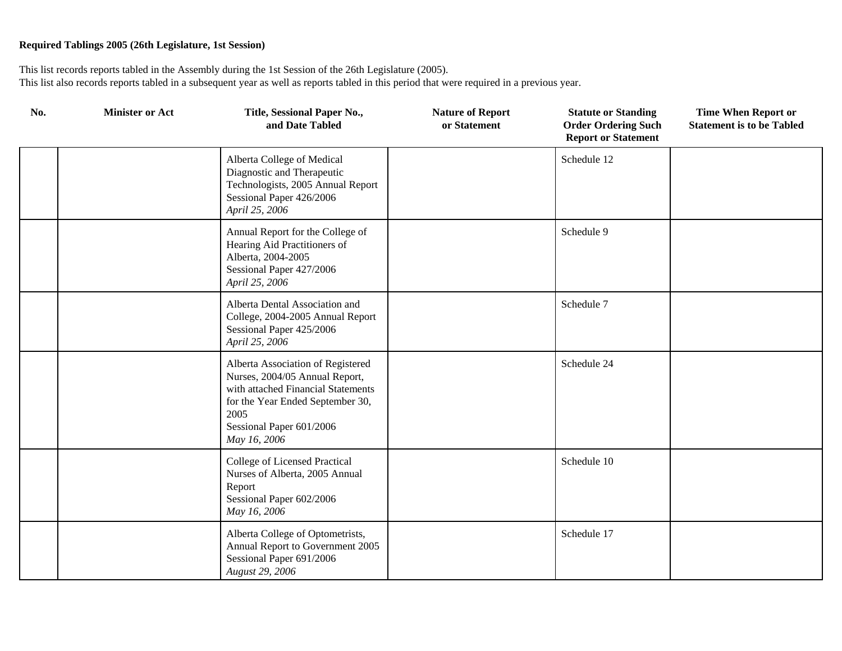| No. | <b>Minister or Act</b> | Title, Sessional Paper No.,<br>and Date Tabled                                                                                                                                                    | <b>Nature of Report</b><br>or Statement | <b>Statute or Standing</b><br><b>Order Ordering Such</b><br><b>Report or Statement</b> | <b>Time When Report or</b><br><b>Statement is to be Tabled</b> |
|-----|------------------------|---------------------------------------------------------------------------------------------------------------------------------------------------------------------------------------------------|-----------------------------------------|----------------------------------------------------------------------------------------|----------------------------------------------------------------|
|     |                        | Alberta College of Medical<br>Diagnostic and Therapeutic<br>Technologists, 2005 Annual Report<br>Sessional Paper 426/2006<br>April 25, 2006                                                       |                                         | Schedule 12                                                                            |                                                                |
|     |                        | Annual Report for the College of<br>Hearing Aid Practitioners of<br>Alberta, 2004-2005<br>Sessional Paper 427/2006<br>April 25, 2006                                                              |                                         | Schedule 9                                                                             |                                                                |
|     |                        | Alberta Dental Association and<br>College, 2004-2005 Annual Report<br>Sessional Paper 425/2006<br>April 25, 2006                                                                                  |                                         | Schedule 7                                                                             |                                                                |
|     |                        | Alberta Association of Registered<br>Nurses, 2004/05 Annual Report,<br>with attached Financial Statements<br>for the Year Ended September 30,<br>2005<br>Sessional Paper 601/2006<br>May 16, 2006 |                                         | Schedule 24                                                                            |                                                                |
|     |                        | College of Licensed Practical<br>Nurses of Alberta, 2005 Annual<br>Report<br>Sessional Paper 602/2006<br>May 16, 2006                                                                             |                                         | Schedule 10                                                                            |                                                                |
|     |                        | Alberta College of Optometrists,<br>Annual Report to Government 2005<br>Sessional Paper 691/2006<br>August 29, 2006                                                                               |                                         | Schedule 17                                                                            |                                                                |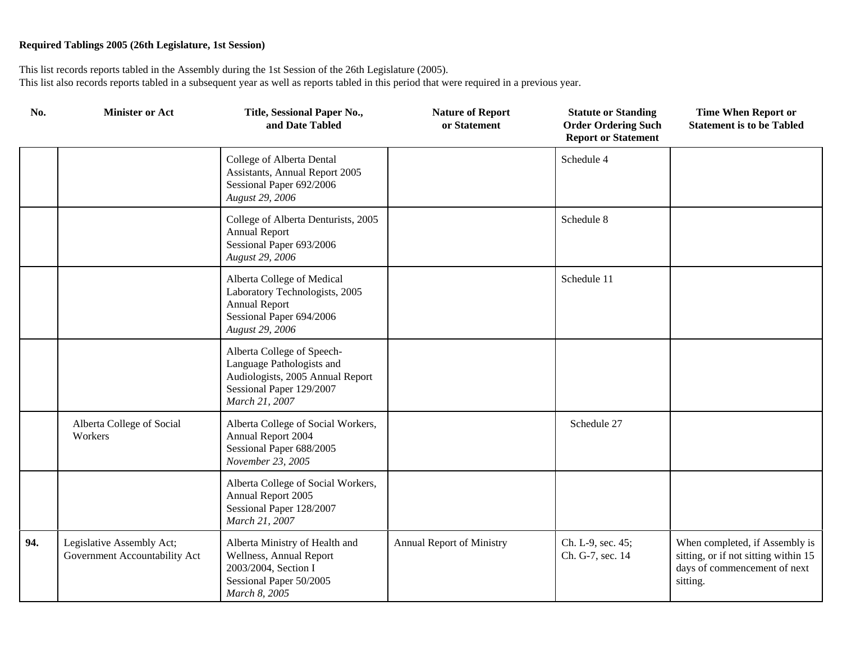| No. | <b>Minister or Act</b>                                     | Title, Sessional Paper No.,<br>and Date Tabled                                                                                            | <b>Nature of Report</b><br>or Statement | <b>Statute or Standing</b><br><b>Order Ordering Such</b><br><b>Report or Statement</b> | <b>Time When Report or</b><br><b>Statement is to be Tabled</b>                                                     |
|-----|------------------------------------------------------------|-------------------------------------------------------------------------------------------------------------------------------------------|-----------------------------------------|----------------------------------------------------------------------------------------|--------------------------------------------------------------------------------------------------------------------|
|     |                                                            | College of Alberta Dental<br>Assistants, Annual Report 2005<br>Sessional Paper 692/2006<br>August 29, 2006                                |                                         | Schedule 4                                                                             |                                                                                                                    |
|     |                                                            | College of Alberta Denturists, 2005<br><b>Annual Report</b><br>Sessional Paper 693/2006<br>August 29, 2006                                |                                         | Schedule 8                                                                             |                                                                                                                    |
|     |                                                            | Alberta College of Medical<br>Laboratory Technologists, 2005<br><b>Annual Report</b><br>Sessional Paper 694/2006<br>August 29, 2006       |                                         | Schedule 11                                                                            |                                                                                                                    |
|     |                                                            | Alberta College of Speech-<br>Language Pathologists and<br>Audiologists, 2005 Annual Report<br>Sessional Paper 129/2007<br>March 21, 2007 |                                         |                                                                                        |                                                                                                                    |
|     | Alberta College of Social<br>Workers                       | Alberta College of Social Workers,<br>Annual Report 2004<br>Sessional Paper 688/2005<br>November 23, 2005                                 |                                         | Schedule 27                                                                            |                                                                                                                    |
|     |                                                            | Alberta College of Social Workers,<br>Annual Report 2005<br>Sessional Paper 128/2007<br>March 21, 2007                                    |                                         |                                                                                        |                                                                                                                    |
| 94. | Legislative Assembly Act;<br>Government Accountability Act | Alberta Ministry of Health and<br>Wellness, Annual Report<br>2003/2004, Section I<br>Sessional Paper 50/2005<br>March 8, 2005             | Annual Report of Ministry               | Ch. L-9, sec. 45;<br>Ch. G-7, sec. 14                                                  | When completed, if Assembly is<br>sitting, or if not sitting within 15<br>days of commencement of next<br>sitting. |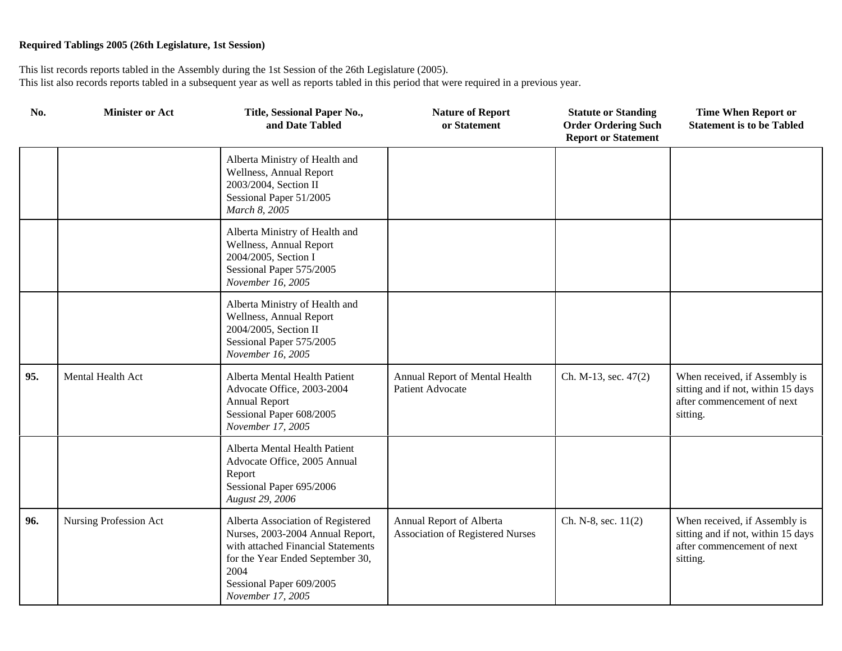| No. | <b>Minister or Act</b> | Title, Sessional Paper No.,<br>and Date Tabled                                                                                                                                                           | <b>Nature of Report</b><br>or Statement                             | <b>Statute or Standing</b><br><b>Order Ordering Such</b><br><b>Report or Statement</b> | <b>Time When Report or</b><br><b>Statement is to be Tabled</b>                                                |
|-----|------------------------|----------------------------------------------------------------------------------------------------------------------------------------------------------------------------------------------------------|---------------------------------------------------------------------|----------------------------------------------------------------------------------------|---------------------------------------------------------------------------------------------------------------|
|     |                        | Alberta Ministry of Health and<br>Wellness, Annual Report<br>2003/2004, Section II<br>Sessional Paper 51/2005<br>March 8, 2005                                                                           |                                                                     |                                                                                        |                                                                                                               |
|     |                        | Alberta Ministry of Health and<br>Wellness, Annual Report<br>2004/2005, Section I<br>Sessional Paper 575/2005<br>November 16, 2005                                                                       |                                                                     |                                                                                        |                                                                                                               |
|     |                        | Alberta Ministry of Health and<br>Wellness, Annual Report<br>2004/2005, Section II<br>Sessional Paper 575/2005<br>November 16, 2005                                                                      |                                                                     |                                                                                        |                                                                                                               |
| 95. | Mental Health Act      | Alberta Mental Health Patient<br>Advocate Office, 2003-2004<br><b>Annual Report</b><br>Sessional Paper 608/2005<br>November 17, 2005                                                                     | Annual Report of Mental Health<br><b>Patient Advocate</b>           | Ch. M-13, sec. 47(2)                                                                   | When received, if Assembly is<br>sitting and if not, within 15 days<br>after commencement of next<br>sitting. |
|     |                        | Alberta Mental Health Patient<br>Advocate Office, 2005 Annual<br>Report<br>Sessional Paper 695/2006<br>August 29, 2006                                                                                   |                                                                     |                                                                                        |                                                                                                               |
| 96. | Nursing Profession Act | Alberta Association of Registered<br>Nurses, 2003-2004 Annual Report,<br>with attached Financial Statements<br>for the Year Ended September 30,<br>2004<br>Sessional Paper 609/2005<br>November 17, 2005 | Annual Report of Alberta<br><b>Association of Registered Nurses</b> | Ch. N-8, sec. 11(2)                                                                    | When received, if Assembly is<br>sitting and if not, within 15 days<br>after commencement of next<br>sitting. |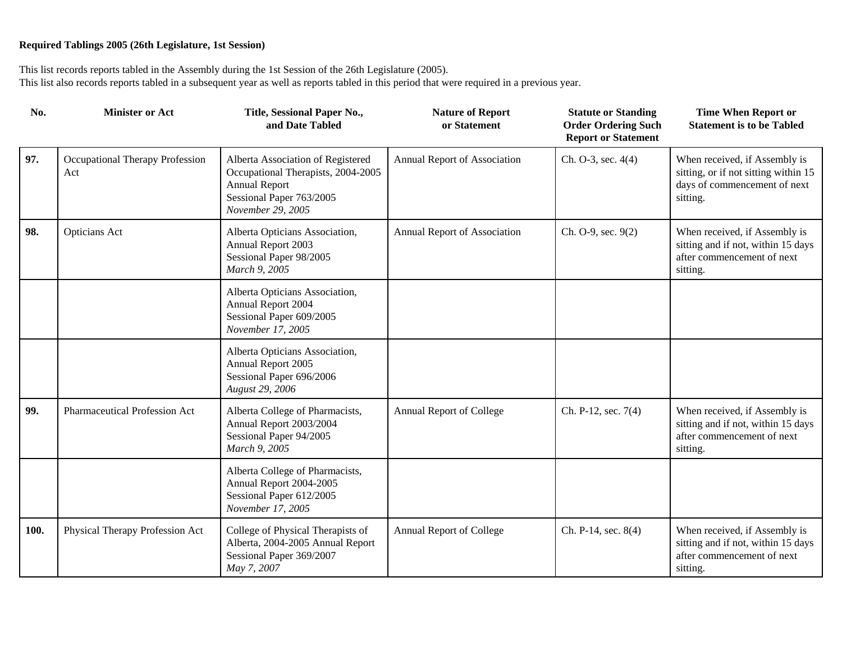| No.  | <b>Minister or Act</b>                 | Title, Sessional Paper No.,<br>and Date Tabled                                                                                                   | <b>Nature of Report</b><br>or Statement | <b>Statute or Standing</b><br><b>Order Ordering Such</b><br><b>Report or Statement</b> | <b>Time When Report or</b><br><b>Statement is to be Tabled</b>                                                    |
|------|----------------------------------------|--------------------------------------------------------------------------------------------------------------------------------------------------|-----------------------------------------|----------------------------------------------------------------------------------------|-------------------------------------------------------------------------------------------------------------------|
| 97.  | Occupational Therapy Profession<br>Act | Alberta Association of Registered<br>Occupational Therapists, 2004-2005<br><b>Annual Report</b><br>Sessional Paper 763/2005<br>November 29, 2005 | Annual Report of Association            | Ch. O-3, sec. 4(4)                                                                     | When received, if Assembly is<br>sitting, or if not sitting within 15<br>days of commencement of next<br>sitting. |
| 98.  | Opticians Act                          | Alberta Opticians Association,<br>Annual Report 2003<br>Sessional Paper 98/2005<br>March 9, 2005                                                 | Annual Report of Association            | Ch. O-9, sec. 9(2)                                                                     | When received, if Assembly is<br>sitting and if not, within 15 days<br>after commencement of next<br>sitting.     |
|      |                                        | Alberta Opticians Association,<br>Annual Report 2004<br>Sessional Paper 609/2005<br>November 17, 2005                                            |                                         |                                                                                        |                                                                                                                   |
|      |                                        | Alberta Opticians Association,<br>Annual Report 2005<br>Sessional Paper 696/2006<br>August 29, 2006                                              |                                         |                                                                                        |                                                                                                                   |
| 99.  | Pharmaceutical Profession Act          | Alberta College of Pharmacists,<br>Annual Report 2003/2004<br>Sessional Paper 94/2005<br>March 9, 2005                                           | Annual Report of College                | Ch. P-12, sec. 7(4)                                                                    | When received, if Assembly is<br>sitting and if not, within 15 days<br>after commencement of next<br>sitting.     |
|      |                                        | Alberta College of Pharmacists,<br>Annual Report 2004-2005<br>Sessional Paper 612/2005<br>November 17, 2005                                      |                                         |                                                                                        |                                                                                                                   |
| 100. | Physical Therapy Profession Act        | College of Physical Therapists of<br>Alberta, 2004-2005 Annual Report<br>Sessional Paper 369/2007<br>May 7, 2007                                 | Annual Report of College                | Ch. P-14, sec. 8(4)                                                                    | When received, if Assembly is<br>sitting and if not, within 15 days<br>after commencement of next<br>sitting.     |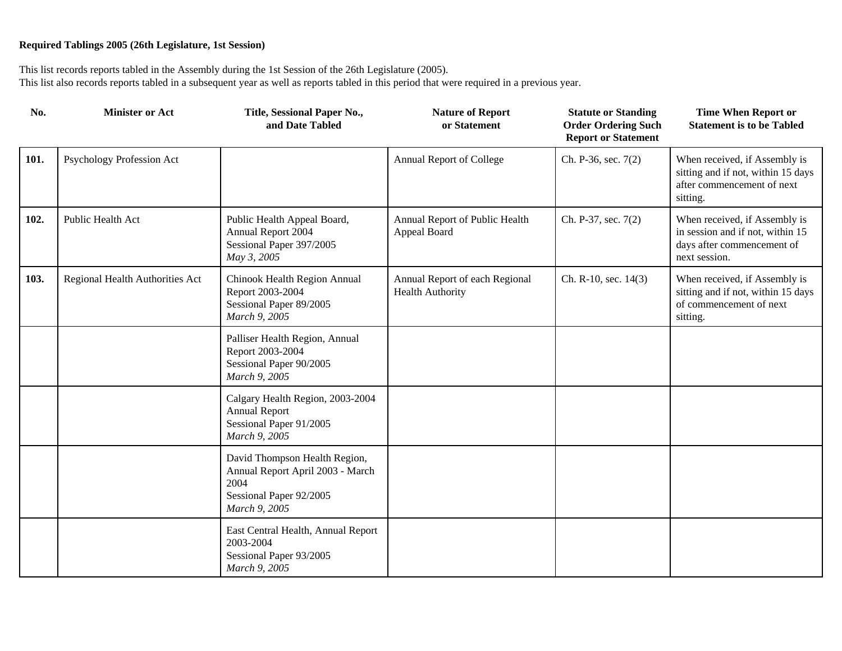| No.  | <b>Minister or Act</b>          | Title, Sessional Paper No.,<br>and Date Tabled                                                                        | <b>Nature of Report</b><br>or Statement                   | <b>Statute or Standing</b><br><b>Order Ordering Such</b><br><b>Report or Statement</b> | <b>Time When Report or</b><br><b>Statement is to be Tabled</b>                                                   |
|------|---------------------------------|-----------------------------------------------------------------------------------------------------------------------|-----------------------------------------------------------|----------------------------------------------------------------------------------------|------------------------------------------------------------------------------------------------------------------|
| 101. | Psychology Profession Act       |                                                                                                                       | Annual Report of College                                  | Ch. P-36, sec. 7(2)                                                                    | When received, if Assembly is<br>sitting and if not, within 15 days<br>after commencement of next<br>sitting.    |
| 102. | Public Health Act               | Public Health Appeal Board,<br>Annual Report 2004<br>Sessional Paper 397/2005<br>May 3, 2005                          | Annual Report of Public Health<br>Appeal Board            | Ch. P-37, sec. 7(2)                                                                    | When received, if Assembly is<br>in session and if not, within 15<br>days after commencement of<br>next session. |
| 103. | Regional Health Authorities Act | Chinook Health Region Annual<br>Report 2003-2004<br>Sessional Paper 89/2005<br>March 9, 2005                          | Annual Report of each Regional<br><b>Health Authority</b> | Ch. R-10, sec. 14(3)                                                                   | When received, if Assembly is<br>sitting and if not, within 15 days<br>of commencement of next<br>sitting.       |
|      |                                 | Palliser Health Region, Annual<br>Report 2003-2004<br>Sessional Paper 90/2005<br>March 9, 2005                        |                                                           |                                                                                        |                                                                                                                  |
|      |                                 | Calgary Health Region, 2003-2004<br><b>Annual Report</b><br>Sessional Paper 91/2005<br>March 9, 2005                  |                                                           |                                                                                        |                                                                                                                  |
|      |                                 | David Thompson Health Region,<br>Annual Report April 2003 - March<br>2004<br>Sessional Paper 92/2005<br>March 9, 2005 |                                                           |                                                                                        |                                                                                                                  |
|      |                                 | East Central Health, Annual Report<br>2003-2004<br>Sessional Paper 93/2005<br>March 9, 2005                           |                                                           |                                                                                        |                                                                                                                  |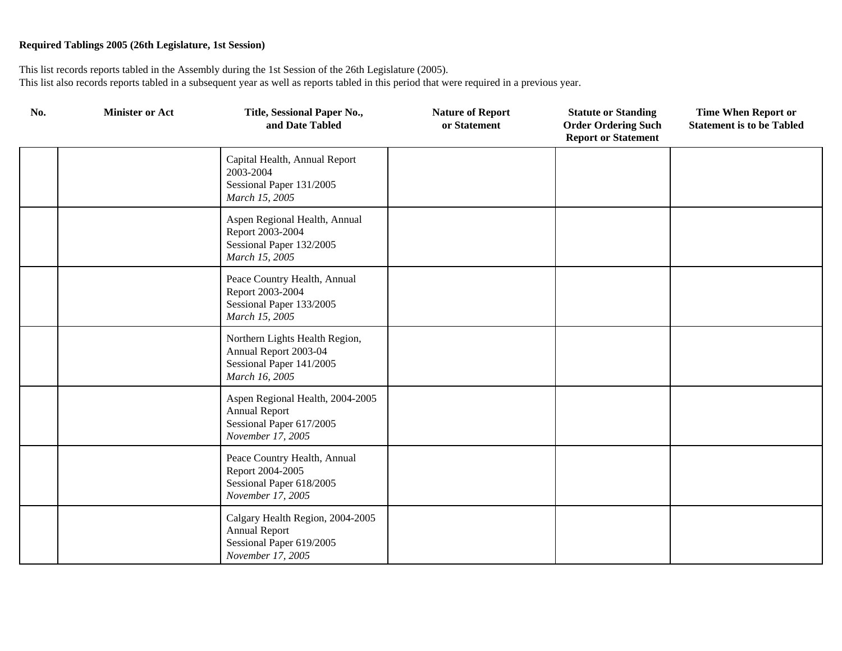| No. | <b>Minister or Act</b> | Title, Sessional Paper No.,<br>and Date Tabled                                                            | <b>Nature of Report</b><br>or Statement | <b>Statute or Standing</b><br><b>Order Ordering Such</b><br><b>Report or Statement</b> | <b>Time When Report or</b><br><b>Statement is to be Tabled</b> |
|-----|------------------------|-----------------------------------------------------------------------------------------------------------|-----------------------------------------|----------------------------------------------------------------------------------------|----------------------------------------------------------------|
|     |                        | Capital Health, Annual Report<br>2003-2004<br>Sessional Paper 131/2005<br>March 15, 2005                  |                                         |                                                                                        |                                                                |
|     |                        | Aspen Regional Health, Annual<br>Report 2003-2004<br>Sessional Paper 132/2005<br>March 15, 2005           |                                         |                                                                                        |                                                                |
|     |                        | Peace Country Health, Annual<br>Report 2003-2004<br>Sessional Paper 133/2005<br>March 15, 2005            |                                         |                                                                                        |                                                                |
|     |                        | Northern Lights Health Region,<br>Annual Report 2003-04<br>Sessional Paper 141/2005<br>March 16, 2005     |                                         |                                                                                        |                                                                |
|     |                        | Aspen Regional Health, 2004-2005<br><b>Annual Report</b><br>Sessional Paper 617/2005<br>November 17, 2005 |                                         |                                                                                        |                                                                |
|     |                        | Peace Country Health, Annual<br>Report 2004-2005<br>Sessional Paper 618/2005<br>November 17, 2005         |                                         |                                                                                        |                                                                |
|     |                        | Calgary Health Region, 2004-2005<br><b>Annual Report</b><br>Sessional Paper 619/2005<br>November 17, 2005 |                                         |                                                                                        |                                                                |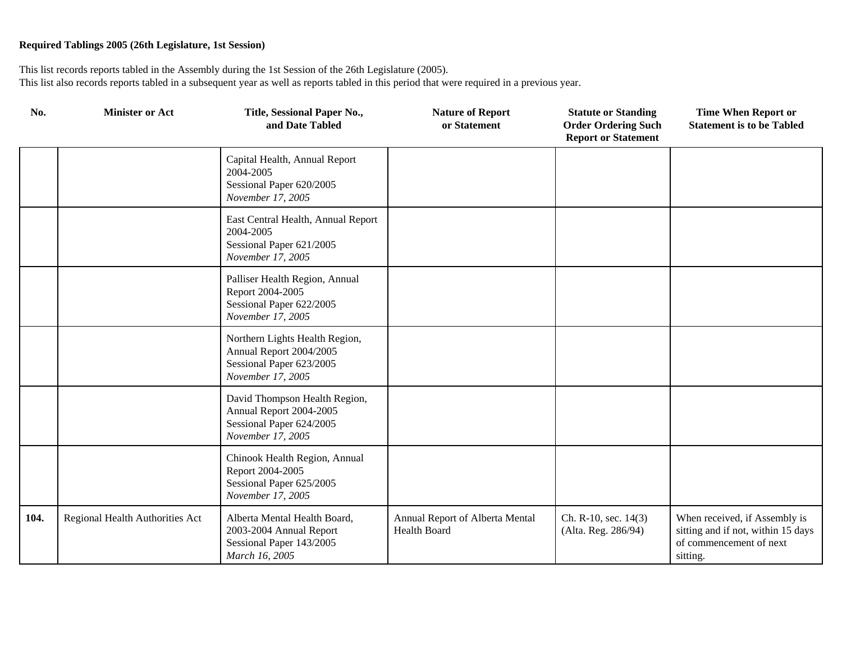| No.  | <b>Minister or Act</b>          | Title, Sessional Paper No.,<br>and Date Tabled                                                             | <b>Nature of Report</b><br>or Statement                | <b>Statute or Standing</b><br><b>Order Ordering Such</b><br><b>Report or Statement</b> | <b>Time When Report or</b><br><b>Statement is to be Tabled</b>                                             |
|------|---------------------------------|------------------------------------------------------------------------------------------------------------|--------------------------------------------------------|----------------------------------------------------------------------------------------|------------------------------------------------------------------------------------------------------------|
|      |                                 | Capital Health, Annual Report<br>2004-2005<br>Sessional Paper 620/2005<br>November 17, 2005                |                                                        |                                                                                        |                                                                                                            |
|      |                                 | East Central Health, Annual Report<br>2004-2005<br>Sessional Paper 621/2005<br>November 17, 2005           |                                                        |                                                                                        |                                                                                                            |
|      |                                 | Palliser Health Region, Annual<br>Report 2004-2005<br>Sessional Paper 622/2005<br>November 17, 2005        |                                                        |                                                                                        |                                                                                                            |
|      |                                 | Northern Lights Health Region,<br>Annual Report 2004/2005<br>Sessional Paper 623/2005<br>November 17, 2005 |                                                        |                                                                                        |                                                                                                            |
|      |                                 | David Thompson Health Region,<br>Annual Report 2004-2005<br>Sessional Paper 624/2005<br>November 17, 2005  |                                                        |                                                                                        |                                                                                                            |
|      |                                 | Chinook Health Region, Annual<br>Report 2004-2005<br>Sessional Paper 625/2005<br>November 17, 2005         |                                                        |                                                                                        |                                                                                                            |
| 104. | Regional Health Authorities Act | Alberta Mental Health Board,<br>2003-2004 Annual Report<br>Sessional Paper 143/2005<br>March 16, 2005      | Annual Report of Alberta Mental<br><b>Health Board</b> | Ch. R-10, sec. 14(3)<br>(Alta. Reg. 286/94)                                            | When received, if Assembly is<br>sitting and if not, within 15 days<br>of commencement of next<br>sitting. |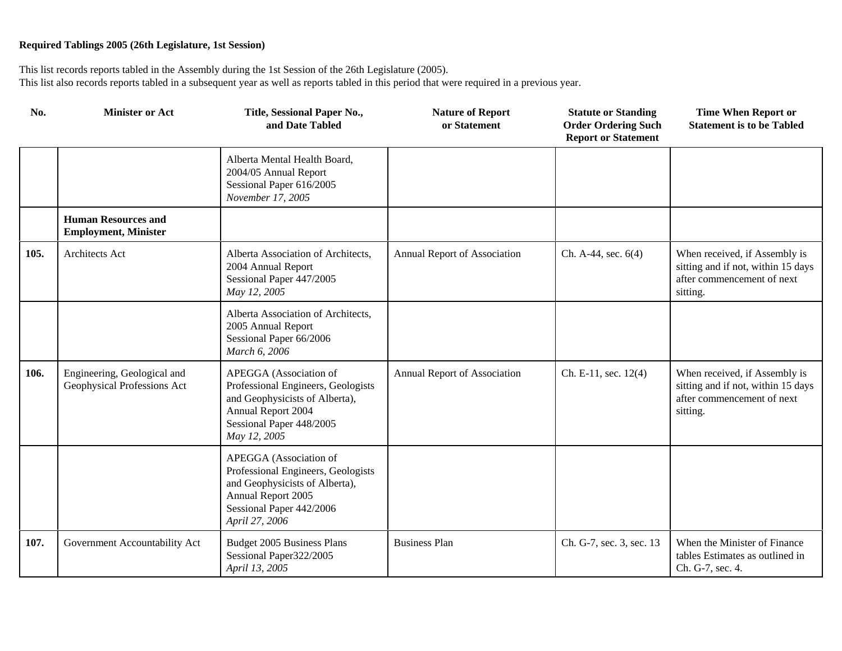| No.  | <b>Minister or Act</b>                                     | Title, Sessional Paper No.,<br>and Date Tabled                                                                                                                     | <b>Nature of Report</b><br>or Statement | <b>Statute or Standing</b><br><b>Order Ordering Such</b><br><b>Report or Statement</b> | <b>Time When Report or</b><br><b>Statement is to be Tabled</b>                                                |
|------|------------------------------------------------------------|--------------------------------------------------------------------------------------------------------------------------------------------------------------------|-----------------------------------------|----------------------------------------------------------------------------------------|---------------------------------------------------------------------------------------------------------------|
|      |                                                            | Alberta Mental Health Board,<br>2004/05 Annual Report<br>Sessional Paper 616/2005<br>November 17, 2005                                                             |                                         |                                                                                        |                                                                                                               |
|      | <b>Human Resources and</b><br><b>Employment, Minister</b>  |                                                                                                                                                                    |                                         |                                                                                        |                                                                                                               |
| 105. | Architects Act                                             | Alberta Association of Architects,<br>2004 Annual Report<br>Sessional Paper 447/2005<br>May 12, 2005                                                               | Annual Report of Association            | Ch. A-44, sec. 6(4)                                                                    | When received, if Assembly is<br>sitting and if not, within 15 days<br>after commencement of next<br>sitting. |
|      |                                                            | Alberta Association of Architects,<br>2005 Annual Report<br>Sessional Paper 66/2006<br>March 6, 2006                                                               |                                         |                                                                                        |                                                                                                               |
| 106. | Engineering, Geological and<br>Geophysical Professions Act | APEGGA (Association of<br>Professional Engineers, Geologists<br>and Geophysicists of Alberta),<br>Annual Report 2004<br>Sessional Paper 448/2005<br>May 12, 2005   | Annual Report of Association            | Ch. E-11, sec. $12(4)$                                                                 | When received, if Assembly is<br>sitting and if not, within 15 days<br>after commencement of next<br>sitting. |
|      |                                                            | APEGGA (Association of<br>Professional Engineers, Geologists<br>and Geophysicists of Alberta),<br>Annual Report 2005<br>Sessional Paper 442/2006<br>April 27, 2006 |                                         |                                                                                        |                                                                                                               |
| 107. | Government Accountability Act                              | Budget 2005 Business Plans<br>Sessional Paper322/2005<br>April 13, 2005                                                                                            | <b>Business Plan</b>                    | Ch. G-7, sec. 3, sec. 13                                                               | When the Minister of Finance<br>tables Estimates as outlined in<br>Ch. G-7, sec. 4.                           |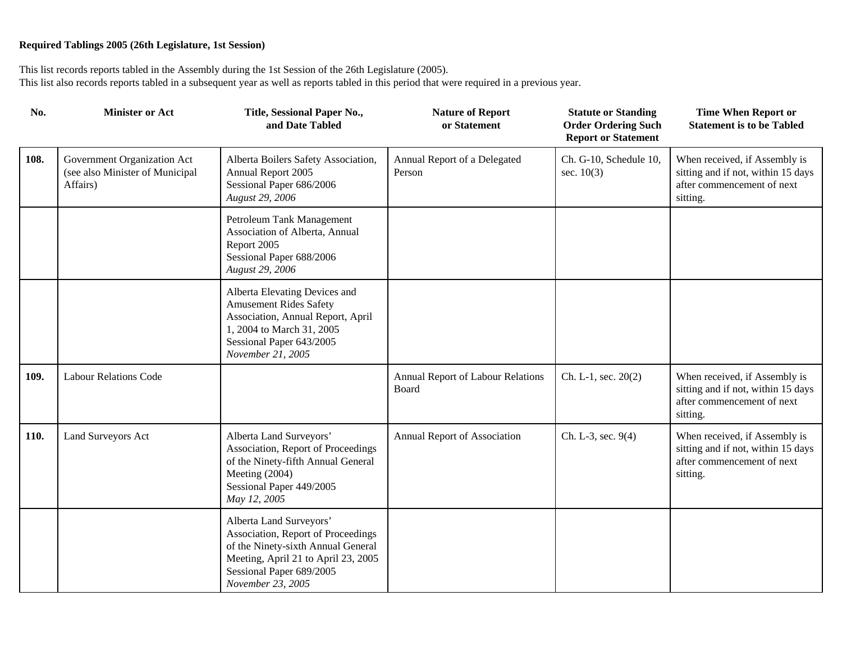| No.  | <b>Minister or Act</b>                                                     | Title, Sessional Paper No.,<br>and Date Tabled                                                                                                                                              | <b>Nature of Report</b><br>or Statement    | <b>Statute or Standing</b><br><b>Order Ordering Such</b><br><b>Report or Statement</b> | <b>Time When Report or</b><br><b>Statement is to be Tabled</b>                                                |
|------|----------------------------------------------------------------------------|---------------------------------------------------------------------------------------------------------------------------------------------------------------------------------------------|--------------------------------------------|----------------------------------------------------------------------------------------|---------------------------------------------------------------------------------------------------------------|
| 108. | Government Organization Act<br>(see also Minister of Municipal<br>Affairs) | Alberta Boilers Safety Association,<br>Annual Report 2005<br>Sessional Paper 686/2006<br>August 29, 2006                                                                                    | Annual Report of a Delegated<br>Person     | Ch. G-10, Schedule 10,<br>sec. $10(3)$                                                 | When received, if Assembly is<br>sitting and if not, within 15 days<br>after commencement of next<br>sitting. |
|      |                                                                            | Petroleum Tank Management<br>Association of Alberta, Annual<br>Report 2005<br>Sessional Paper 688/2006<br>August 29, 2006                                                                   |                                            |                                                                                        |                                                                                                               |
|      |                                                                            | Alberta Elevating Devices and<br><b>Amusement Rides Safety</b><br>Association, Annual Report, April<br>1, 2004 to March 31, 2005<br>Sessional Paper 643/2005<br>November 21, 2005           |                                            |                                                                                        |                                                                                                               |
| 109. | <b>Labour Relations Code</b>                                               |                                                                                                                                                                                             | Annual Report of Labour Relations<br>Board | Ch. L-1, sec. 20(2)                                                                    | When received, if Assembly is<br>sitting and if not, within 15 days<br>after commencement of next<br>sitting. |
| 110. | Land Surveyors Act                                                         | Alberta Land Surveyors'<br>Association, Report of Proceedings<br>of the Ninety-fifth Annual General<br>Meeting (2004)<br>Sessional Paper 449/2005<br>May 12, 2005                           | Annual Report of Association               | Ch. L-3, sec. 9(4)                                                                     | When received, if Assembly is<br>sitting and if not, within 15 days<br>after commencement of next<br>sitting. |
|      |                                                                            | Alberta Land Surveyors'<br>Association, Report of Proceedings<br>of the Ninety-sixth Annual General<br>Meeting, April 21 to April 23, 2005<br>Sessional Paper 689/2005<br>November 23, 2005 |                                            |                                                                                        |                                                                                                               |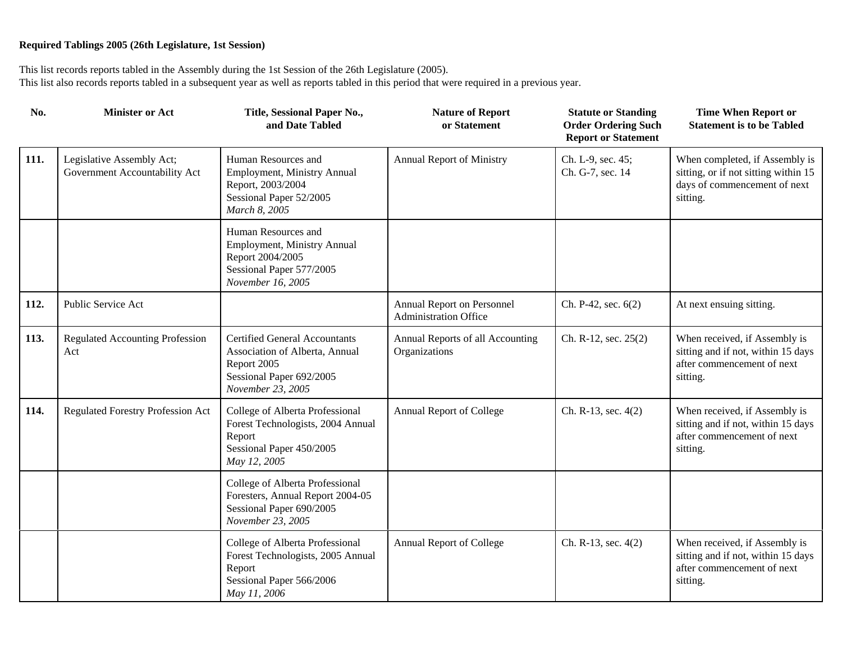| No.  | <b>Minister or Act</b>                                     | Title, Sessional Paper No.,<br>and Date Tabled                                                                                         | <b>Nature of Report</b><br>or Statement                    | <b>Statute or Standing</b><br><b>Order Ordering Such</b><br><b>Report or Statement</b> | <b>Time When Report or</b><br><b>Statement is to be Tabled</b>                                                     |
|------|------------------------------------------------------------|----------------------------------------------------------------------------------------------------------------------------------------|------------------------------------------------------------|----------------------------------------------------------------------------------------|--------------------------------------------------------------------------------------------------------------------|
| 111. | Legislative Assembly Act;<br>Government Accountability Act | Human Resources and<br>Employment, Ministry Annual<br>Report, 2003/2004<br>Sessional Paper 52/2005<br>March 8, 2005                    | <b>Annual Report of Ministry</b>                           | Ch. L-9, sec. 45;<br>Ch. G-7, sec. 14                                                  | When completed, if Assembly is<br>sitting, or if not sitting within 15<br>days of commencement of next<br>sitting. |
|      |                                                            | Human Resources and<br>Employment, Ministry Annual<br>Report 2004/2005<br>Sessional Paper 577/2005<br>November 16, 2005                |                                                            |                                                                                        |                                                                                                                    |
| 112. | Public Service Act                                         |                                                                                                                                        | Annual Report on Personnel<br><b>Administration Office</b> | Ch. P-42, sec. 6(2)                                                                    | At next ensuing sitting.                                                                                           |
| 113. | <b>Regulated Accounting Profession</b><br>Act              | <b>Certified General Accountants</b><br>Association of Alberta, Annual<br>Report 2005<br>Sessional Paper 692/2005<br>November 23, 2005 | Annual Reports of all Accounting<br>Organizations          | Ch. R-12, sec. 25(2)                                                                   | When received, if Assembly is<br>sitting and if not, within 15 days<br>after commencement of next<br>sitting.      |
| 114. | <b>Regulated Forestry Profession Act</b>                   | College of Alberta Professional<br>Forest Technologists, 2004 Annual<br>Report<br>Sessional Paper 450/2005<br>May 12, 2005             | Annual Report of College                                   | Ch. R-13, sec. 4(2)                                                                    | When received, if Assembly is<br>sitting and if not, within 15 days<br>after commencement of next<br>sitting.      |
|      |                                                            | College of Alberta Professional<br>Foresters, Annual Report 2004-05<br>Sessional Paper 690/2005<br>November 23, 2005                   |                                                            |                                                                                        |                                                                                                                    |
|      |                                                            | College of Alberta Professional<br>Forest Technologists, 2005 Annual<br>Report<br>Sessional Paper 566/2006<br>May 11, 2006             | Annual Report of College                                   | Ch. R-13, sec. 4(2)                                                                    | When received, if Assembly is<br>sitting and if not, within 15 days<br>after commencement of next<br>sitting.      |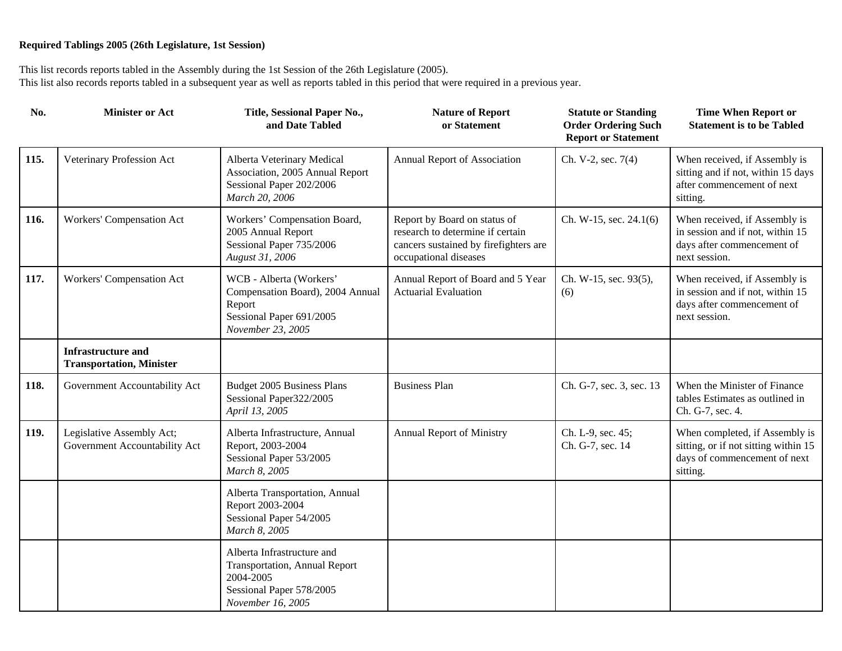| No.  | <b>Minister or Act</b>                                       | Title, Sessional Paper No.,<br>and Date Tabled                                                                            | <b>Nature of Report</b><br>or Statement                                                                                            | <b>Statute or Standing</b><br><b>Order Ordering Such</b><br><b>Report or Statement</b> | <b>Time When Report or</b><br><b>Statement is to be Tabled</b>                                                     |
|------|--------------------------------------------------------------|---------------------------------------------------------------------------------------------------------------------------|------------------------------------------------------------------------------------------------------------------------------------|----------------------------------------------------------------------------------------|--------------------------------------------------------------------------------------------------------------------|
| 115. | Veterinary Profession Act                                    | Alberta Veterinary Medical<br>Association, 2005 Annual Report<br>Sessional Paper 202/2006<br>March 20, 2006               | Annual Report of Association                                                                                                       | Ch. V-2, sec. 7(4)                                                                     | When received, if Assembly is<br>sitting and if not, within 15 days<br>after commencement of next<br>sitting.      |
| 116. | Workers' Compensation Act                                    | Workers' Compensation Board,<br>2005 Annual Report<br>Sessional Paper 735/2006<br>August 31, 2006                         | Report by Board on status of<br>research to determine if certain<br>cancers sustained by firefighters are<br>occupational diseases | Ch. W-15, sec. 24.1(6)                                                                 | When received, if Assembly is<br>in session and if not, within 15<br>days after commencement of<br>next session.   |
| 117. | Workers' Compensation Act                                    | WCB - Alberta (Workers'<br>Compensation Board), 2004 Annual<br>Report<br>Sessional Paper 691/2005<br>November 23, 2005    | Annual Report of Board and 5 Year<br><b>Actuarial Evaluation</b>                                                                   | Ch. W-15, sec. 93(5),<br>(6)                                                           | When received, if Assembly is<br>in session and if not, within 15<br>days after commencement of<br>next session.   |
|      | <b>Infrastructure and</b><br><b>Transportation, Minister</b> |                                                                                                                           |                                                                                                                                    |                                                                                        |                                                                                                                    |
| 118. | Government Accountability Act                                | Budget 2005 Business Plans<br>Sessional Paper322/2005<br>April 13, 2005                                                   | <b>Business Plan</b>                                                                                                               | Ch. G-7, sec. 3, sec. 13                                                               | When the Minister of Finance<br>tables Estimates as outlined in<br>Ch. G-7, sec. 4.                                |
| 119. | Legislative Assembly Act;<br>Government Accountability Act   | Alberta Infrastructure, Annual<br>Report, 2003-2004<br>Sessional Paper 53/2005<br>March 8, 2005                           | <b>Annual Report of Ministry</b>                                                                                                   | Ch. L-9, sec. 45;<br>Ch. G-7, sec. 14                                                  | When completed, if Assembly is<br>sitting, or if not sitting within 15<br>days of commencement of next<br>sitting. |
|      |                                                              | Alberta Transportation, Annual<br>Report 2003-2004<br>Sessional Paper 54/2005<br>March 8, 2005                            |                                                                                                                                    |                                                                                        |                                                                                                                    |
|      |                                                              | Alberta Infrastructure and<br>Transportation, Annual Report<br>2004-2005<br>Sessional Paper 578/2005<br>November 16, 2005 |                                                                                                                                    |                                                                                        |                                                                                                                    |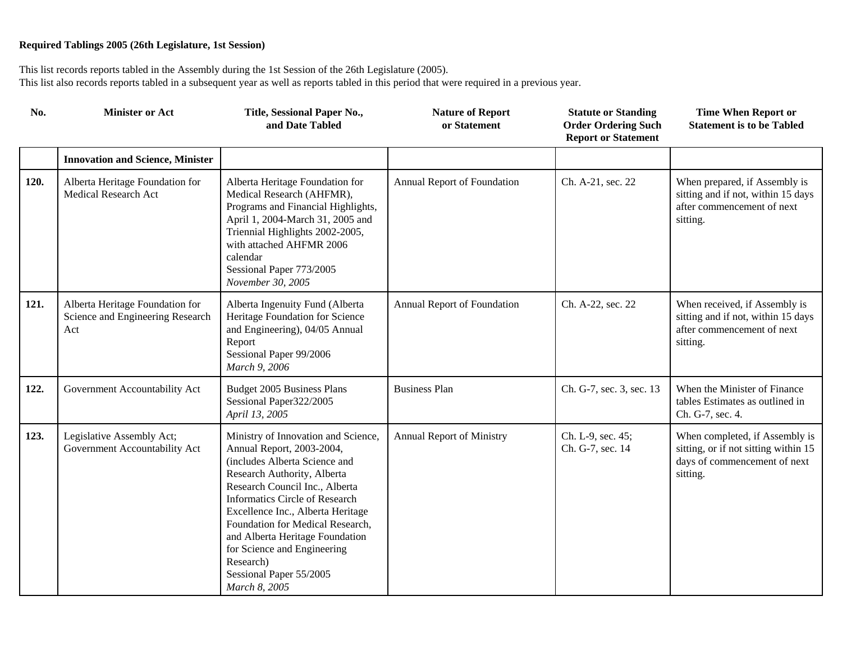| No.  | <b>Minister or Act</b>                                                     | Title, Sessional Paper No.,<br>and Date Tabled                                                                                                                                                                                                                                                                                                                                                           | <b>Nature of Report</b><br>or Statement | <b>Statute or Standing</b><br><b>Order Ordering Such</b><br><b>Report or Statement</b> | <b>Time When Report or</b><br><b>Statement is to be Tabled</b>                                                     |
|------|----------------------------------------------------------------------------|----------------------------------------------------------------------------------------------------------------------------------------------------------------------------------------------------------------------------------------------------------------------------------------------------------------------------------------------------------------------------------------------------------|-----------------------------------------|----------------------------------------------------------------------------------------|--------------------------------------------------------------------------------------------------------------------|
|      | <b>Innovation and Science, Minister</b>                                    |                                                                                                                                                                                                                                                                                                                                                                                                          |                                         |                                                                                        |                                                                                                                    |
| 120. | Alberta Heritage Foundation for<br>Medical Research Act                    | Alberta Heritage Foundation for<br>Medical Research (AHFMR),<br>Programs and Financial Highlights,<br>April 1, 2004-March 31, 2005 and<br>Triennial Highlights 2002-2005,<br>with attached AHFMR 2006<br>calendar<br>Sessional Paper 773/2005<br>November 30, 2005                                                                                                                                       | Annual Report of Foundation             | Ch. A-21, sec. 22                                                                      | When prepared, if Assembly is<br>sitting and if not, within 15 days<br>after commencement of next<br>sitting.      |
| 121. | Alberta Heritage Foundation for<br>Science and Engineering Research<br>Act | Alberta Ingenuity Fund (Alberta<br>Heritage Foundation for Science<br>and Engineering), 04/05 Annual<br>Report<br>Sessional Paper 99/2006<br>March 9, 2006                                                                                                                                                                                                                                               | Annual Report of Foundation             | Ch. A-22, sec. 22                                                                      | When received, if Assembly is<br>sitting and if not, within 15 days<br>after commencement of next<br>sitting.      |
| 122. | Government Accountability Act                                              | Budget 2005 Business Plans<br>Sessional Paper322/2005<br>April 13, 2005                                                                                                                                                                                                                                                                                                                                  | <b>Business Plan</b>                    | Ch. G-7, sec. 3, sec. 13                                                               | When the Minister of Finance<br>tables Estimates as outlined in<br>Ch. G-7, sec. 4.                                |
| 123. | Legislative Assembly Act;<br>Government Accountability Act                 | Ministry of Innovation and Science,<br>Annual Report, 2003-2004,<br>(includes Alberta Science and<br>Research Authority, Alberta<br>Research Council Inc., Alberta<br>Informatics Circle of Research<br>Excellence Inc., Alberta Heritage<br>Foundation for Medical Research,<br>and Alberta Heritage Foundation<br>for Science and Engineering<br>Research)<br>Sessional Paper 55/2005<br>March 8, 2005 | Annual Report of Ministry               | Ch. L-9, sec. 45;<br>Ch. G-7, sec. 14                                                  | When completed, if Assembly is<br>sitting, or if not sitting within 15<br>days of commencement of next<br>sitting. |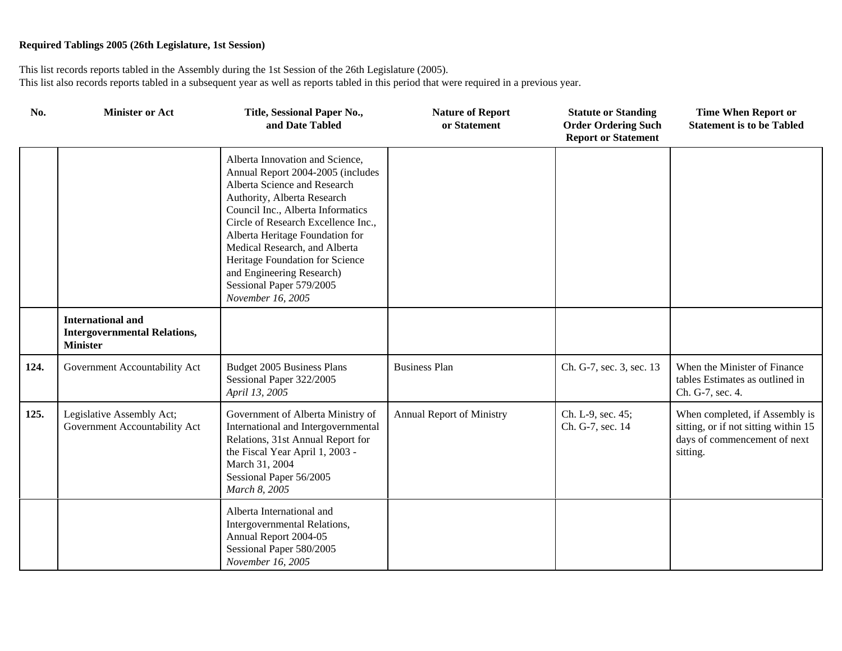| No.  | <b>Minister or Act</b>                                                             | Title, Sessional Paper No.,<br>and Date Tabled                                                                                                                                                                                                                                                                                                                                                       | <b>Nature of Report</b><br>or Statement | <b>Statute or Standing</b><br><b>Order Ordering Such</b><br><b>Report or Statement</b> | <b>Time When Report or</b><br><b>Statement is to be Tabled</b>                                                     |
|------|------------------------------------------------------------------------------------|------------------------------------------------------------------------------------------------------------------------------------------------------------------------------------------------------------------------------------------------------------------------------------------------------------------------------------------------------------------------------------------------------|-----------------------------------------|----------------------------------------------------------------------------------------|--------------------------------------------------------------------------------------------------------------------|
|      |                                                                                    | Alberta Innovation and Science,<br>Annual Report 2004-2005 (includes<br>Alberta Science and Research<br>Authority, Alberta Research<br>Council Inc., Alberta Informatics<br>Circle of Research Excellence Inc.,<br>Alberta Heritage Foundation for<br>Medical Research, and Alberta<br>Heritage Foundation for Science<br>and Engineering Research)<br>Sessional Paper 579/2005<br>November 16, 2005 |                                         |                                                                                        |                                                                                                                    |
|      | <b>International and</b><br><b>Intergovernmental Relations,</b><br><b>Minister</b> |                                                                                                                                                                                                                                                                                                                                                                                                      |                                         |                                                                                        |                                                                                                                    |
| 124. | Government Accountability Act                                                      | Budget 2005 Business Plans<br>Sessional Paper 322/2005<br>April 13, 2005                                                                                                                                                                                                                                                                                                                             | <b>Business Plan</b>                    | Ch. G-7, sec. 3, sec. 13                                                               | When the Minister of Finance<br>tables Estimates as outlined in<br>Ch. G-7, sec. 4.                                |
| 125. | Legislative Assembly Act;<br>Government Accountability Act                         | Government of Alberta Ministry of<br>International and Intergovernmental<br>Relations, 31st Annual Report for<br>the Fiscal Year April 1, 2003 -<br>March 31, 2004<br>Sessional Paper 56/2005<br>March 8, 2005                                                                                                                                                                                       | <b>Annual Report of Ministry</b>        | Ch. L-9, sec. 45;<br>Ch. G-7, sec. 14                                                  | When completed, if Assembly is<br>sitting, or if not sitting within 15<br>days of commencement of next<br>sitting. |
|      |                                                                                    | Alberta International and<br>Intergovernmental Relations,<br>Annual Report 2004-05<br>Sessional Paper 580/2005<br>November 16, 2005                                                                                                                                                                                                                                                                  |                                         |                                                                                        |                                                                                                                    |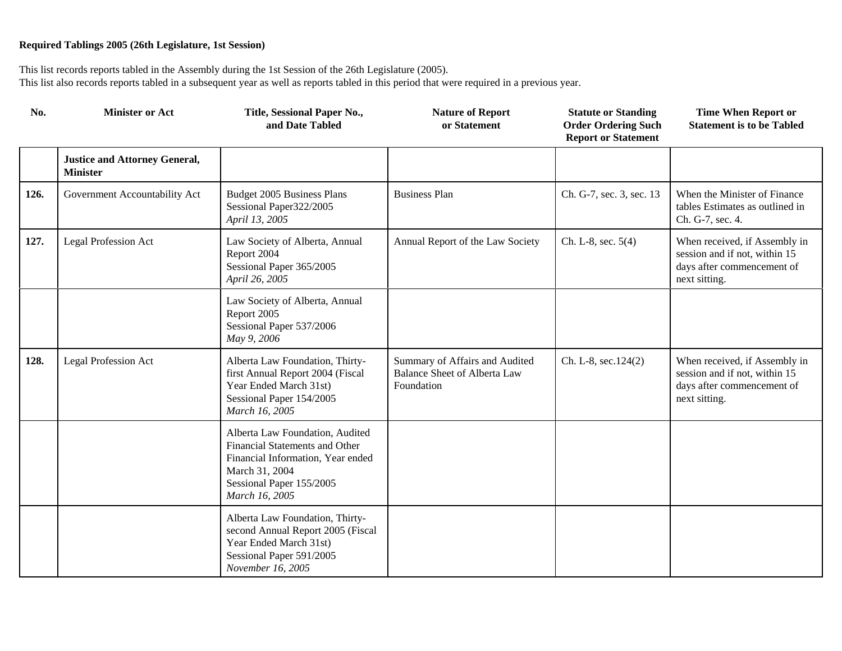| No.  | <b>Minister or Act</b>                                  | Title, Sessional Paper No.,<br>and Date Tabled                                                                                                                         | <b>Nature of Report</b><br>or Statement                                             | <b>Statute or Standing</b><br><b>Order Ordering Such</b><br><b>Report or Statement</b> | <b>Time When Report or</b><br><b>Statement is to be Tabled</b>                                                |
|------|---------------------------------------------------------|------------------------------------------------------------------------------------------------------------------------------------------------------------------------|-------------------------------------------------------------------------------------|----------------------------------------------------------------------------------------|---------------------------------------------------------------------------------------------------------------|
|      | <b>Justice and Attorney General,</b><br><b>Minister</b> |                                                                                                                                                                        |                                                                                     |                                                                                        |                                                                                                               |
| 126. | Government Accountability Act                           | Budget 2005 Business Plans<br>Sessional Paper322/2005<br>April 13, 2005                                                                                                | <b>Business Plan</b>                                                                | Ch. G-7, sec. 3, sec. 13                                                               | When the Minister of Finance<br>tables Estimates as outlined in<br>Ch. G-7, sec. 4.                           |
| 127. | <b>Legal Profession Act</b>                             | Law Society of Alberta, Annual<br>Report 2004<br>Sessional Paper 365/2005<br>April 26, 2005                                                                            | Annual Report of the Law Society                                                    | Ch. L-8, sec. 5(4)                                                                     | When received, if Assembly in<br>session and if not, within 15<br>days after commencement of<br>next sitting. |
|      |                                                         | Law Society of Alberta, Annual<br>Report 2005<br>Sessional Paper 537/2006<br>May 9, 2006                                                                               |                                                                                     |                                                                                        |                                                                                                               |
| 128. | <b>Legal Profession Act</b>                             | Alberta Law Foundation, Thirty-<br>first Annual Report 2004 (Fiscal<br>Year Ended March 31st)<br>Sessional Paper 154/2005<br>March 16, 2005                            | Summary of Affairs and Audited<br><b>Balance Sheet of Alberta Law</b><br>Foundation | Ch. L-8, sec.124(2)                                                                    | When received, if Assembly in<br>session and if not, within 15<br>days after commencement of<br>next sitting. |
|      |                                                         | Alberta Law Foundation, Audited<br>Financial Statements and Other<br>Financial Information, Year ended<br>March 31, 2004<br>Sessional Paper 155/2005<br>March 16, 2005 |                                                                                     |                                                                                        |                                                                                                               |
|      |                                                         | Alberta Law Foundation, Thirty-<br>second Annual Report 2005 (Fiscal<br>Year Ended March 31st)<br>Sessional Paper 591/2005<br>November 16, 2005                        |                                                                                     |                                                                                        |                                                                                                               |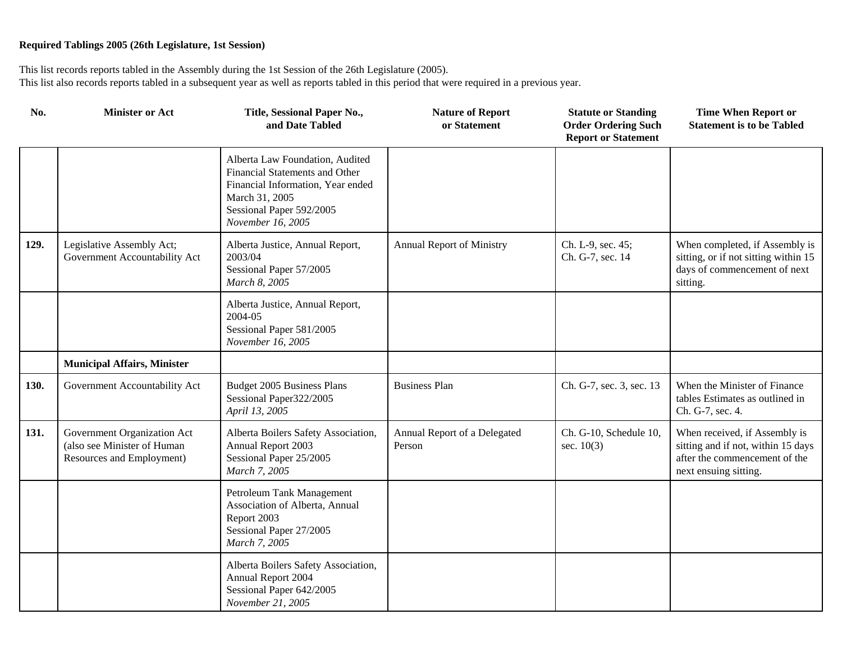| No.  | <b>Minister or Act</b>                                                                  | Title, Sessional Paper No.,<br>and Date Tabled                                                                                                                            | <b>Nature of Report</b><br>or Statement | <b>Statute or Standing</b><br><b>Order Ordering Such</b><br><b>Report or Statement</b> | <b>Time When Report or</b><br><b>Statement is to be Tabled</b>                                                                |
|------|-----------------------------------------------------------------------------------------|---------------------------------------------------------------------------------------------------------------------------------------------------------------------------|-----------------------------------------|----------------------------------------------------------------------------------------|-------------------------------------------------------------------------------------------------------------------------------|
|      |                                                                                         | Alberta Law Foundation, Audited<br>Financial Statements and Other<br>Financial Information, Year ended<br>March 31, 2005<br>Sessional Paper 592/2005<br>November 16, 2005 |                                         |                                                                                        |                                                                                                                               |
| 129. | Legislative Assembly Act;<br>Government Accountability Act                              | Alberta Justice, Annual Report,<br>2003/04<br>Sessional Paper 57/2005<br>March 8, 2005                                                                                    | Annual Report of Ministry               | Ch. L-9, sec. 45;<br>Ch. G-7, sec. 14                                                  | When completed, if Assembly is<br>sitting, or if not sitting within 15<br>days of commencement of next<br>sitting.            |
|      |                                                                                         | Alberta Justice, Annual Report,<br>2004-05<br>Sessional Paper 581/2005<br>November 16, 2005                                                                               |                                         |                                                                                        |                                                                                                                               |
|      | <b>Municipal Affairs, Minister</b>                                                      |                                                                                                                                                                           |                                         |                                                                                        |                                                                                                                               |
| 130. | Government Accountability Act                                                           | <b>Budget 2005 Business Plans</b><br>Sessional Paper322/2005<br>April 13, 2005                                                                                            | <b>Business Plan</b>                    | Ch. G-7, sec. 3, sec. 13                                                               | When the Minister of Finance<br>tables Estimates as outlined in<br>Ch. G-7, sec. 4.                                           |
| 131. | Government Organization Act<br>(also see Minister of Human<br>Resources and Employment) | Alberta Boilers Safety Association,<br>Annual Report 2003<br>Sessional Paper 25/2005<br>March 7, 2005                                                                     | Annual Report of a Delegated<br>Person  | Ch. G-10, Schedule 10,<br>sec. $10(3)$                                                 | When received, if Assembly is<br>sitting and if not, within 15 days<br>after the commencement of the<br>next ensuing sitting. |
|      |                                                                                         | Petroleum Tank Management<br>Association of Alberta, Annual<br>Report 2003<br>Sessional Paper 27/2005<br>March 7, 2005                                                    |                                         |                                                                                        |                                                                                                                               |
|      |                                                                                         | Alberta Boilers Safety Association,<br>Annual Report 2004<br>Sessional Paper 642/2005<br>November 21, 2005                                                                |                                         |                                                                                        |                                                                                                                               |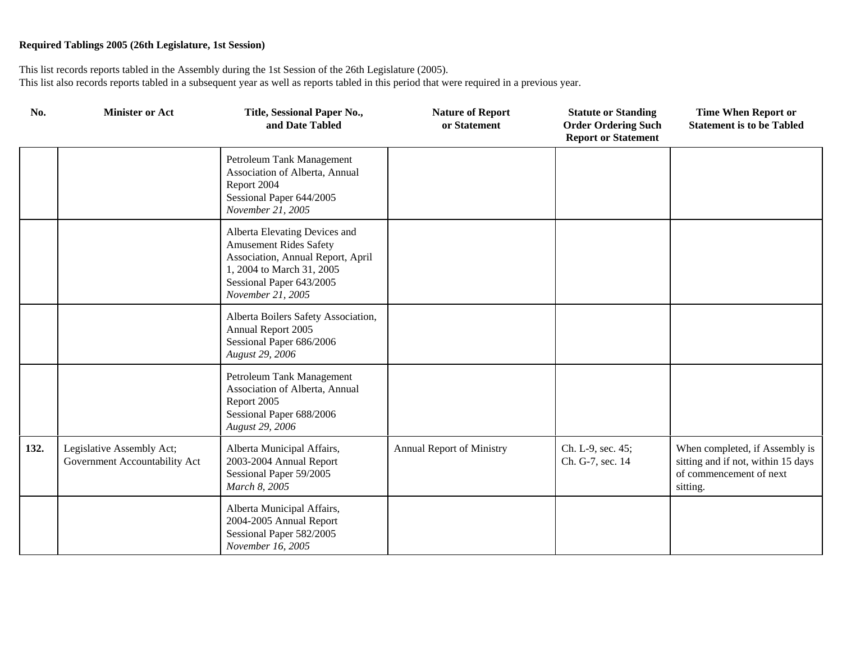| No.  | <b>Minister or Act</b>                                     | Title, Sessional Paper No.,<br>and Date Tabled                                                                                                                                    | <b>Nature of Report</b><br>or Statement | <b>Statute or Standing</b><br><b>Order Ordering Such</b><br><b>Report or Statement</b> | <b>Time When Report or</b><br><b>Statement is to be Tabled</b>                                              |
|------|------------------------------------------------------------|-----------------------------------------------------------------------------------------------------------------------------------------------------------------------------------|-----------------------------------------|----------------------------------------------------------------------------------------|-------------------------------------------------------------------------------------------------------------|
|      |                                                            | Petroleum Tank Management<br>Association of Alberta, Annual<br>Report 2004<br>Sessional Paper 644/2005<br>November 21, 2005                                                       |                                         |                                                                                        |                                                                                                             |
|      |                                                            | Alberta Elevating Devices and<br><b>Amusement Rides Safety</b><br>Association, Annual Report, April<br>1, 2004 to March 31, 2005<br>Sessional Paper 643/2005<br>November 21, 2005 |                                         |                                                                                        |                                                                                                             |
|      |                                                            | Alberta Boilers Safety Association,<br>Annual Report 2005<br>Sessional Paper 686/2006<br>August 29, 2006                                                                          |                                         |                                                                                        |                                                                                                             |
|      |                                                            | Petroleum Tank Management<br>Association of Alberta, Annual<br>Report 2005<br>Sessional Paper 688/2006<br>August 29, 2006                                                         |                                         |                                                                                        |                                                                                                             |
| 132. | Legislative Assembly Act;<br>Government Accountability Act | Alberta Municipal Affairs,<br>2003-2004 Annual Report<br>Sessional Paper 59/2005<br>March 8, 2005                                                                                 | <b>Annual Report of Ministry</b>        | Ch. L-9, sec. 45;<br>Ch. G-7, sec. 14                                                  | When completed, if Assembly is<br>sitting and if not, within 15 days<br>of commencement of next<br>sitting. |
|      |                                                            | Alberta Municipal Affairs,<br>2004-2005 Annual Report<br>Sessional Paper 582/2005<br>November 16, 2005                                                                            |                                         |                                                                                        |                                                                                                             |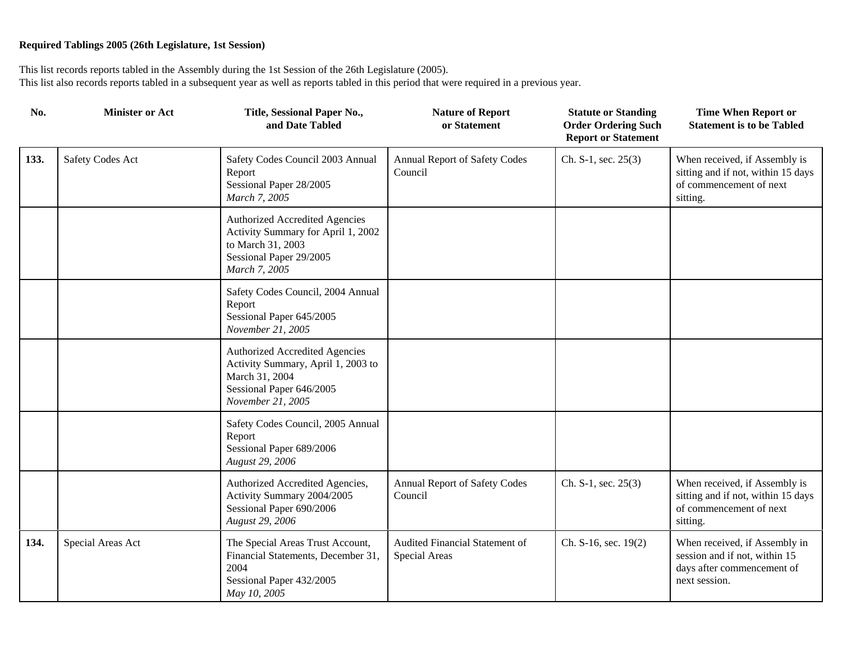| No.  | <b>Minister or Act</b>  | Title, Sessional Paper No.,<br>and Date Tabled                                                                                                 | <b>Nature of Report</b><br>or Statement         | <b>Statute or Standing</b><br><b>Order Ordering Such</b><br><b>Report or Statement</b> | <b>Time When Report or</b><br><b>Statement is to be Tabled</b>                                                |
|------|-------------------------|------------------------------------------------------------------------------------------------------------------------------------------------|-------------------------------------------------|----------------------------------------------------------------------------------------|---------------------------------------------------------------------------------------------------------------|
| 133. | <b>Safety Codes Act</b> | Safety Codes Council 2003 Annual<br>Report<br>Sessional Paper 28/2005<br>March 7, 2005                                                         | <b>Annual Report of Safety Codes</b><br>Council | Ch. S-1, sec. $25(3)$                                                                  | When received, if Assembly is<br>sitting and if not, within 15 days<br>of commencement of next<br>sitting.    |
|      |                         | <b>Authorized Accredited Agencies</b><br>Activity Summary for April 1, 2002<br>to March 31, 2003<br>Sessional Paper 29/2005<br>March 7, 2005   |                                                 |                                                                                        |                                                                                                               |
|      |                         | Safety Codes Council, 2004 Annual<br>Report<br>Sessional Paper 645/2005<br>November 21, 2005                                                   |                                                 |                                                                                        |                                                                                                               |
|      |                         | <b>Authorized Accredited Agencies</b><br>Activity Summary, April 1, 2003 to<br>March 31, 2004<br>Sessional Paper 646/2005<br>November 21, 2005 |                                                 |                                                                                        |                                                                                                               |
|      |                         | Safety Codes Council, 2005 Annual<br>Report<br>Sessional Paper 689/2006<br>August 29, 2006                                                     |                                                 |                                                                                        |                                                                                                               |
|      |                         | Authorized Accredited Agencies,<br>Activity Summary 2004/2005<br>Sessional Paper 690/2006<br>August 29, 2006                                   | Annual Report of Safety Codes<br>Council        | Ch. S-1, sec. $25(3)$                                                                  | When received, if Assembly is<br>sitting and if not, within 15 days<br>of commencement of next<br>sitting.    |
| 134. | Special Areas Act       | The Special Areas Trust Account,<br>Financial Statements, December 31,<br>2004<br>Sessional Paper 432/2005<br>May 10, 2005                     | Audited Financial Statement of<br>Special Areas | Ch. S-16, sec. 19(2)                                                                   | When received, if Assembly in<br>session and if not, within 15<br>days after commencement of<br>next session. |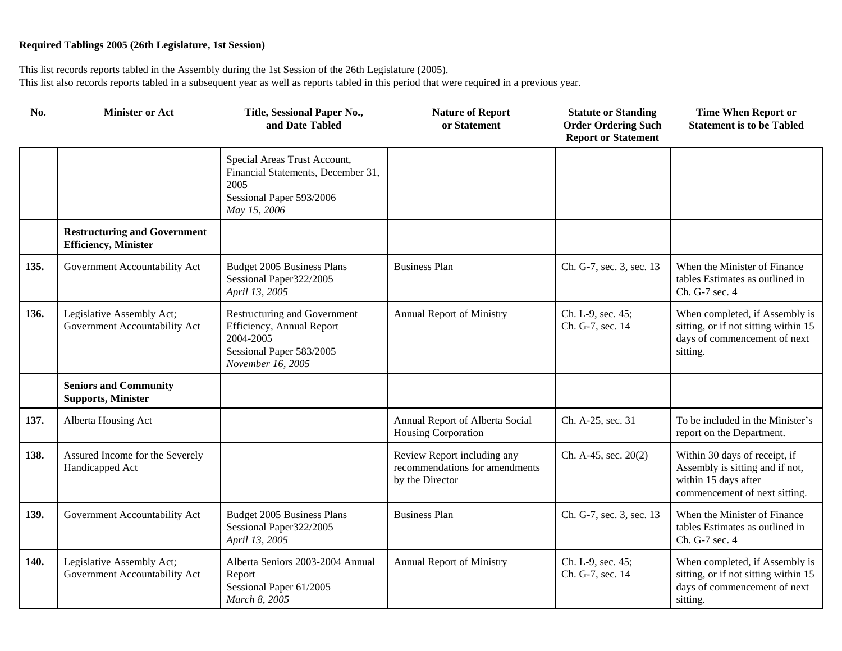| No.  | <b>Minister or Act</b>                                              | Title, Sessional Paper No.,<br>and Date Tabled                                                                          | <b>Nature of Report</b><br>or Statement                                          | <b>Statute or Standing</b><br><b>Order Ordering Such</b><br><b>Report or Statement</b> | <b>Time When Report or</b><br><b>Statement is to be Tabled</b>                                                            |
|------|---------------------------------------------------------------------|-------------------------------------------------------------------------------------------------------------------------|----------------------------------------------------------------------------------|----------------------------------------------------------------------------------------|---------------------------------------------------------------------------------------------------------------------------|
|      |                                                                     | Special Areas Trust Account,<br>Financial Statements, December 31,<br>2005<br>Sessional Paper 593/2006<br>May 15, 2006  |                                                                                  |                                                                                        |                                                                                                                           |
|      | <b>Restructuring and Government</b><br><b>Efficiency</b> , Minister |                                                                                                                         |                                                                                  |                                                                                        |                                                                                                                           |
| 135. | Government Accountability Act                                       | <b>Budget 2005 Business Plans</b><br>Sessional Paper322/2005<br>April 13, 2005                                          | <b>Business Plan</b>                                                             | Ch. G-7, sec. 3, sec. 13                                                               | When the Minister of Finance<br>tables Estimates as outlined in<br>Ch. G-7 sec. 4                                         |
| 136. | Legislative Assembly Act;<br>Government Accountability Act          | Restructuring and Government<br>Efficiency, Annual Report<br>2004-2005<br>Sessional Paper 583/2005<br>November 16, 2005 | Annual Report of Ministry                                                        | Ch. L-9, sec. 45;<br>Ch. G-7, sec. 14                                                  | When completed, if Assembly is<br>sitting, or if not sitting within 15<br>days of commencement of next<br>sitting.        |
|      | <b>Seniors and Community</b><br><b>Supports, Minister</b>           |                                                                                                                         |                                                                                  |                                                                                        |                                                                                                                           |
| 137. | Alberta Housing Act                                                 |                                                                                                                         | Annual Report of Alberta Social<br>Housing Corporation                           | Ch. A-25, sec. 31                                                                      | To be included in the Minister's<br>report on the Department.                                                             |
| 138. | Assured Income for the Severely<br>Handicapped Act                  |                                                                                                                         | Review Report including any<br>recommendations for amendments<br>by the Director | Ch. A-45, sec. 20(2)                                                                   | Within 30 days of receipt, if<br>Assembly is sitting and if not,<br>within 15 days after<br>commencement of next sitting. |
| 139. | Government Accountability Act                                       | Budget 2005 Business Plans<br>Sessional Paper322/2005<br>April 13, 2005                                                 | <b>Business Plan</b>                                                             | Ch. G-7, sec. 3, sec. 13                                                               | When the Minister of Finance<br>tables Estimates as outlined in<br>Ch. G-7 sec. 4                                         |
| 140. | Legislative Assembly Act;<br>Government Accountability Act          | Alberta Seniors 2003-2004 Annual<br>Report<br>Sessional Paper 61/2005<br>March 8, 2005                                  | Annual Report of Ministry                                                        | Ch. L-9, sec. 45;<br>Ch. G-7, sec. 14                                                  | When completed, if Assembly is<br>sitting, or if not sitting within 15<br>days of commencement of next<br>sitting.        |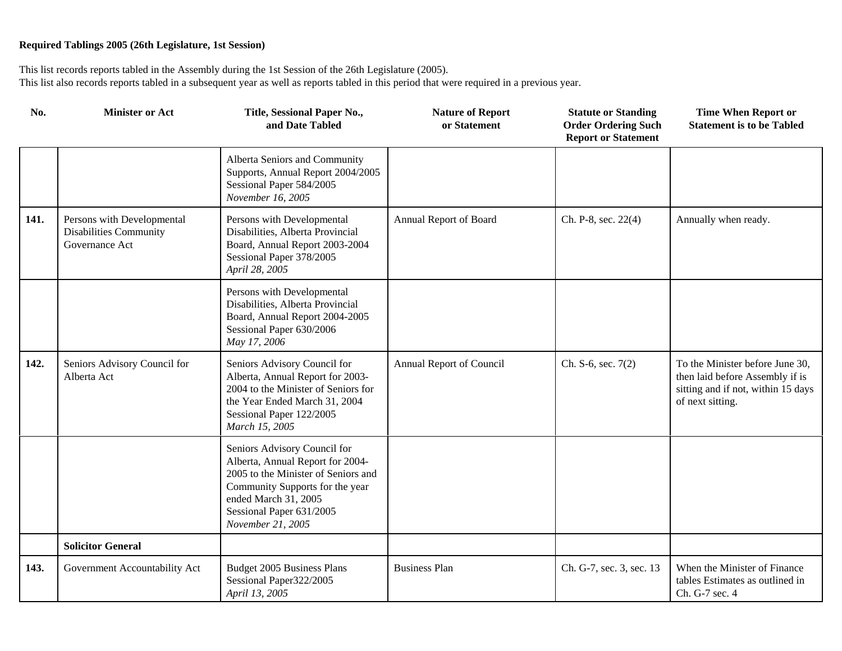| No.  | <b>Minister or Act</b>                                                 | Title, Sessional Paper No.,<br>and Date Tabled                                                                                                                                                                      | <b>Nature of Report</b><br>or Statement | <b>Statute or Standing</b><br><b>Order Ordering Such</b><br><b>Report or Statement</b> | <b>Time When Report or</b><br><b>Statement is to be Tabled</b>                                                               |
|------|------------------------------------------------------------------------|---------------------------------------------------------------------------------------------------------------------------------------------------------------------------------------------------------------------|-----------------------------------------|----------------------------------------------------------------------------------------|------------------------------------------------------------------------------------------------------------------------------|
|      |                                                                        | Alberta Seniors and Community<br>Supports, Annual Report 2004/2005<br>Sessional Paper 584/2005<br>November 16, 2005                                                                                                 |                                         |                                                                                        |                                                                                                                              |
| 141. | Persons with Developmental<br>Disabilities Community<br>Governance Act | Persons with Developmental<br>Disabilities, Alberta Provincial<br>Board, Annual Report 2003-2004<br>Sessional Paper 378/2005<br>April 28, 2005                                                                      | Annual Report of Board                  | Ch. P-8, sec. 22(4)                                                                    | Annually when ready.                                                                                                         |
|      |                                                                        | Persons with Developmental<br>Disabilities, Alberta Provincial<br>Board, Annual Report 2004-2005<br>Sessional Paper 630/2006<br>May 17, 2006                                                                        |                                         |                                                                                        |                                                                                                                              |
| 142. | Seniors Advisory Council for<br>Alberta Act                            | Seniors Advisory Council for<br>Alberta, Annual Report for 2003-<br>2004 to the Minister of Seniors for<br>the Year Ended March 31, 2004<br>Sessional Paper 122/2005<br>March 15, 2005                              | Annual Report of Council                | Ch. S-6, sec. $7(2)$                                                                   | To the Minister before June 30,<br>then laid before Assembly if is<br>sitting and if not, within 15 days<br>of next sitting. |
|      |                                                                        | Seniors Advisory Council for<br>Alberta, Annual Report for 2004-<br>2005 to the Minister of Seniors and<br>Community Supports for the year<br>ended March 31, 2005<br>Sessional Paper 631/2005<br>November 21, 2005 |                                         |                                                                                        |                                                                                                                              |
|      | <b>Solicitor General</b>                                               |                                                                                                                                                                                                                     |                                         |                                                                                        |                                                                                                                              |
| 143. | Government Accountability Act                                          | Budget 2005 Business Plans<br>Sessional Paper322/2005<br>April 13, 2005                                                                                                                                             | <b>Business Plan</b>                    | Ch. G-7, sec. 3, sec. 13                                                               | When the Minister of Finance<br>tables Estimates as outlined in<br>Ch. G-7 sec. 4                                            |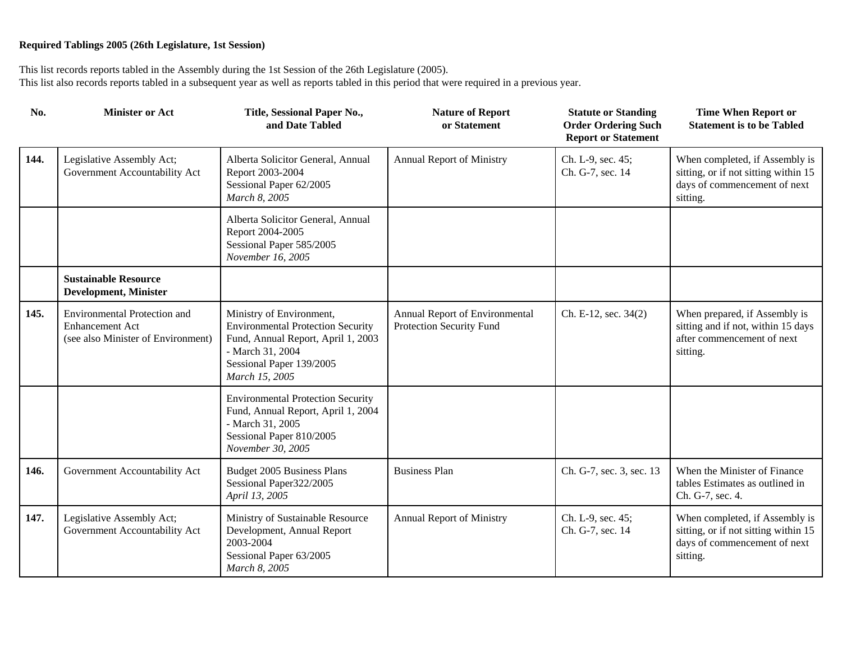| No.  | <b>Minister or Act</b>                                                                              | Title, Sessional Paper No.,<br>and Date Tabled                                                                                                                               | <b>Nature of Report</b><br>or Statement                    | <b>Statute or Standing</b><br><b>Order Ordering Such</b><br><b>Report or Statement</b> | <b>Time When Report or</b><br><b>Statement is to be Tabled</b>                                                     |
|------|-----------------------------------------------------------------------------------------------------|------------------------------------------------------------------------------------------------------------------------------------------------------------------------------|------------------------------------------------------------|----------------------------------------------------------------------------------------|--------------------------------------------------------------------------------------------------------------------|
| 144. | Legislative Assembly Act;<br>Government Accountability Act                                          | Alberta Solicitor General, Annual<br>Report 2003-2004<br>Sessional Paper 62/2005<br>March 8, 2005                                                                            | Annual Report of Ministry                                  | Ch. L-9, sec. 45;<br>Ch. G-7, sec. 14                                                  | When completed, if Assembly is<br>sitting, or if not sitting within 15<br>days of commencement of next<br>sitting. |
|      |                                                                                                     | Alberta Solicitor General, Annual<br>Report 2004-2005<br>Sessional Paper 585/2005<br>November 16, 2005                                                                       |                                                            |                                                                                        |                                                                                                                    |
|      | <b>Sustainable Resource</b><br><b>Development, Minister</b>                                         |                                                                                                                                                                              |                                                            |                                                                                        |                                                                                                                    |
| 145. | <b>Environmental Protection and</b><br><b>Enhancement Act</b><br>(see also Minister of Environment) | Ministry of Environment,<br><b>Environmental Protection Security</b><br>Fund, Annual Report, April 1, 2003<br>- March 31, 2004<br>Sessional Paper 139/2005<br>March 15, 2005 | Annual Report of Environmental<br>Protection Security Fund | Ch. E-12, sec. 34(2)                                                                   | When prepared, if Assembly is<br>sitting and if not, within 15 days<br>after commencement of next<br>sitting.      |
|      |                                                                                                     | <b>Environmental Protection Security</b><br>Fund, Annual Report, April 1, 2004<br>- March 31, 2005<br>Sessional Paper 810/2005<br>November 30, 2005                          |                                                            |                                                                                        |                                                                                                                    |
| 146. | Government Accountability Act                                                                       | Budget 2005 Business Plans<br>Sessional Paper322/2005<br>April 13, 2005                                                                                                      | <b>Business Plan</b>                                       | Ch. G-7, sec. 3, sec. 13                                                               | When the Minister of Finance<br>tables Estimates as outlined in<br>Ch. G-7, sec. 4.                                |
| 147. | Legislative Assembly Act;<br>Government Accountability Act                                          | Ministry of Sustainable Resource<br>Development, Annual Report<br>2003-2004<br>Sessional Paper 63/2005<br>March 8, 2005                                                      | Annual Report of Ministry                                  | Ch. L-9, sec. 45;<br>Ch. G-7, sec. 14                                                  | When completed, if Assembly is<br>sitting, or if not sitting within 15<br>days of commencement of next<br>sitting. |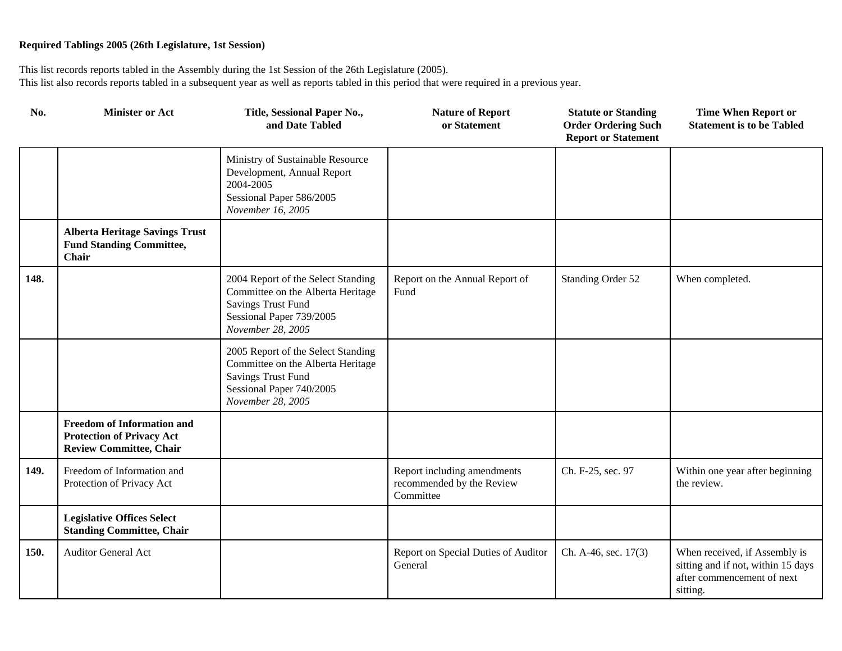| No.  | <b>Minister or Act</b>                                                                                  | Title, Sessional Paper No.,<br>and Date Tabled                                                                                                        | <b>Nature of Report</b><br>or Statement                               | <b>Statute or Standing</b><br><b>Order Ordering Such</b><br><b>Report or Statement</b> | <b>Time When Report or</b><br><b>Statement is to be Tabled</b>                                                |
|------|---------------------------------------------------------------------------------------------------------|-------------------------------------------------------------------------------------------------------------------------------------------------------|-----------------------------------------------------------------------|----------------------------------------------------------------------------------------|---------------------------------------------------------------------------------------------------------------|
|      |                                                                                                         | Ministry of Sustainable Resource<br>Development, Annual Report<br>2004-2005<br>Sessional Paper 586/2005<br>November 16, 2005                          |                                                                       |                                                                                        |                                                                                                               |
|      | <b>Alberta Heritage Savings Trust</b><br><b>Fund Standing Committee,</b><br><b>Chair</b>                |                                                                                                                                                       |                                                                       |                                                                                        |                                                                                                               |
| 148. |                                                                                                         | 2004 Report of the Select Standing<br>Committee on the Alberta Heritage<br><b>Savings Trust Fund</b><br>Sessional Paper 739/2005<br>November 28, 2005 | Report on the Annual Report of<br>Fund                                | Standing Order 52                                                                      | When completed.                                                                                               |
|      |                                                                                                         | 2005 Report of the Select Standing<br>Committee on the Alberta Heritage<br><b>Savings Trust Fund</b><br>Sessional Paper 740/2005<br>November 28, 2005 |                                                                       |                                                                                        |                                                                                                               |
|      | <b>Freedom of Information and</b><br><b>Protection of Privacy Act</b><br><b>Review Committee, Chair</b> |                                                                                                                                                       |                                                                       |                                                                                        |                                                                                                               |
| 149. | Freedom of Information and<br>Protection of Privacy Act                                                 |                                                                                                                                                       | Report including amendments<br>recommended by the Review<br>Committee | Ch. F-25, sec. 97                                                                      | Within one year after beginning<br>the review.                                                                |
|      | <b>Legislative Offices Select</b><br><b>Standing Committee, Chair</b>                                   |                                                                                                                                                       |                                                                       |                                                                                        |                                                                                                               |
| 150. | <b>Auditor General Act</b>                                                                              |                                                                                                                                                       | Report on Special Duties of Auditor<br>General                        | Ch. A-46, sec. 17(3)                                                                   | When received, if Assembly is<br>sitting and if not, within 15 days<br>after commencement of next<br>sitting. |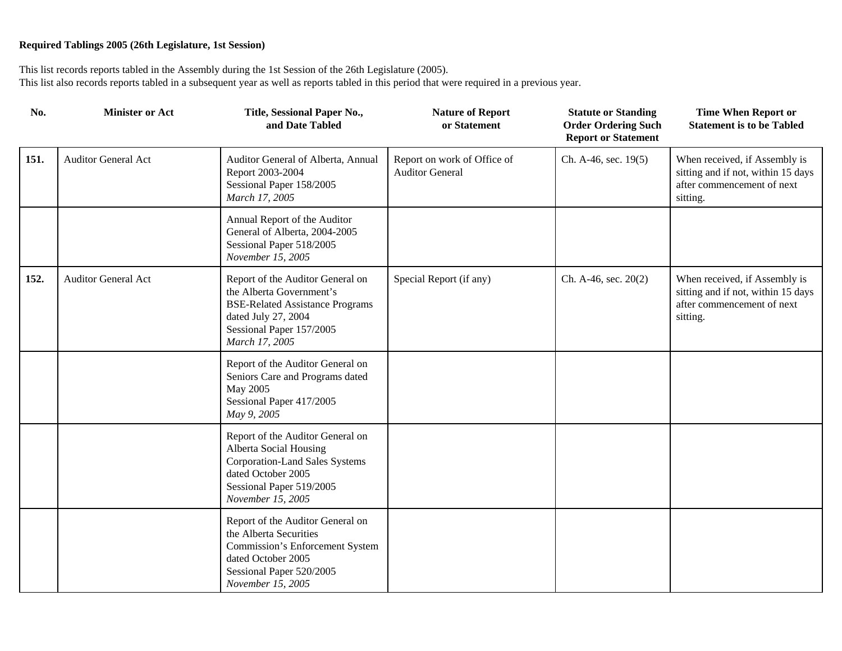| No.  | <b>Minister or Act</b>     | Title, Sessional Paper No.,<br>and Date Tabled                                                                                                                              | <b>Nature of Report</b><br>or Statement               | <b>Statute or Standing</b><br><b>Order Ordering Such</b><br><b>Report or Statement</b> | <b>Time When Report or</b><br><b>Statement is to be Tabled</b>                                                |
|------|----------------------------|-----------------------------------------------------------------------------------------------------------------------------------------------------------------------------|-------------------------------------------------------|----------------------------------------------------------------------------------------|---------------------------------------------------------------------------------------------------------------|
| 151. | <b>Auditor General Act</b> | Auditor General of Alberta, Annual<br>Report 2003-2004<br>Sessional Paper 158/2005<br>March 17, 2005                                                                        | Report on work of Office of<br><b>Auditor General</b> | Ch. A-46, sec. 19(5)                                                                   | When received, if Assembly is<br>sitting and if not, within 15 days<br>after commencement of next<br>sitting. |
|      |                            | Annual Report of the Auditor<br>General of Alberta, 2004-2005<br>Sessional Paper 518/2005<br>November 15, 2005                                                              |                                                       |                                                                                        |                                                                                                               |
| 152. | <b>Auditor General Act</b> | Report of the Auditor General on<br>the Alberta Government's<br><b>BSE-Related Assistance Programs</b><br>dated July 27, 2004<br>Sessional Paper 157/2005<br>March 17, 2005 | Special Report (if any)                               | Ch. A-46, sec. $20(2)$                                                                 | When received, if Assembly is<br>sitting and if not, within 15 days<br>after commencement of next<br>sitting. |
|      |                            | Report of the Auditor General on<br>Seniors Care and Programs dated<br>May 2005<br>Sessional Paper 417/2005<br>May 9, 2005                                                  |                                                       |                                                                                        |                                                                                                               |
|      |                            | Report of the Auditor General on<br>Alberta Social Housing<br><b>Corporation-Land Sales Systems</b><br>dated October 2005<br>Sessional Paper 519/2005<br>November 15, 2005  |                                                       |                                                                                        |                                                                                                               |
|      |                            | Report of the Auditor General on<br>the Alberta Securities<br>Commission's Enforcement System<br>dated October 2005<br>Sessional Paper 520/2005<br>November 15, 2005        |                                                       |                                                                                        |                                                                                                               |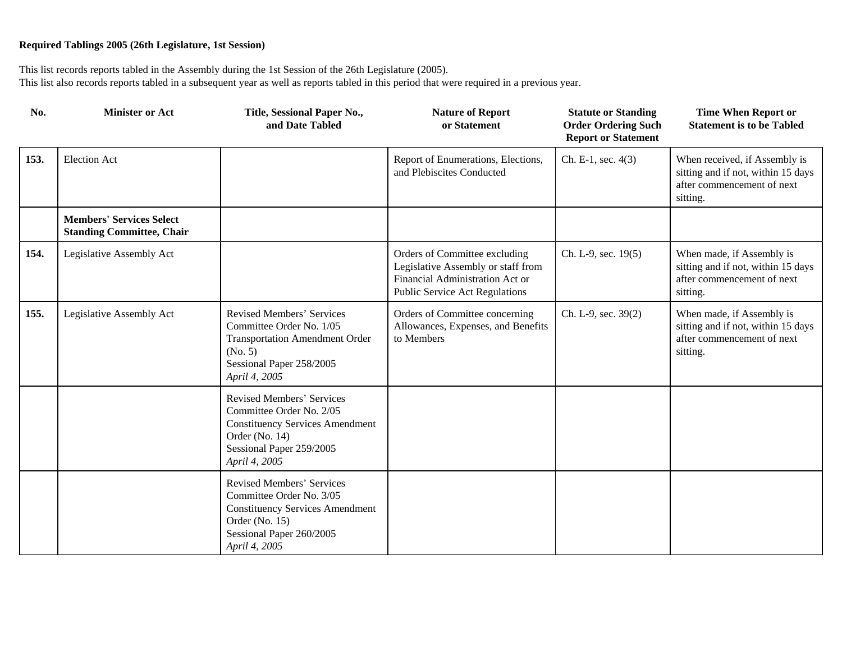| No.  | <b>Minister or Act</b>                                              | Title, Sessional Paper No.,<br>and Date Tabled                                                                                                                 | <b>Nature of Report</b><br>or Statement                                                                                                         | <b>Statute or Standing</b><br><b>Order Ordering Such</b><br><b>Report or Statement</b> | <b>Time When Report or</b><br><b>Statement is to be Tabled</b>                                                |
|------|---------------------------------------------------------------------|----------------------------------------------------------------------------------------------------------------------------------------------------------------|-------------------------------------------------------------------------------------------------------------------------------------------------|----------------------------------------------------------------------------------------|---------------------------------------------------------------------------------------------------------------|
| 153. | <b>Election Act</b>                                                 |                                                                                                                                                                | Report of Enumerations, Elections,<br>and Plebiscites Conducted                                                                                 | Ch. E-1, sec. 4(3)                                                                     | When received, if Assembly is<br>sitting and if not, within 15 days<br>after commencement of next<br>sitting. |
|      | <b>Members' Services Select</b><br><b>Standing Committee, Chair</b> |                                                                                                                                                                |                                                                                                                                                 |                                                                                        |                                                                                                               |
| 154. | Legislative Assembly Act                                            |                                                                                                                                                                | Orders of Committee excluding<br>Legislative Assembly or staff from<br>Financial Administration Act or<br><b>Public Service Act Regulations</b> | Ch. L-9, sec. 19(5)                                                                    | When made, if Assembly is<br>sitting and if not, within 15 days<br>after commencement of next<br>sitting.     |
| 155. | Legislative Assembly Act                                            | Revised Members' Services<br>Committee Order No. 1/05<br><b>Transportation Amendment Order</b><br>(No. 5)<br>Sessional Paper 258/2005<br>April 4, 2005         | Orders of Committee concerning<br>Allowances, Expenses, and Benefits<br>to Members                                                              | Ch. L-9, sec. 39(2)                                                                    | When made, if Assembly is<br>sitting and if not, within 15 days<br>after commencement of next<br>sitting.     |
|      |                                                                     | Revised Members' Services<br>Committee Order No. 2/05<br><b>Constituency Services Amendment</b><br>Order (No. 14)<br>Sessional Paper 259/2005<br>April 4, 2005 |                                                                                                                                                 |                                                                                        |                                                                                                               |
|      |                                                                     | Revised Members' Services<br>Committee Order No. 3/05<br><b>Constituency Services Amendment</b><br>Order (No. 15)<br>Sessional Paper 260/2005<br>April 4, 2005 |                                                                                                                                                 |                                                                                        |                                                                                                               |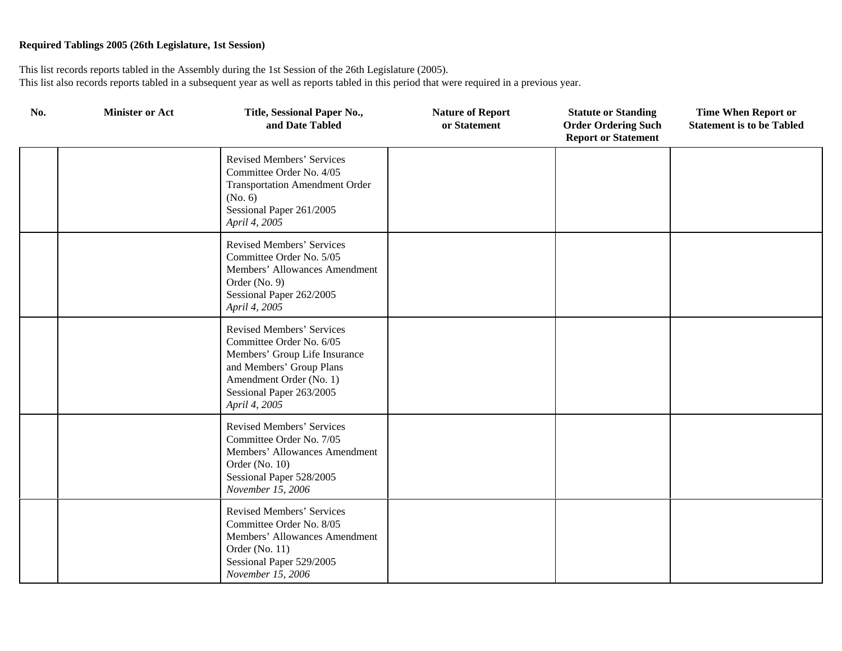| No. | <b>Minister or Act</b> | Title, Sessional Paper No.,<br>and Date Tabled                                                                                                                                                    | <b>Nature of Report</b><br>or Statement | <b>Statute or Standing</b><br><b>Order Ordering Such</b><br><b>Report or Statement</b> | <b>Time When Report or</b><br><b>Statement is to be Tabled</b> |
|-----|------------------------|---------------------------------------------------------------------------------------------------------------------------------------------------------------------------------------------------|-----------------------------------------|----------------------------------------------------------------------------------------|----------------------------------------------------------------|
|     |                        | Revised Members' Services<br>Committee Order No. 4/05<br><b>Transportation Amendment Order</b><br>(No. 6)<br>Sessional Paper 261/2005<br>April 4, 2005                                            |                                         |                                                                                        |                                                                |
|     |                        | Revised Members' Services<br>Committee Order No. 5/05<br>Members' Allowances Amendment<br>Order $(No. 9)$<br>Sessional Paper 262/2005<br>April 4, 2005                                            |                                         |                                                                                        |                                                                |
|     |                        | <b>Revised Members' Services</b><br>Committee Order No. 6/05<br>Members' Group Life Insurance<br>and Members' Group Plans<br>Amendment Order (No. 1)<br>Sessional Paper 263/2005<br>April 4, 2005 |                                         |                                                                                        |                                                                |
|     |                        | Revised Members' Services<br>Committee Order No. 7/05<br>Members' Allowances Amendment<br>Order (No. 10)<br>Sessional Paper 528/2005<br>November 15, 2006                                         |                                         |                                                                                        |                                                                |
|     |                        | <b>Revised Members' Services</b><br>Committee Order No. 8/05<br>Members' Allowances Amendment<br>Order (No. 11)<br>Sessional Paper 529/2005<br>November 15, 2006                                  |                                         |                                                                                        |                                                                |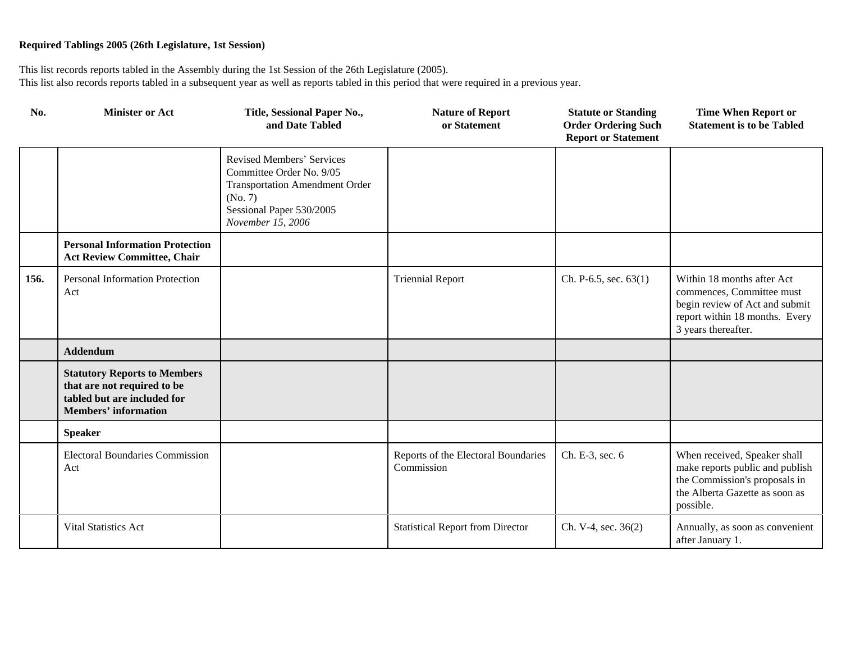| No.  | <b>Minister or Act</b>                                                                                                           | Title, Sessional Paper No.,<br>and Date Tabled                                                                                                             | <b>Nature of Report</b><br>or Statement           | <b>Statute or Standing</b><br><b>Order Ordering Such</b><br><b>Report or Statement</b> | <b>Time When Report or</b><br><b>Statement is to be Tabled</b>                                                                                     |
|------|----------------------------------------------------------------------------------------------------------------------------------|------------------------------------------------------------------------------------------------------------------------------------------------------------|---------------------------------------------------|----------------------------------------------------------------------------------------|----------------------------------------------------------------------------------------------------------------------------------------------------|
|      |                                                                                                                                  | Revised Members' Services<br>Committee Order No. 9/05<br><b>Transportation Amendment Order</b><br>(No. 7)<br>Sessional Paper 530/2005<br>November 15, 2006 |                                                   |                                                                                        |                                                                                                                                                    |
|      | <b>Personal Information Protection</b><br><b>Act Review Committee, Chair</b>                                                     |                                                                                                                                                            |                                                   |                                                                                        |                                                                                                                                                    |
| 156. | Personal Information Protection<br>Act                                                                                           |                                                                                                                                                            | <b>Triennial Report</b>                           | Ch. P-6.5, sec. $63(1)$                                                                | Within 18 months after Act<br>commences, Committee must<br>begin review of Act and submit<br>report within 18 months. Every<br>3 years thereafter. |
|      | <b>Addendum</b>                                                                                                                  |                                                                                                                                                            |                                                   |                                                                                        |                                                                                                                                                    |
|      | <b>Statutory Reports to Members</b><br>that are not required to be<br>tabled but are included for<br><b>Members' information</b> |                                                                                                                                                            |                                                   |                                                                                        |                                                                                                                                                    |
|      | <b>Speaker</b>                                                                                                                   |                                                                                                                                                            |                                                   |                                                                                        |                                                                                                                                                    |
|      | <b>Electoral Boundaries Commission</b><br>Act                                                                                    |                                                                                                                                                            | Reports of the Electoral Boundaries<br>Commission | Ch. E-3, sec. 6                                                                        | When received, Speaker shall<br>make reports public and publish<br>the Commission's proposals in<br>the Alberta Gazette as soon as<br>possible.    |
|      | <b>Vital Statistics Act</b>                                                                                                      |                                                                                                                                                            | <b>Statistical Report from Director</b>           | Ch. V-4, sec. 36(2)                                                                    | Annually, as soon as convenient<br>after January 1.                                                                                                |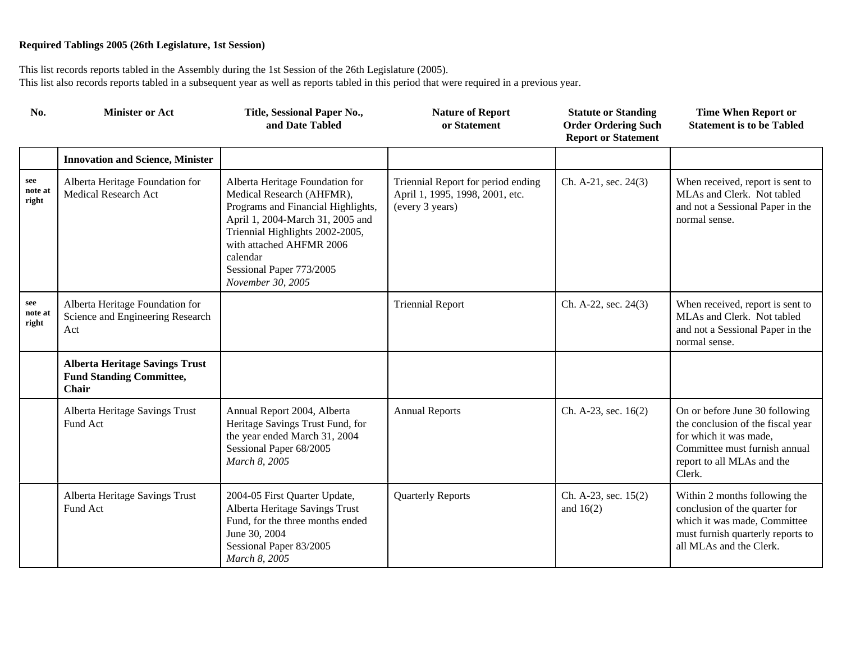| No.                     | <b>Minister or Act</b>                                                            | Title, Sessional Paper No.,<br>and Date Tabled                                                                                                                                                                                                                     | <b>Nature of Report</b><br>or Statement                                                  | <b>Statute or Standing</b><br><b>Order Ordering Such</b><br><b>Report or Statement</b> | <b>Time When Report or</b><br><b>Statement is to be Tabled</b>                                                                                                         |
|-------------------------|-----------------------------------------------------------------------------------|--------------------------------------------------------------------------------------------------------------------------------------------------------------------------------------------------------------------------------------------------------------------|------------------------------------------------------------------------------------------|----------------------------------------------------------------------------------------|------------------------------------------------------------------------------------------------------------------------------------------------------------------------|
|                         | <b>Innovation and Science, Minister</b>                                           |                                                                                                                                                                                                                                                                    |                                                                                          |                                                                                        |                                                                                                                                                                        |
| see<br>note at<br>right | Alberta Heritage Foundation for<br><b>Medical Research Act</b>                    | Alberta Heritage Foundation for<br>Medical Research (AHFMR),<br>Programs and Financial Highlights,<br>April 1, 2004-March 31, 2005 and<br>Triennial Highlights 2002-2005,<br>with attached AHFMR 2006<br>calendar<br>Sessional Paper 773/2005<br>November 30, 2005 | Triennial Report for period ending<br>April 1, 1995, 1998, 2001, etc.<br>(every 3 years) | Ch. A-21, sec. 24(3)                                                                   | When received, report is sent to<br>MLAs and Clerk. Not tabled<br>and not a Sessional Paper in the<br>normal sense.                                                    |
| see<br>note at<br>right | Alberta Heritage Foundation for<br>Science and Engineering Research<br>Act        |                                                                                                                                                                                                                                                                    | <b>Triennial Report</b>                                                                  | Ch. A-22, sec. 24(3)                                                                   | When received, report is sent to<br>MLAs and Clerk. Not tabled<br>and not a Sessional Paper in the<br>normal sense.                                                    |
|                         | <b>Alberta Heritage Savings Trust</b><br><b>Fund Standing Committee,</b><br>Chair |                                                                                                                                                                                                                                                                    |                                                                                          |                                                                                        |                                                                                                                                                                        |
|                         | Alberta Heritage Savings Trust<br>Fund Act                                        | Annual Report 2004, Alberta<br>Heritage Savings Trust Fund, for<br>the year ended March 31, 2004<br>Sessional Paper 68/2005<br>March 8, 2005                                                                                                                       | <b>Annual Reports</b>                                                                    | Ch. A-23, sec. 16(2)                                                                   | On or before June 30 following<br>the conclusion of the fiscal year<br>for which it was made,<br>Committee must furnish annual<br>report to all MLAs and the<br>Clerk. |
|                         | Alberta Heritage Savings Trust<br>Fund Act                                        | 2004-05 First Quarter Update,<br>Alberta Heritage Savings Trust<br>Fund, for the three months ended<br>June 30, 2004<br>Sessional Paper 83/2005<br>March 8, 2005                                                                                                   | <b>Quarterly Reports</b>                                                                 | Ch. A-23, sec. 15(2)<br>and $16(2)$                                                    | Within 2 months following the<br>conclusion of the quarter for<br>which it was made, Committee<br>must furnish quarterly reports to<br>all MLAs and the Clerk.         |